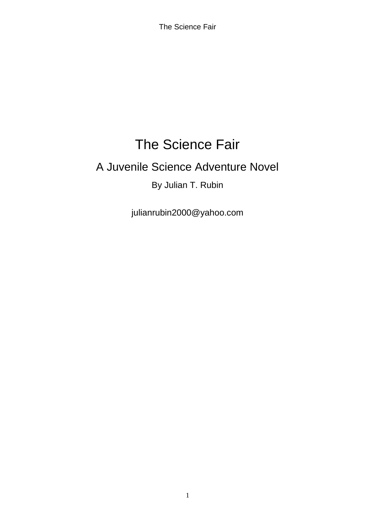The Science Fair

# The Science Fair

# A Juvenile Science Adventure Novel

# By Julian T. Rubin

[julianrubin2000@yahoo.com](http://us.mg5.mail.yahoo.com/neo/launch)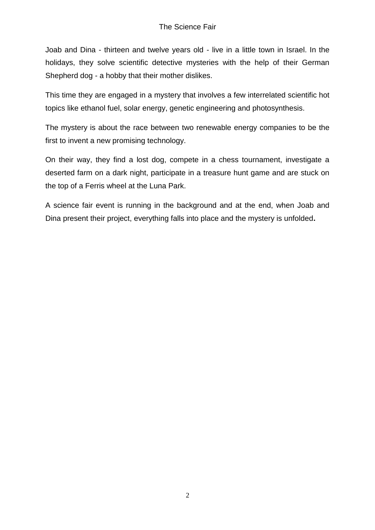Joab and Dina - thirteen and twelve years old - live in a little town in Israel. In the holidays, they solve scientific detective mysteries with the help of their German Shepherd dog - a hobby that their mother dislikes.

This time they are engaged in a mystery that involves a few interrelated scientific hot topics like ethanol fuel, solar energy, genetic engineering and photosynthesis.

The mystery is about the race between two renewable energy companies to be the first to invent a new promising technology.

On their way, they find a lost dog, compete in a chess tournament, investigate a deserted farm on a dark night, participate in a treasure hunt game and are stuck on the top of a Ferris wheel at the Luna Park.

A science fair event is running in the background and at the end, when Joab and Dina present their project, everything falls into place and the mystery is unfolded**.**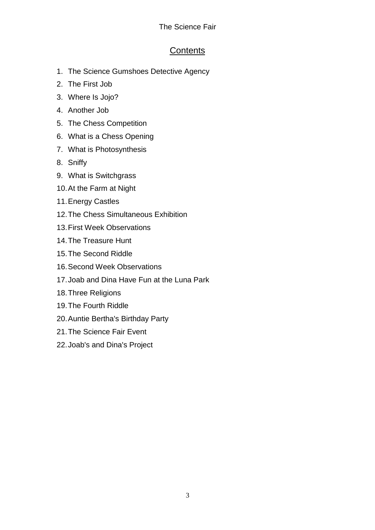# **Contents**

- 1. The Science Gumshoes Detective Agency
- 2. The First Job
- 3. Where Is Jojo?
- 4. Another Job
- 5. The Chess Competition
- 6. What is a Chess Opening
- 7. What is Photosynthesis
- 8. Sniffy
- 9. What is Switchgrass
- 10.At the Farm at Night
- 11.Energy Castles
- 12.The Chess Simultaneous Exhibition
- 13.First Week Observations
- 14.The Treasure Hunt
- 15.The Second Riddle
- 16.Second Week Observations
- 17.Joab and Dina Have Fun at the Luna Park
- 18.Three Religions
- 19.The Fourth Riddle
- 20.Auntie Bertha's Birthday Party
- 21.The Science Fair Event
- 22.Joab's and Dina's Project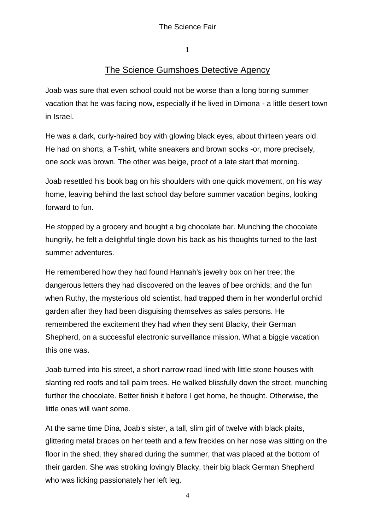1

# The Science Gumshoes Detective Agency

Joab was sure that even school could not be worse than a long boring summer vacation that he was facing now, especially if he lived in Dimona - a little desert town in Israel.

He was a dark, curly-haired boy with glowing black eyes, about thirteen years old. He had on shorts, a T-shirt, white sneakers and brown socks -or, more precisely, one sock was brown. The other was beige, proof of a late start that morning.

Joab resettled his book bag on his shoulders with one quick movement, on his way home, leaving behind the last school day before summer vacation begins, looking forward to fun.

He stopped by a grocery and bought a big chocolate bar. Munching the chocolate hungrily, he felt a delightful tingle down his back as his thoughts turned to the last summer adventures.

He remembered how they had found Hannah's jewelry box on her tree; the dangerous letters they had discovered on the leaves of bee orchids; and the fun when Ruthy, the mysterious old scientist, had trapped them in her wonderful orchid garden after they had been disguising themselves as sales persons. He remembered the excitement they had when they sent Blacky, their German Shepherd, on a successful electronic surveillance mission. What a biggie vacation this one was.

Joab turned into his street, a short narrow road lined with little stone houses with slanting red roofs and tall palm trees. He walked blissfully down the street, munching further the chocolate. Better finish it before I get home, he thought. Otherwise, the little ones will want some.

At the same time Dina, Joab's sister, a tall, slim girl of twelve with black plaits, glittering metal braces on her teeth and a few freckles on her nose was sitting on the floor in the shed, they shared during the summer, that was placed at the bottom of their garden. She was stroking lovingly Blacky, their big black German Shepherd who was licking passionately her left leg.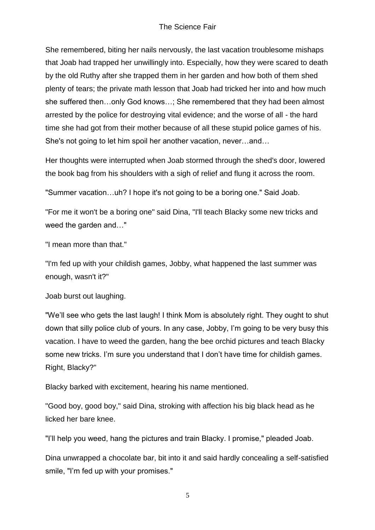#### The Science Fair

She remembered, biting her nails nervously, the last vacation troublesome mishaps that Joab had trapped her unwillingly into. Especially, how they were scared to death by the old Ruthy after she trapped them in her garden and how both of them shed plenty of tears; the private math lesson that Joab had tricked her into and how much she suffered then…only God knows…; She remembered that they had been almost arrested by the police for destroying vital evidence; and the worse of all - the hard time she had got from their mother because of all these stupid police games of his. She's not going to let him spoil her another vacation, never…and…

Her thoughts were interrupted when Joab stormed through the shed's door, lowered the book bag from his shoulders with a sigh of relief and flung it across the room.

"Summer vacation…uh? I hope it's not going to be a boring one." Said Joab.

"For me it won't be a boring one" said Dina, "I'll teach Blacky some new tricks and weed the garden and..."

"I mean more than that."

"I'm fed up with your childish games, Jobby, what happened the last summer was enough, wasn't it?"

Joab burst out laughing.

"We'll see who gets the last laugh! I think Mom is absolutely right. They ought to shut down that silly police club of yours. In any case, Jobby, I'm going to be very busy this vacation. I have to weed the garden, hang the bee orchid pictures and teach Blacky some new tricks. I'm sure you understand that I don't have time for childish games. Right, Blacky?"

Blacky barked with excitement, hearing his name mentioned.

"Good boy, good boy," said Dina, stroking with affection his big black head as he licked her bare knee.

"I'll help you weed, hang the pictures and train Blacky. I promise," pleaded Joab.

Dina unwrapped a chocolate bar, bit into it and said hardly concealing a self-satisfied smile, "I'm fed up with your promises."

5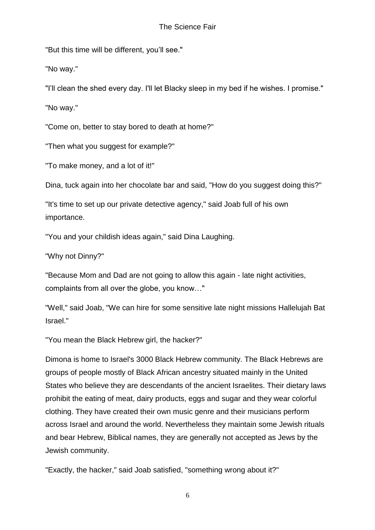"But this time will be different, you'll see."

"No way."

"I'll clean the shed every day. I'll let Blacky sleep in my bed if he wishes. I promise."

"No way."

"Come on, better to stay bored to death at home?"

"Then what you suggest for example?"

"To make money, and a lot of it!"

Dina, tuck again into her chocolate bar and said, "How do you suggest doing this?"

"It's time to set up our private detective agency," said Joab full of his own importance.

"You and your childish ideas again," said Dina Laughing.

"Why not Dinny?"

"Because Mom and Dad are not going to allow this again - late night activities, complaints from all over the globe, you know…"

"Well," said Joab, "We can hire for some sensitive late night missions Hallelujah Bat Israel."

"You mean the Black Hebrew girl, the hacker?"

Dimona is home to Israel's 3000 Black Hebrew community. The Black Hebrews are groups of people mostly of Black African ancestry situated mainly in the United States who believe they are descendants of the ancient Israelites. Their dietary laws prohibit the eating of meat, dairy products, eggs and sugar and they wear colorful clothing. They have created their own music genre and their musicians perform across Israel and around the world. Nevertheless they maintain some Jewish rituals and bear Hebrew, Biblical names, they are generally not accepted as Jews by the Jewish community.

"Exactly, the hacker," said Joab satisfied, "something wrong about it?"

6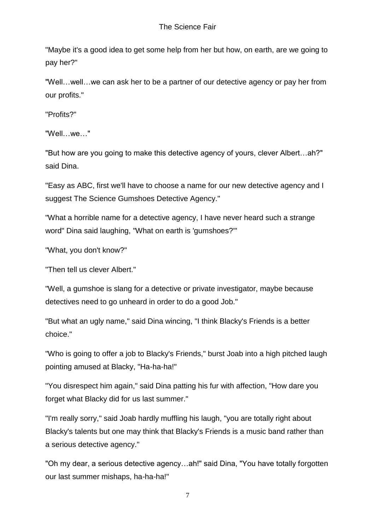"Maybe it's a good idea to get some help from her but how, on earth, are we going to pay her?"

"Well…well…we can ask her to be a partner of our detective agency or pay her from our profits."

"Profits?"

"Well…we…"

"But how are you going to make this detective agency of yours, clever Albert…ah?" said Dina.

"Easy as ABC, first we'll have to choose a name for our new detective agency and I suggest The Science Gumshoes Detective Agency."

"What a horrible name for a detective agency, I have never heard such a strange word" Dina said laughing, "What on earth is 'gumshoes?'"

"What, you don't know?"

"Then tell us clever Albert."

"Well, a gumshoe is slang for a detective or private investigator, maybe because detectives need to go unheard in order to do a good Job."

"But what an ugly name," said Dina wincing, "I think Blacky's Friends is a better choice."

"Who is going to offer a job to Blacky's Friends," burst Joab into a high pitched laugh pointing amused at Blacky, "Ha-ha-ha!"

"You disrespect him again," said Dina patting his fur with affection, "How dare you forget what Blacky did for us last summer."

"I'm really sorry," said Joab hardly muffling his laugh, "you are totally right about Blacky's talents but one may think that Blacky's Friends is a music band rather than a serious detective agency."

"Oh my dear, a serious detective agency…ah!" said Dina, "You have totally forgotten our last summer mishaps, ha-ha-ha!"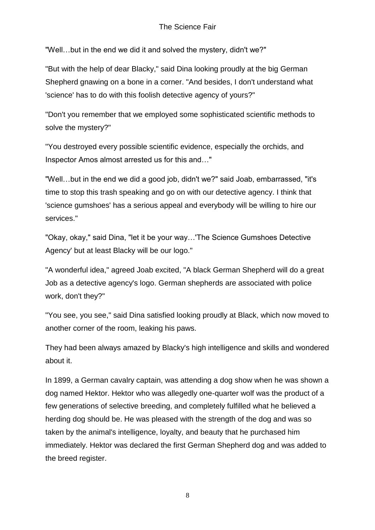"Well…but in the end we did it and solved the mystery, didn't we?"

"But with the help of dear Blacky," said Dina looking proudly at the big German Shepherd gnawing on a bone in a corner. "And besides, I don't understand what 'science' has to do with this foolish detective agency of yours?"

"Don't you remember that we employed some sophisticated scientific methods to solve the mystery?"

"You destroyed every possible scientific evidence, especially the orchids, and Inspector Amos almost arrested us for this and…"

"Well…but in the end we did a good job, didn't we?" said Joab, embarrassed, "it's time to stop this trash speaking and go on with our detective agency. I think that 'science gumshoes' has a serious appeal and everybody will be willing to hire our services."

"Okay, okay," said Dina, "let it be your way…'The Science Gumshoes Detective Agency' but at least Blacky will be our logo."

"A wonderful idea," agreed Joab excited, "A black German Shepherd will do a great Job as a detective agency's logo. German shepherds are associated with police work, don't they?"

"You see, you see," said Dina satisfied looking proudly at Black, which now moved to another corner of the room, leaking his paws.

They had been always amazed by Blacky's high intelligence and skills and wondered about it.

In 1899, a German cavalry captain, was attending a dog show when he was shown a dog named Hektor. Hektor who was allegedly one-quarter wolf was the product of a few generations of selective breeding, and completely fulfilled what he believed a herding dog should be. He was pleased with the strength of the dog and was so taken by the animal's intelligence, loyalty, and beauty that he purchased him immediately. Hektor was declared the first German Shepherd dog and was added to the breed register.

8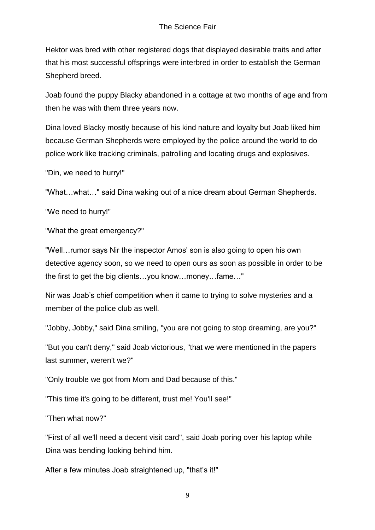Hektor was bred with other registered dogs that displayed desirable traits and after that his most successful offsprings were interbred in order to establish the German Shepherd breed.

Joab found the puppy Blacky abandoned in a cottage at two months of age and from then he was with them three years now.

Dina loved Blacky mostly because of his kind nature and loyalty but Joab liked him because German Shepherds were employed by the police around the world to do police work like tracking criminals, patrolling and locating drugs and explosives.

"Din, we need to hurry!"

"What…what…" said Dina waking out of a nice dream about German Shepherds.

"We need to hurry!"

"What the great emergency?"

"Well…rumor says Nir the inspector Amos' son is also going to open his own detective agency soon, so we need to open ours as soon as possible in order to be the first to get the big clients…you know…money…fame…"

Nir was Joab's chief competition when it came to trying to solve mysteries and a member of the police club as well.

"Jobby, Jobby," said Dina smiling, "you are not going to stop dreaming, are you?"

"But you can't deny," said Joab victorious, "that we were mentioned in the papers last summer, weren't we?"

"Only trouble we got from Mom and Dad because of this."

"This time it's going to be different, trust me! You'll see!"

"Then what now?"

"First of all we'll need a decent visit card", said Joab poring over his laptop while Dina was bending looking behind him.

After a few minutes Joab straightened up, "that's it!"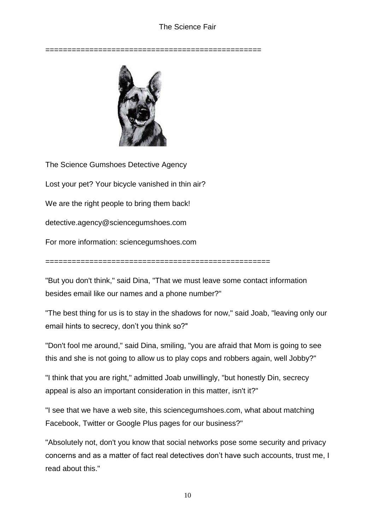#### The Science Fair

=================================================



The Science Gumshoes Detective Agency

Lost your pet? Your bicycle vanished in thin air?

We are the right people to bring them back!

detective.agency@sciencegumshoes.com

For more information: sciencegumshoes.com

===================================================

"But you don't think," said Dina, "That we must leave some contact information besides email like our names and a phone number?"

"The best thing for us is to stay in the shadows for now," said Joab, "leaving only our email hints to secrecy, don't you think so?"

"Don't fool me around," said Dina, smiling, "you are afraid that Mom is going to see this and she is not going to allow us to play cops and robbers again, well Jobby?"

"I think that you are right," admitted Joab unwillingly, "but honestly Din, secrecy appeal is also an important consideration in this matter, isn't it?"

"I see that we have a web site, this sciencegumshoes.com, what about matching Facebook, Twitter or Google Plus pages for our business?"

"Absolutely not, don't you know that social networks pose some security and privacy concerns and as a matter of fact real detectives don't have such accounts, trust me, I read about this."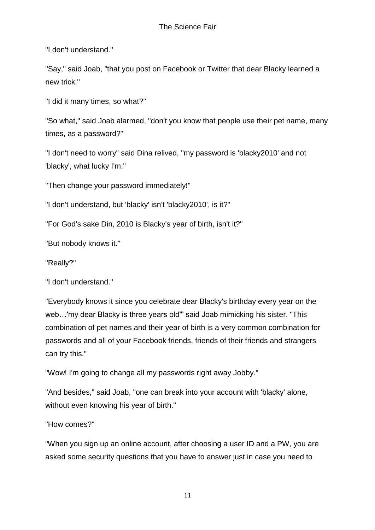"I don't understand."

"Say," said Joab, "that you post on Facebook or Twitter that dear Blacky learned a new trick."

"I did it many times, so what?"

"So what," said Joab alarmed, "don't you know that people use their pet name, many times, as a password?"

"I don't need to worry" said Dina relived, "my password is 'blacky2010' and not 'blacky', what lucky I'm."

"Then change your password immediately!"

"I don't understand, but 'blacky' isn't 'blacky2010', is it?"

"For God's sake Din, 2010 is Blacky's year of birth, isn't it?"

"But nobody knows it."

"Really?"

"I don't understand."

"Everybody knows it since you celebrate dear Blacky's birthday every year on the web…'my dear Blacky is three years old'" said Joab mimicking his sister. "This combination of pet names and their year of birth is a very common combination for passwords and all of your Facebook friends, friends of their friends and strangers can try this."

"Wow! I'm going to change all my passwords right away Jobby."

"And besides," said Joab, "one can break into your account with 'blacky' alone, without even knowing his year of birth."

"How comes?"

"When you sign up an online account, after choosing a user ID and a PW, you are asked some security questions that you have to answer just in case you need to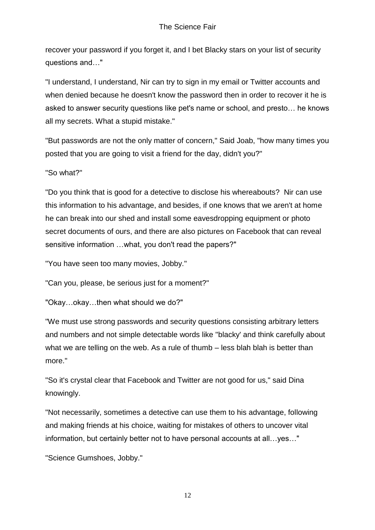recover your password if you forget it, and I bet Blacky stars on your list of security questions and…"

"I understand, I understand, Nir can try to sign in my email or Twitter accounts and when denied because he doesn't know the password then in order to recover it he is asked to answer security questions like pet's name or school, and presto… he knows all my secrets. What a stupid mistake."

"But passwords are not the only matter of concern," Said Joab, "how many times you posted that you are going to visit a friend for the day, didn't you?"

"So what?"

"Do you think that is good for a detective to disclose his whereabouts? Nir can use this information to his advantage, and besides, if one knows that we aren't at home he can break into our shed and install some eavesdropping equipment or photo secret documents of ours, and there are also pictures on Facebook that can reveal sensitive information …what, you don't read the papers?"

"You have seen too many movies, Jobby."

"Can you, please, be serious just for a moment?"

"Okay…okay…then what should we do?"

"We must use strong passwords and security questions consisting arbitrary letters and numbers and not simple detectable words like ''blacky' and think carefully about what we are telling on the web. As a rule of thumb – less blah blah is better than more."

"So it's crystal clear that Facebook and Twitter are not good for us," said Dina knowingly.

"Not necessarily, sometimes a detective can use them to his advantage, following and making friends at his choice, waiting for mistakes of others to uncover vital information, but certainly better not to have personal accounts at all…yes…"

"Science Gumshoes, Jobby."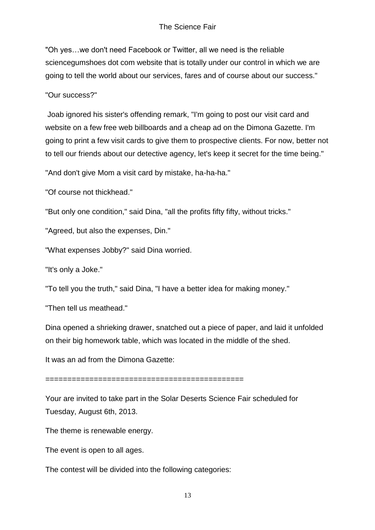"Oh yes…we don't need Facebook or Twitter, all we need is the reliable sciencegumshoes dot com website that is totally under our control in which we are going to tell the world about our services, fares and of course about our success."

"Our success?"

Joab ignored his sister's offending remark, "I'm going to post our visit card and website on a few free web billboards and a cheap ad on the Dimona Gazette. I'm going to print a few visit cards to give them to prospective clients. For now, better not to tell our friends about our detective agency, let's keep it secret for the time being."

"And don't give Mom a visit card by mistake, ha-ha-ha."

"Of course not thickhead."

"But only one condition," said Dina, "all the profits fifty fifty, without tricks."

"Agreed, but also the expenses, Din."

"What expenses Jobby?" said Dina worried.

"It's only a Joke."

"To tell you the truth," said Dina, "I have a better idea for making money."

"Then tell us meathead."

Dina opened a shrieking drawer, snatched out a piece of paper, and laid it unfolded on their big homework table, which was located in the middle of the shed.

It was an ad from the Dimona Gazette:

=============================================

Your are invited to take part in the Solar Deserts Science Fair scheduled for Tuesday, August 6th, 2013.

The theme is renewable energy.

The event is open to all ages.

The contest will be divided into the following categories: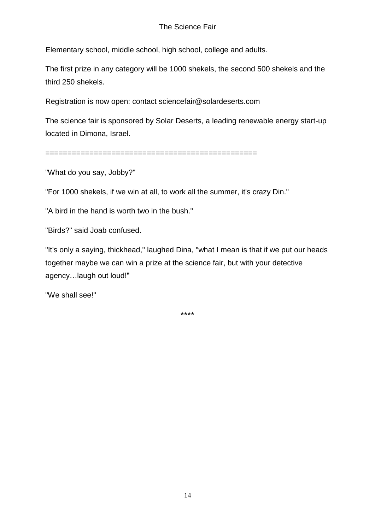Elementary school, middle school, high school, college and adults.

The first prize in any category will be 1000 shekels, the second 500 shekels and the third 250 shekels.

Registration is now open: contact sciencefair@solardeserts.com

The science fair is sponsored by Solar Deserts, a leading renewable energy start-up located in Dimona, Israel.

================================================

"What do you say, Jobby?"

"For 1000 shekels, if we win at all, to work all the summer, it's crazy Din."

"A bird in the hand is worth two in the bush."

"Birds?" said Joab confused.

"It's only a saying, thickhead," laughed Dina, "what I mean is that if we put our heads together maybe we can win a prize at the science fair, but with your detective agency…laugh out loud!"

"We shall see!"

\*\*\*\*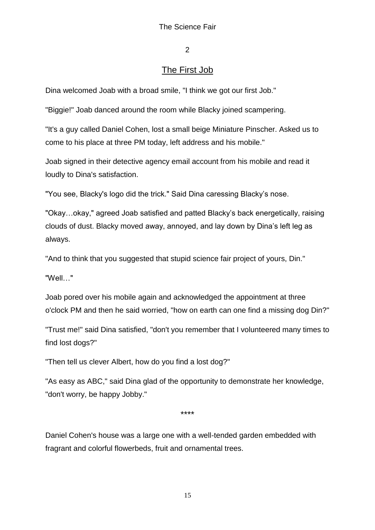#### 2

# The First Job

Dina welcomed Joab with a broad smile, "I think we got our first Job."

"Biggie!" Joab danced around the room while Blacky joined scampering.

"It's a guy called Daniel Cohen, lost a small beige Miniature Pinscher. Asked us to come to his place at three PM today, left address and his mobile."

Joab signed in their detective agency email account from his mobile and read it loudly to Dina's satisfaction.

"You see, Blacky's logo did the trick." Said Dina caressing Blacky's nose.

"Okay…okay," agreed Joab satisfied and patted Blacky's back energetically, raising clouds of dust. Blacky moved away, annoyed, and lay down by Dina's left leg as always.

"And to think that you suggested that stupid science fair project of yours, Din."

"Well…"

Joab pored over his mobile again and acknowledged the appointment at three o'clock PM and then he said worried, "how on earth can one find a missing dog Din?"

"Trust me!" said Dina satisfied, "don't you remember that I volunteered many times to find lost dogs?"

"Then tell us clever Albert, how do you find a lost dog?"

"As easy as ABC," said Dina glad of the opportunity to demonstrate her knowledge, "don't worry, be happy Jobby."

\*\*\*\*

Daniel Cohen's house was a large one with a well-tended garden embedded with fragrant and colorful flowerbeds, fruit and ornamental trees.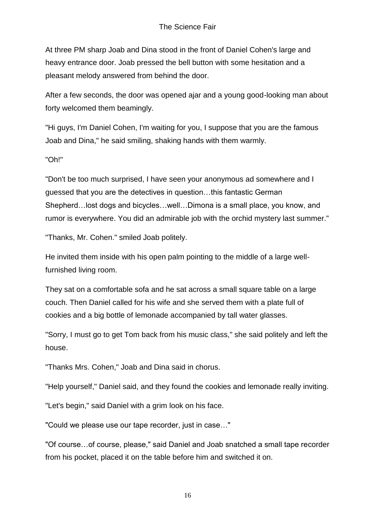At three PM sharp Joab and Dina stood in the front of Daniel Cohen's large and heavy entrance door. Joab pressed the bell button with some hesitation and a pleasant melody answered from behind the door.

After a few seconds, the door was opened ajar and a young good-looking man about forty welcomed them beamingly.

"Hi guys, I'm Daniel Cohen, I'm waiting for you, I suppose that you are the famous Joab and Dina," he said smiling, shaking hands with them warmly.

"Oh!"

"Don't be too much surprised, I have seen your anonymous ad somewhere and I guessed that you are the detectives in question…this fantastic German Shepherd…lost dogs and bicycles…well…Dimona is a small place, you know, and rumor is everywhere. You did an admirable job with the orchid mystery last summer."

"Thanks, Mr. Cohen." smiled Joab politely.

He invited them inside with his open palm pointing to the middle of a large wellfurnished living room.

They sat on a comfortable sofa and he sat across a small square table on a large couch. Then Daniel called for his wife and she served them with a plate full of cookies and a big bottle of lemonade accompanied by tall water glasses.

"Sorry, I must go to get Tom back from his music class," she said politely and left the house.

"Thanks Mrs. Cohen," Joab and Dina said in chorus.

"Help yourself," Daniel said, and they found the cookies and lemonade really inviting.

"Let's begin," said Daniel with a grim look on his face.

"Could we please use our tape recorder, just in case…"

"Of course…of course, please," said Daniel and Joab snatched a small tape recorder from his pocket, placed it on the table before him and switched it on.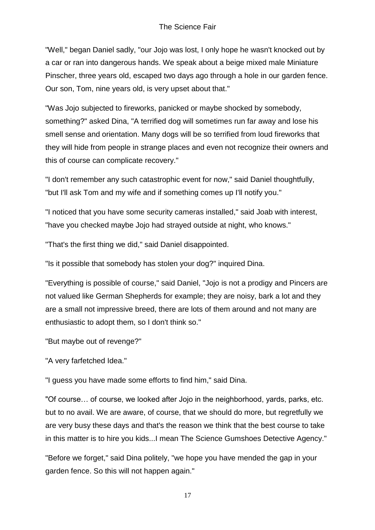"Well," began Daniel sadly, "our Jojo was lost, I only hope he wasn't knocked out by a car or ran into dangerous hands. We speak about a beige mixed male Miniature Pinscher, three years old, escaped two days ago through a hole in our garden fence. Our son, Tom, nine years old, is very upset about that."

"Was Jojo subjected to fireworks, panicked or maybe shocked by somebody, something?" asked Dina, "A terrified dog will sometimes run far away and lose his smell sense and orientation. Many dogs will be so terrified from loud fireworks that they will hide from people in strange places and even not recognize their owners and this of course can complicate recovery."

"I don't remember any such catastrophic event for now," said Daniel thoughtfully, "but I'll ask Tom and my wife and if something comes up I'll notify you."

"I noticed that you have some security cameras installed," said Joab with interest, "have you checked maybe Jojo had strayed outside at night, who knows."

"That's the first thing we did," said Daniel disappointed.

"Is it possible that somebody has stolen your dog?" inquired Dina.

"Everything is possible of course," said Daniel, "Jojo is not a prodigy and Pincers are not valued like German Shepherds for example; they are noisy, bark a lot and they are a small not impressive breed, there are lots of them around and not many are enthusiastic to adopt them, so I don't think so."

"But maybe out of revenge?"

"A very farfetched Idea."

"I guess you have made some efforts to find him," said Dina.

"Of course… of course, we looked after Jojo in the neighborhood, yards, parks, etc. but to no avail. We are aware, of course, that we should do more, but regretfully we are very busy these days and that's the reason we think that the best course to take in this matter is to hire you kids...I mean The Science Gumshoes Detective Agency."

"Before we forget," said Dina politely, "we hope you have mended the gap in your garden fence. So this will not happen again."

17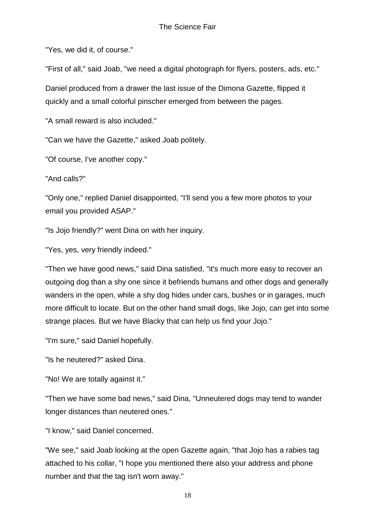"Yes, we did it, of course."

"First of all," said Joab, "we need a digital photograph for flyers, posters, ads, etc."

Daniel produced from a drawer the last issue of the Dimona Gazette, flipped it quickly and a small colorful pinscher emerged from between the pages.

"A small reward is also included."

"Can we have the Gazette," asked Joab politely.

"Of course, I've another copy."

"And calls?"

"Only one," replied Daniel disappointed, "I'll send you a few more photos to your email you provided ASAP."

"Is Jojo friendly?" went Dina on with her inquiry.

"Yes, yes, very friendly indeed."

"Then we have good news," said Dina satisfied, "it's much more easy to recover an outgoing dog than a shy one since it befriends humans and other dogs and generally wanders in the open, while a shy dog hides under cars, bushes or in garages, much more difficult to locate. But on the other hand small dogs, like Jojo, can get into some strange places. But we have Blacky that can help us find your Jojo."

"I'm sure," said Daniel hopefully.

"Is he neutered?" asked Dina.

"No! We are totally against it."

"Then we have some bad news," said Dina, "Unneutered dogs may tend to wander longer distances than neutered ones."

"I know," said Daniel concerned.

"We see," said Joab looking at the open Gazette again, "that Jojo has a rabies tag attached to his collar, "I hope you mentioned there also your address and phone number and that the tag isn't worn away."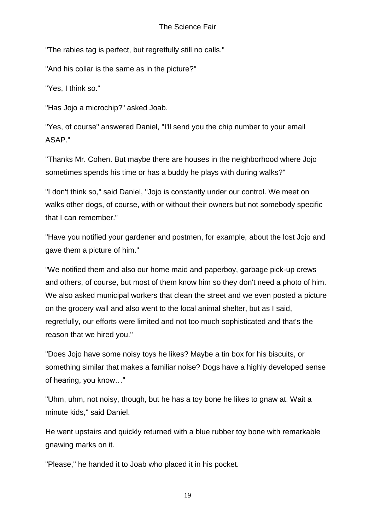"The rabies tag is perfect, but regretfully still no calls."

"And his collar is the same as in the picture?"

"Yes, I think so."

"Has Jojo a microchip?" asked Joab.

"Yes, of course" answered Daniel, "I'll send you the chip number to your email ASAP."

"Thanks Mr. Cohen. But maybe there are houses in the neighborhood where Jojo sometimes spends his time or has a buddy he plays with during walks?"

"I don't think so," said Daniel, "Jojo is constantly under our control. We meet on walks other dogs, of course, with or without their owners but not somebody specific that I can remember."

"Have you notified your gardener and postmen, for example, about the lost Jojo and gave them a picture of him."

"We notified them and also our home maid and paperboy, garbage pick-up crews and others, of course, but most of them know him so they don't need a photo of him. We also asked municipal workers that clean the street and we even posted a picture on the grocery wall and also went to the local animal shelter, but as I said, regretfully, our efforts were limited and not too much sophisticated and that's the reason that we hired you."

"Does Jojo have some noisy toys he likes? Maybe a tin box for his biscuits, or something similar that makes a familiar noise? Dogs have a highly developed sense of hearing, you know…"

"Uhm, uhm, not noisy, though, but he has a toy bone he likes to gnaw at. Wait a minute kids," said Daniel.

He went upstairs and quickly returned with a blue rubber toy bone with remarkable gnawing marks on it.

"Please," he handed it to Joab who placed it in his pocket.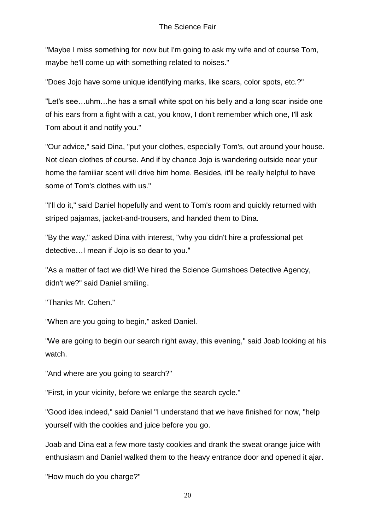"Maybe I miss something for now but I'm going to ask my wife and of course Tom, maybe he'll come up with something related to noises."

"Does Jojo have some unique identifying marks, like scars, color spots, etc.?"

"Let's see…uhm…he has a small white spot on his belly and a long scar inside one of his ears from a fight with a cat, you know, I don't remember which one, I'll ask Tom about it and notify you."

"Our advice," said Dina, "put your clothes, especially Tom's, out around your house. Not clean clothes of course. And if by chance Jojo is wandering outside near your home the familiar scent will drive him home. Besides, it'll be really helpful to have some of Tom's clothes with us."

"I'll do it," said Daniel hopefully and went to Tom's room and quickly returned with striped pajamas, jacket-and-trousers, and handed them to Dina.

"By the way," asked Dina with interest, "why you didn't hire a professional pet detective…I mean if Jojo is so dear to you."

"As a matter of fact we did! We hired the Science Gumshoes Detective Agency, didn't we?" said Daniel smiling.

"Thanks Mr. Cohen."

"When are you going to begin," asked Daniel.

"We are going to begin our search right away, this evening," said Joab looking at his watch.

"And where are you going to search?"

"First, in your vicinity, before we enlarge the search cycle."

"Good idea indeed," said Daniel "I understand that we have finished for now, "help yourself with the cookies and juice before you go.

Joab and Dina eat a few more tasty cookies and drank the sweat orange juice with enthusiasm and Daniel walked them to the heavy entrance door and opened it ajar.

"How much do you charge?"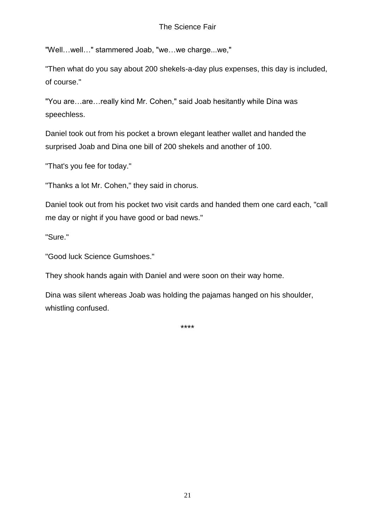"Well…well…" stammered Joab, "we…we charge...we,"

"Then what do you say about 200 shekels-a-day plus expenses, this day is included, of course."

"You are…are…really kind Mr. Cohen," said Joab hesitantly while Dina was speechless.

Daniel took out from his pocket a brown elegant leather wallet and handed the surprised Joab and Dina one bill of 200 shekels and another of 100.

"That's you fee for today."

"Thanks a lot Mr. Cohen," they said in chorus.

Daniel took out from his pocket two visit cards and handed them one card each, "call me day or night if you have good or bad news."

"Sure."

"Good luck Science Gumshoes."

They shook hands again with Daniel and were soon on their way home.

Dina was silent whereas Joab was holding the pajamas hanged on his shoulder, whistling confused.

\*\*\*\*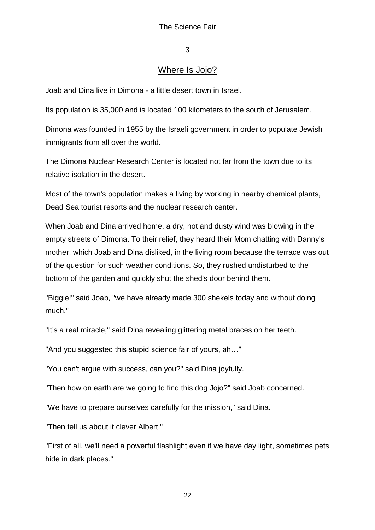#### The Science Fair

3

#### Where Is Jojo?

Joab and Dina live in Dimona - a little desert town in Israel.

Its population is 35,000 and is located 100 kilometers to the south of Jerusalem.

Dimona was founded in 1955 by the Israeli government in order to populate Jewish immigrants from all over the world.

The Dimona Nuclear Research Center is located not far from the town due to its relative isolation in the desert.

Most of the town's population makes a living by working in nearby chemical plants, Dead Sea tourist resorts and the nuclear research center.

When Joab and Dina arrived home, a dry, hot and dusty wind was blowing in the empty streets of Dimona. To their relief, they heard their Mom chatting with Danny's mother, which Joab and Dina disliked, in the living room because the terrace was out of the question for such weather conditions. So, they rushed undisturbed to the bottom of the garden and quickly shut the shed's door behind them.

"Biggie!" said Joab, "we have already made 300 shekels today and without doing much."

"It's a real miracle," said Dina revealing glittering metal braces on her teeth.

''And you suggested this stupid science fair of yours, ah…"

"You can't argue with success, can you?" said Dina joyfully.

"Then how on earth are we going to find this dog Jojo?" said Joab concerned.

"We have to prepare ourselves carefully for the mission," said Dina.

"Then tell us about it clever Albert."

"First of all, we'll need a powerful flashlight even if we have day light, sometimes pets hide in dark places."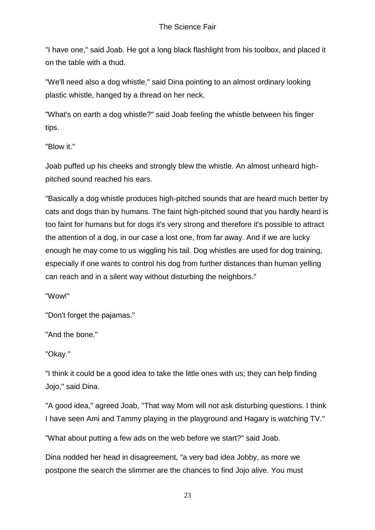"I have one," said Joab. He got a long black flashlight from his toolbox, and placed it on the table with a thud.

"We'll need also a dog whistle," said Dina pointing to an almost ordinary looking plastic whistle, hanged by a thread on her neck.

"What's on earth a dog whistle?" said Joab feeling the whistle between his finger tips.

"Blow it."

Joab puffed up his cheeks and strongly blew the whistle. An almost unheard highpitched sound reached his ears.

"Basically a dog whistle produces high-pitched sounds that are heard much better by cats and dogs than by humans. The faint high-pitched sound that you hardly heard is too faint for humans but for dogs it's very strong and therefore it's possible to attract the attention of a dog, in our case a lost one, from far away. And if we are lucky enough he may come to us wiggling his tail. Dog whistles are used for dog training, especially if one wants to control his dog from further distances than human yelling can reach and in a silent way without disturbing the neighbors."

"Wow!"

"Don't forget the pajamas."

"And the bone."

"Okay."

"I think it could be a good idea to take the little ones with us; they can help finding Jojo," said Dina.

"A good idea," agreed Joab, "That way Mom will not ask disturbing questions. I think I have seen Ami and Tammy playing in the playground and Hagary is watching TV."

"What about putting a few ads on the web before we start?" said Joab.

Dina nodded her head in disagreement, "a very bad idea Jobby, as more we postpone the search the slimmer are the chances to find Jojo alive. You must

23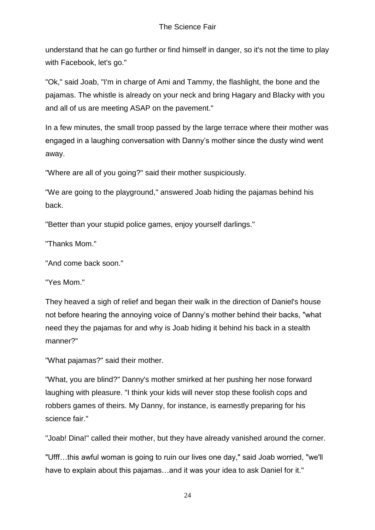understand that he can go further or find himself in danger, so it's not the time to play with Facebook, let's go."

"Ok," said Joab, "I'm in charge of Ami and Tammy, the flashlight, the bone and the pajamas. The whistle is already on your neck and bring Hagary and Blacky with you and all of us are meeting ASAP on the pavement."

In a few minutes, the small troop passed by the large terrace where their mother was engaged in a laughing conversation with Danny's mother since the dusty wind went away.

"Where are all of you going?" said their mother suspiciously.

"We are going to the playground," answered Joab hiding the pajamas behind his back.

"Better than your stupid police games, enjoy yourself darlings."

"Thanks Mom."

"And come back soon."

"Yes Mom."

They heaved a sigh of relief and began their walk in the direction of Daniel's house not before hearing the annoying voice of Danny's mother behind their backs, "what need they the pajamas for and why is Joab hiding it behind his back in a stealth manner?"

"What pajamas?" said their mother.

"What, you are blind?" Danny's mother smirked at her pushing her nose forward laughing with pleasure. "I think your kids will never stop these foolish cops and robbers games of theirs. My Danny, for instance, is earnestly preparing for his science fair."

"Joab! Dina!" called their mother, but they have already vanished around the corner.

"Ufff…this awful woman is going to ruin our lives one day," said Joab worried, "we'll have to explain about this pajamas...and it was your idea to ask Daniel for it."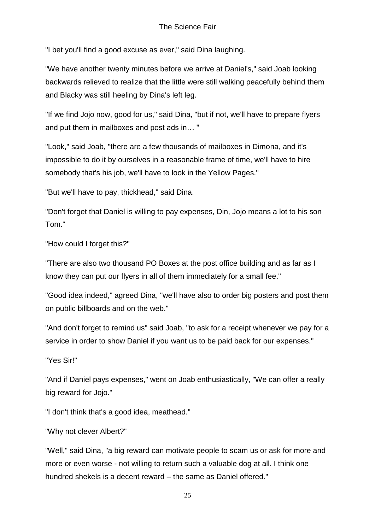"I bet you'll find a good excuse as ever," said Dina laughing.

"We have another twenty minutes before we arrive at Daniel's," said Joab looking backwards relieved to realize that the little were still walking peacefully behind them and Blacky was still heeling by Dina's left leg.

"If we find Jojo now, good for us," said Dina, "but if not, we'll have to prepare flyers and put them in mailboxes and post ads in… "

"Look," said Joab, "there are a few thousands of mailboxes in Dimona, and it's impossible to do it by ourselves in a reasonable frame of time, we'll have to hire somebody that's his job, we'll have to look in the Yellow Pages."

"But we'll have to pay, thickhead," said Dina.

"Don't forget that Daniel is willing to pay expenses, Din, Jojo means a lot to his son Tom."

"How could I forget this?"

"There are also two thousand PO Boxes at the post office building and as far as I know they can put our flyers in all of them immediately for a small fee."

"Good idea indeed," agreed Dina, "we'll have also to order big posters and post them on public billboards and on the web."

"And don't forget to remind us" said Joab, "to ask for a receipt whenever we pay for a service in order to show Daniel if you want us to be paid back for our expenses."

"Yes Sir!"

"And if Daniel pays expenses," went on Joab enthusiastically, "We can offer a really big reward for Jojo."

"I don't think that's a good idea, meathead."

"Why not clever Albert?"

"Well," said Dina, "a big reward can motivate people to scam us or ask for more and more or even worse - not willing to return such a valuable dog at all. I think one hundred shekels is a decent reward – the same as Daniel offered."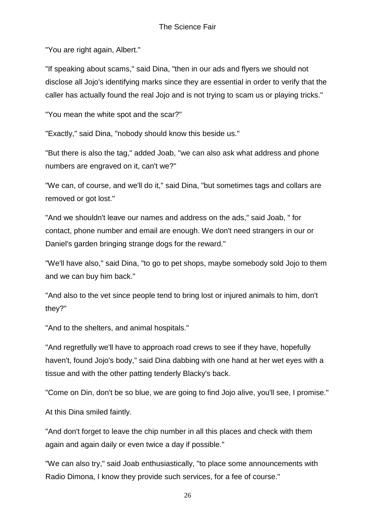"You are right again, Albert."

"If speaking about scams," said Dina, "then in our ads and flyers we should not disclose all Jojo's identifying marks since they are essential in order to verify that the caller has actually found the real Jojo and is not trying to scam us or playing tricks."

"You mean the white spot and the scar?"

"Exactly," said Dina, "nobody should know this beside us."

"But there is also the tag," added Joab, "we can also ask what address and phone numbers are engraved on it, can't we?"

"We can, of course, and we'll do it," said Dina, "but sometimes tags and collars are removed or got lost."

"And we shouldn't leave our names and address on the ads," said Joab, " for contact, phone number and email are enough. We don't need strangers in our or Daniel's garden bringing strange dogs for the reward."

"We'll have also," said Dina, "to go to pet shops, maybe somebody sold Jojo to them and we can buy him back."

"And also to the vet since people tend to bring lost or injured animals to him, don't they?"

"And to the shelters, and animal hospitals."

"And regretfully we'll have to approach road crews to see if they have, hopefully haven't, found Jojo's body," said Dina dabbing with one hand at her wet eyes with a tissue and with the other patting tenderly Blacky's back.

"Come on Din, don't be so blue, we are going to find Jojo alive, you'll see, I promise."

At this Dina smiled faintly.

"And don't forget to leave the chip number in all this places and check with them again and again daily or even twice a day if possible."

"We can also try," said Joab enthusiastically, "to place some announcements with Radio Dimona, I know they provide such services, for a fee of course."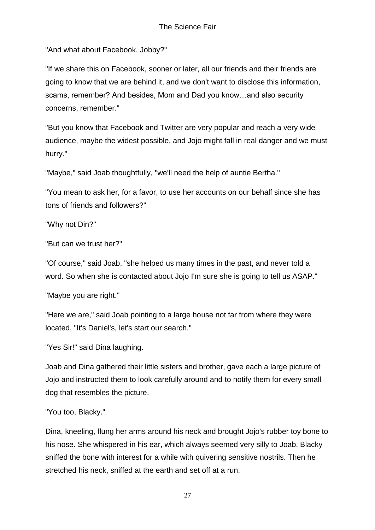"And what about Facebook, Jobby?"

"If we share this on Facebook, sooner or later, all our friends and their friends are going to know that we are behind it, and we don't want to disclose this information, scams, remember? And besides, Mom and Dad you know…and also security concerns, remember."

"But you know that Facebook and Twitter are very popular and reach a very wide audience, maybe the widest possible, and Jojo might fall in real danger and we must hurry."

"Maybe," said Joab thoughtfully, "we'll need the help of auntie Bertha."

"You mean to ask her, for a favor, to use her accounts on our behalf since she has tons of friends and followers?"

"Why not Din?"

"But can we trust her?"

"Of course," said Joab, "she helped us many times in the past, and never told a word. So when she is contacted about Jojo I'm sure she is going to tell us ASAP."

"Maybe you are right."

"Here we are," said Joab pointing to a large house not far from where they were located, "It's Daniel's, let's start our search."

"Yes Sir!" said Dina laughing.

Joab and Dina gathered their little sisters and brother, gave each a large picture of Jojo and instructed them to look carefully around and to notify them for every small dog that resembles the picture.

```
"You too, Blacky."
```
Dina, kneeling, flung her arms around his neck and brought Jojo's rubber toy bone to his nose. She whispered in his ear, which always seemed very silly to Joab. Blacky sniffed the bone with interest for a while with quivering sensitive nostrils. Then he stretched his neck, sniffed at the earth and set off at a run.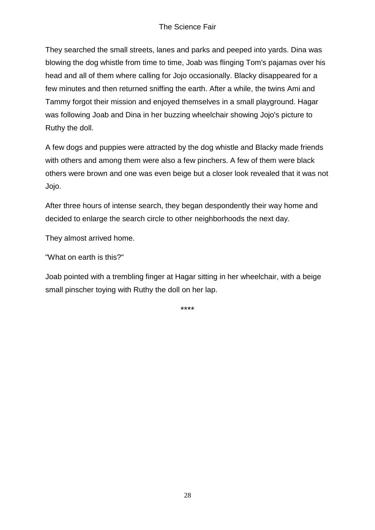#### The Science Fair

They searched the small streets, lanes and parks and peeped into yards. Dina was blowing the dog whistle from time to time, Joab was flinging Tom's pajamas over his head and all of them where calling for Jojo occasionally. Blacky disappeared for a few minutes and then returned sniffing the earth. After a while, the twins Ami and Tammy forgot their mission and enjoyed themselves in a small playground. Hagar was following Joab and Dina in her buzzing wheelchair showing Jojo's picture to Ruthy the doll.

A few dogs and puppies were attracted by the dog whistle and Blacky made friends with others and among them were also a few pinchers. A few of them were black others were brown and one was even beige but a closer look revealed that it was not Jojo.

After three hours of intense search, they began despondently their way home and decided to enlarge the search circle to other neighborhoods the next day.

They almost arrived home.

"What on earth is this?"

Joab pointed with a trembling finger at Hagar sitting in her wheelchair, with a beige small pinscher toying with Ruthy the doll on her lap.

\*\*\*\*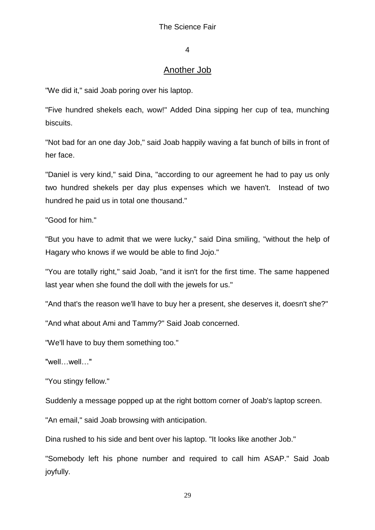#### 4

#### Another Job

"We did it," said Joab poring over his laptop.

"Five hundred shekels each, wow!" Added Dina sipping her cup of tea, munching biscuits.

"Not bad for an one day Job," said Joab happily waving a fat bunch of bills in front of her face.

"Daniel is very kind," said Dina, "according to our agreement he had to pay us only two hundred shekels per day plus expenses which we haven't. Instead of two hundred he paid us in total one thousand."

"Good for him."

"But you have to admit that we were lucky," said Dina smiling, "without the help of Hagary who knows if we would be able to find Jojo."

"You are totally right," said Joab, "and it isn't for the first time. The same happened last year when she found the doll with the jewels for us."

"And that's the reason we'll have to buy her a present, she deserves it, doesn't she?"

"And what about Ami and Tammy?" Said Joab concerned.

"We'll have to buy them something too."

"well…well…"

"You stingy fellow."

Suddenly a message popped up at the right bottom corner of Joab's laptop screen.

"An email," said Joab browsing with anticipation.

Dina rushed to his side and bent over his laptop. "It looks like another Job."

"Somebody left his phone number and required to call him ASAP." Said Joab joyfully.

29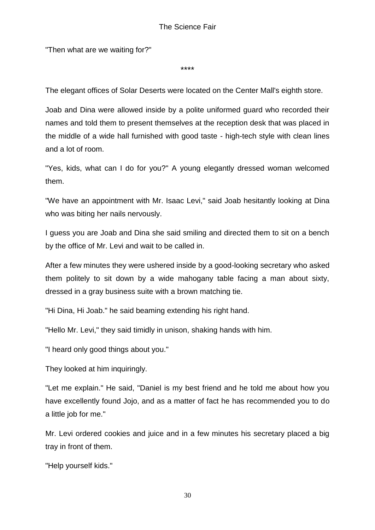"Then what are we waiting for?"

\*\*\*\*

The elegant offices of Solar Deserts were located on the Center Mall's eighth store.

Joab and Dina were allowed inside by a polite uniformed guard who recorded their names and told them to present themselves at the reception desk that was placed in the middle of a wide hall furnished with good taste - high-tech style with clean lines and a lot of room.

"Yes, kids, what can I do for you?" A young elegantly dressed woman welcomed them.

"We have an appointment with Mr. Isaac Levi," said Joab hesitantly looking at Dina who was biting her nails nervously.

I guess you are Joab and Dina she said smiling and directed them to sit on a bench by the office of Mr. Levi and wait to be called in.

After a few minutes they were ushered inside by a good-looking secretary who asked them politely to sit down by a wide mahogany table facing a man about sixty, dressed in a gray business suite with a brown matching tie.

"Hi Dina, Hi Joab." he said beaming extending his right hand.

"Hello Mr. Levi," they said timidly in unison, shaking hands with him.

"I heard only good things about you."

They looked at him inquiringly.

"Let me explain." He said, "Daniel is my best friend and he told me about how you have excellently found Jojo, and as a matter of fact he has recommended you to do a little job for me."

Mr. Levi ordered cookies and juice and in a few minutes his secretary placed a big tray in front of them.

"Help yourself kids."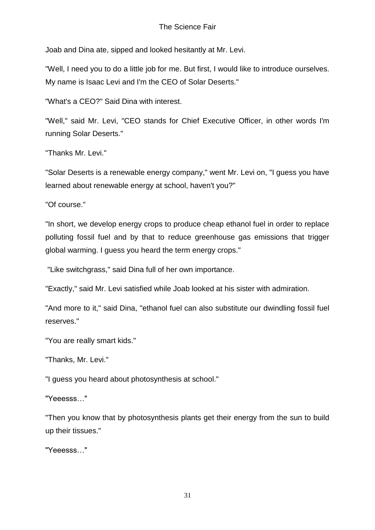Joab and Dina ate, sipped and looked hesitantly at Mr. Levi.

"Well, I need you to do a little job for me. But first, I would like to introduce ourselves. My name is Isaac Levi and I'm the CEO of Solar Deserts."

"What's a CEO?" Said Dina with interest.

"Well," said Mr. Levi, "CEO stands for Chief Executive Officer, in other words I'm running Solar Deserts."

"Thanks Mr. Levi."

"Solar Deserts is a renewable energy company," went Mr. Levi on, "I guess you have learned about renewable energy at school, haven't you?"

"Of course."

"In short, we develop energy crops to produce cheap ethanol fuel in order to replace polluting fossil fuel and by that to reduce greenhouse gas emissions that trigger global warming. I guess you heard the term energy crops."

"Like switchgrass," said Dina full of her own importance.

"Exactly," said Mr. Levi satisfied while Joab looked at his sister with admiration.

"And more to it," said Dina, "ethanol fuel can also substitute our dwindling fossil fuel reserves."

"You are really smart kids."

"Thanks, Mr. Levi."

"I guess you heard about photosynthesis at school."

"Yeeesss…"

"Then you know that by photosynthesis plants get their energy from the sun to build up their tissues."

"Yeeesss…"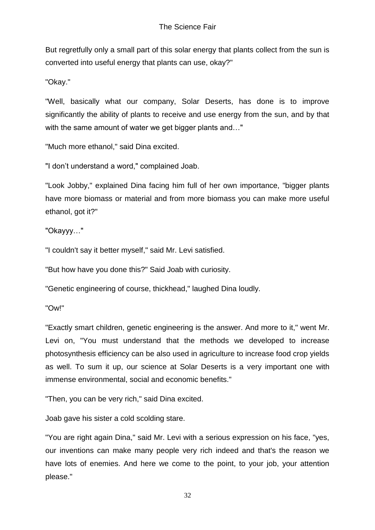But regretfully only a small part of this solar energy that plants collect from the sun is converted into useful energy that plants can use, okay?"

"Okay."

"Well, basically what our company, Solar Deserts, has done is to improve significantly the ability of plants to receive and use energy from the sun, and by that with the same amount of water we get bigger plants and..."

"Much more ethanol," said Dina excited.

"I don't understand a word," complained Joab.

"Look Jobby," explained Dina facing him full of her own importance, "bigger plants have more biomass or material and from more biomass you can make more useful ethanol, got it?"

"Okayyy…"

"I couldn't say it better myself," said Mr. Levi satisfied.

"But how have you done this?" Said Joab with curiosity.

"Genetic engineering of course, thickhead," laughed Dina loudly.

"Ow!"

"Exactly smart children, genetic engineering is the answer. And more to it," went Mr. Levi on, "You must understand that the methods we developed to increase photosynthesis efficiency can be also used in agriculture to increase food crop yields as well. To sum it up, our science at Solar Deserts is a very important one with immense environmental, social and economic benefits."

"Then, you can be very rich," said Dina excited.

Joab gave his sister a cold scolding stare.

"You are right again Dina," said Mr. Levi with a serious expression on his face, "yes, our inventions can make many people very rich indeed and that's the reason we have lots of enemies. And here we come to the point, to your job, your attention please."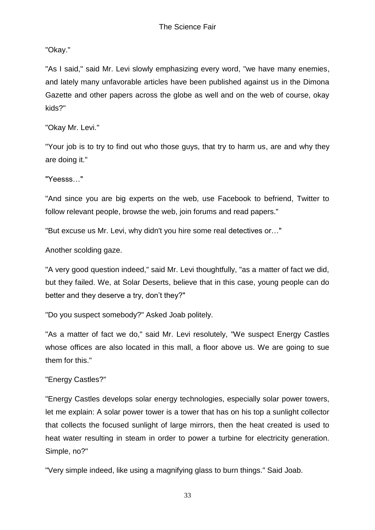"Okay."

"As I said," said Mr. Levi slowly emphasizing every word, "we have many enemies, and lately many unfavorable articles have been published against us in the Dimona Gazette and other papers across the globe as well and on the web of course, okay kids?"

"Okay Mr. Levi."

"Your job is to try to find out who those guys, that try to harm us, are and why they are doing it."

"Yeesss…"

"And since you are big experts on the web, use Facebook to befriend, Twitter to follow relevant people, browse the web, join forums and read papers."

"But excuse us Mr. Levi, why didn't you hire some real detectives or…"

Another scolding gaze.

"A very good question indeed," said Mr. Levi thoughtfully, "as a matter of fact we did, but they failed. We, at Solar Deserts, believe that in this case, young people can do better and they deserve a try, don't they?"

"Do you suspect somebody?" Asked Joab politely.

"As a matter of fact we do," said Mr. Levi resolutely, "We suspect Energy Castles whose offices are also located in this mall, a floor above us. We are going to sue them for this."

"Energy Castles?"

"Energy Castles develops solar energy technologies, especially solar power towers, let me explain: A solar power tower is a tower that has on his top a sunlight collector that collects the focused sunlight of large mirrors, then the heat created is used to heat water resulting in steam in order to power a turbine for electricity generation. Simple, no?"

"Very simple indeed, like using a magnifying glass to burn things." Said Joab.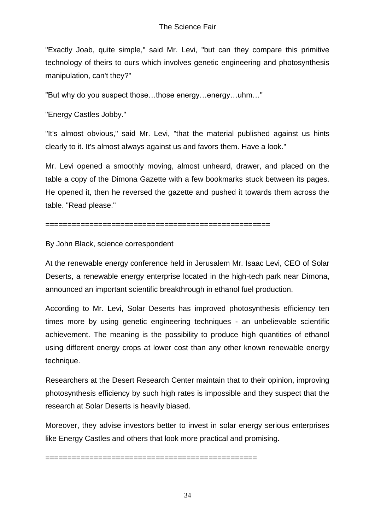"Exactly Joab, quite simple," said Mr. Levi, "but can they compare this primitive technology of theirs to ours which involves genetic engineering and photosynthesis manipulation, can't they?"

"But why do you suspect those…those energy…energy…uhm…"

"Energy Castles Jobby."

"It's almost obvious," said Mr. Levi, "that the material published against us hints clearly to it. It's almost always against us and favors them. Have a look."

Mr. Levi opened a smoothly moving, almost unheard, drawer, and placed on the table a copy of the Dimona Gazette with a few bookmarks stuck between its pages. He opened it, then he reversed the gazette and pushed it towards them across the table. "Read please."

===================================================

By John Black, science correspondent

At the renewable energy conference held in Jerusalem Mr. Isaac Levi, CEO of Solar Deserts, a renewable energy enterprise located in the high-tech park near Dimona, announced an important scientific breakthrough in ethanol fuel production.

According to Mr. Levi, Solar Deserts has improved photosynthesis efficiency ten times more by using genetic engineering techniques - an unbelievable scientific achievement. The meaning is the possibility to produce high quantities of ethanol using different energy crops at lower cost than any other known renewable energy technique.

Researchers at the Desert Research Center maintain that to their opinion, improving photosynthesis efficiency by such high rates is impossible and they suspect that the research at Solar Deserts is heavily biased.

Moreover, they advise investors better to invest in solar energy serious enterprises like Energy Castles and others that look more practical and promising.

================================================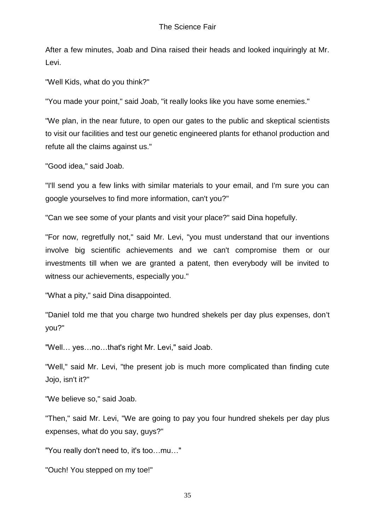After a few minutes, Joab and Dina raised their heads and looked inquiringly at Mr. Levi.

"Well Kids, what do you think?"

"You made your point," said Joab, "it really looks like you have some enemies."

"We plan, in the near future, to open our gates to the public and skeptical scientists to visit our facilities and test our genetic engineered plants for ethanol production and refute all the claims against us."

"Good idea," said Joab.

"I'll send you a few links with similar materials to your email, and I'm sure you can google yourselves to find more information, can't you?"

"Can we see some of your plants and visit your place?" said Dina hopefully.

"For now, regretfully not," said Mr. Levi, "you must understand that our inventions involve big scientific achievements and we can't compromise them or our investments till when we are granted a patent, then everybody will be invited to witness our achievements, especially you."

"What a pity," said Dina disappointed.

"Daniel told me that you charge two hundred shekels per day plus expenses, don't you?"

"Well… yes…no…that's right Mr. Levi," said Joab.

"Well," said Mr. Levi, "the present job is much more complicated than finding cute Jojo, isn't it?"

"We believe so," said Joab.

"Then," said Mr. Levi, "We are going to pay you four hundred shekels per day plus expenses, what do you say, guys?"

"You really don't need to, it's too…mu…"

"Ouch! You stepped on my toe!"

35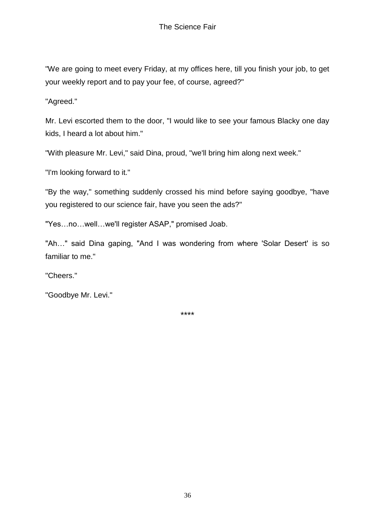"We are going to meet every Friday, at my offices here, till you finish your job, to get your weekly report and to pay your fee, of course, agreed?"

"Agreed."

Mr. Levi escorted them to the door, "I would like to see your famous Blacky one day kids, I heard a lot about him."

"With pleasure Mr. Levi," said Dina, proud, "we'll bring him along next week."

"I'm looking forward to it."

"By the way," something suddenly crossed his mind before saying goodbye, "have you registered to our science fair, have you seen the ads?"

"Yes…no…well…we'll register ASAP," promised Joab.

"Ah…" said Dina gaping, "And I was wondering from where 'Solar Desert' is so familiar to me."

"Cheers."

"Goodbye Mr. Levi."

\*\*\*\*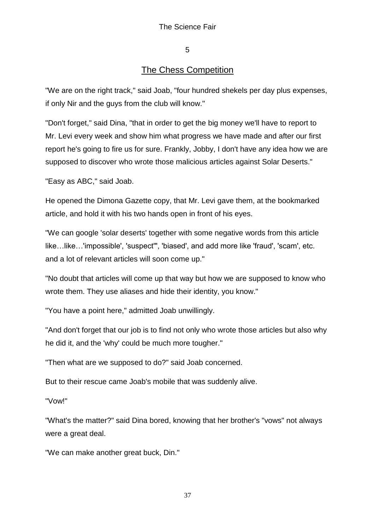## 5

# The Chess Competition

"We are on the right track," said Joab, "four hundred shekels per day plus expenses, if only Nir and the guys from the club will know."

"Don't forget," said Dina, "that in order to get the big money we'll have to report to Mr. Levi every week and show him what progress we have made and after our first report he's going to fire us for sure. Frankly, Jobby, I don't have any idea how we are supposed to discover who wrote those malicious articles against Solar Deserts."

"Easy as ABC," said Joab.

He opened the Dimona Gazette copy, that Mr. Levi gave them, at the bookmarked article, and hold it with his two hands open in front of his eyes.

"We can google 'solar deserts' together with some negative words from this article like…like…'impossible', 'suspect'", 'biased', and add more like 'fraud', 'scam', etc. and a lot of relevant articles will soon come up."

"No doubt that articles will come up that way but how we are supposed to know who wrote them. They use aliases and hide their identity, you know."

"You have a point here," admitted Joab unwillingly.

"And don't forget that our job is to find not only who wrote those articles but also why he did it, and the 'why' could be much more tougher."

"Then what are we supposed to do?" said Joab concerned.

But to their rescue came Joab's mobile that was suddenly alive.

"Vow!"

"What's the matter?" said Dina bored, knowing that her brother's "vows" not always were a great deal.

"We can make another great buck, Din."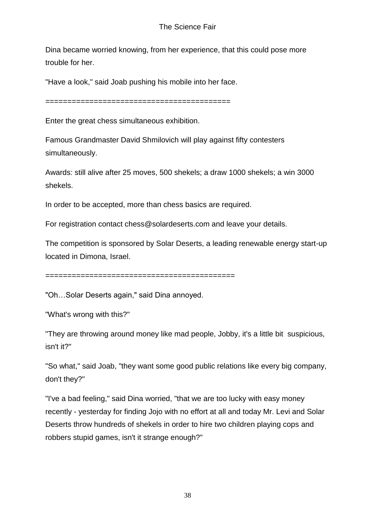Dina became worried knowing, from her experience, that this could pose more trouble for her.

"Have a look," said Joab pushing his mobile into her face.

==========================================

Enter the great chess simultaneous exhibition.

Famous Grandmaster David Shmilovich will play against fifty contesters simultaneously.

Awards: still alive after 25 moves, 500 shekels; a draw 1000 shekels; a win 3000 shekels.

In order to be accepted, more than chess basics are required.

For registration contact chess@solardeserts.com and leave your details.

The competition is sponsored by Solar Deserts, a leading renewable energy start-up located in Dimona, Israel.

===========================================

"Oh…Solar Deserts again," said Dina annoyed.

"What's wrong with this?"

"They are throwing around money like mad people, Jobby, it's a little bit suspicious, isn't it?"

"So what," said Joab, "they want some good public relations like every big company, don't they?"

"I've a bad feeling," said Dina worried, "that we are too lucky with easy money recently - yesterday for finding Jojo with no effort at all and today Mr. Levi and Solar Deserts throw hundreds of shekels in order to hire two children playing cops and robbers stupid games, isn't it strange enough?"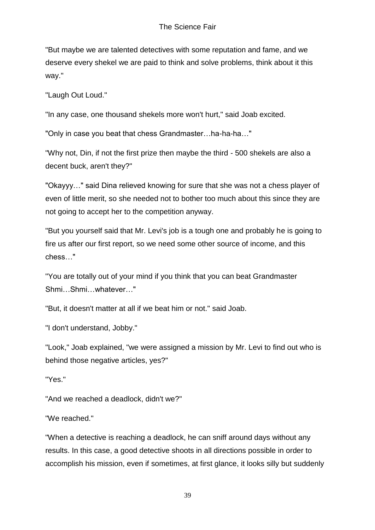"But maybe we are talented detectives with some reputation and fame, and we deserve every shekel we are paid to think and solve problems, think about it this way."

"Laugh Out Loud."

"In any case, one thousand shekels more won't hurt," said Joab excited.

"Only in case you beat that chess Grandmaster…ha-ha-ha…"

"Why not, Din, if not the first prize then maybe the third - 500 shekels are also a decent buck, aren't they?"

"Okayyy…" said Dina relieved knowing for sure that she was not a chess player of even of little merit, so she needed not to bother too much about this since they are not going to accept her to the competition anyway.

"But you yourself said that Mr. Levi's job is a tough one and probably he is going to fire us after our first report, so we need some other source of income, and this chess…"

"You are totally out of your mind if you think that you can beat Grandmaster Shmi…Shmi…whatever…"

"But, it doesn't matter at all if we beat him or not." said Joab.

"I don't understand, Jobby."

"Look," Joab explained, "we were assigned a mission by Mr. Levi to find out who is behind those negative articles, yes?"

"Yes."

"And we reached a deadlock, didn't we?"

"We reached."

"When a detective is reaching a deadlock, he can sniff around days without any results. In this case, a good detective shoots in all directions possible in order to accomplish his mission, even if sometimes, at first glance, it looks silly but suddenly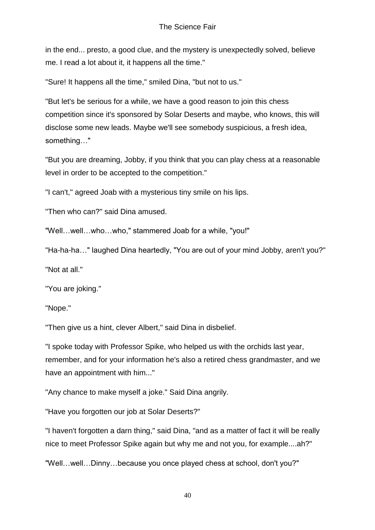in the end... presto, a good clue, and the mystery is unexpectedly solved, believe me. I read a lot about it, it happens all the time."

"Sure! It happens all the time," smiled Dina, "but not to us."

"But let's be serious for a while, we have a good reason to join this chess competition since it's sponsored by Solar Deserts and maybe, who knows, this will disclose some new leads. Maybe we'll see somebody suspicious, a fresh idea, something…"

"But you are dreaming, Jobby, if you think that you can play chess at a reasonable level in order to be accepted to the competition."

"I can't," agreed Joab with a mysterious tiny smile on his lips.

"Then who can?" said Dina amused.

"Well…well…who…who," stammered Joab for a while, "you!"

"Ha-ha-ha…" laughed Dina heartedly, "You are out of your mind Jobby, aren't you?"

"Not at all."

"You are joking."

"Nope."

"Then give us a hint, clever Albert," said Dina in disbelief.

"I spoke today with Professor Spike, who helped us with the orchids last year, remember, and for your information he's also a retired chess grandmaster, and we have an appointment with him..."

"Any chance to make myself a joke." Said Dina angrily.

"Have you forgotten our job at Solar Deserts?"

"I haven't forgotten a darn thing," said Dina, "and as a matter of fact it will be really nice to meet Professor Spike again but why me and not you, for example....ah?"

"Well…well…Dinny…because you once played chess at school, don't you?"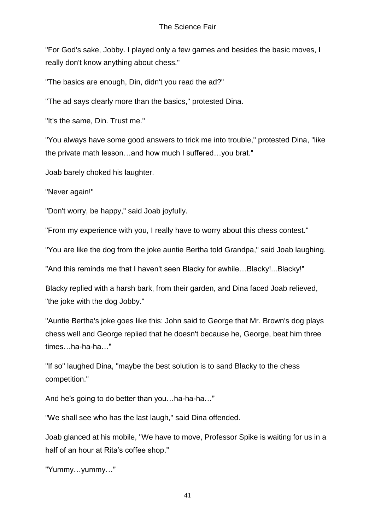"For God's sake, Jobby. I played only a few games and besides the basic moves, I really don't know anything about chess."

"The basics are enough, Din, didn't you read the ad?"

"The ad says clearly more than the basics," protested Dina.

"It's the same, Din. Trust me."

"You always have some good answers to trick me into trouble," protested Dina, "like the private math lesson…and how much I suffered…you brat."

Joab barely choked his laughter.

"Never again!"

"Don't worry, be happy," said Joab joyfully.

"From my experience with you, I really have to worry about this chess contest."

"You are like the dog from the joke auntie Bertha told Grandpa," said Joab laughing.

"And this reminds me that I haven't seen Blacky for awhile…Blacky!...Blacky!"

Blacky replied with a harsh bark, from their garden, and Dina faced Joab relieved, "the joke with the dog Jobby."

"Auntie Bertha's joke goes like this: John said to George that Mr. Brown's dog plays chess well and George replied that he doesn't because he, George, beat him three times…ha-ha-ha…"

"If so" laughed Dina, "maybe the best solution is to sand Blacky to the chess competition."

And he's going to do better than you…ha-ha-ha…"

"We shall see who has the last laugh," said Dina offended.

Joab glanced at his mobile, "We have to move, Professor Spike is waiting for us in a half of an hour at Rita's coffee shop."

"Yummy…yummy…"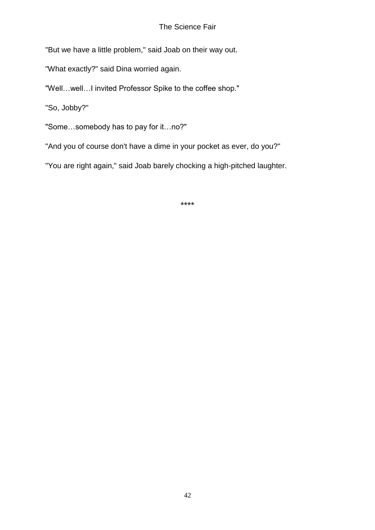"But we have a little problem," said Joab on their way out.

"What exactly?" said Dina worried again.

"Well…well…I invited Professor Spike to the coffee shop."

"So, Jobby?"

"Some…somebody has to pay for it…no?"

"And you of course don't have a dime in your pocket as ever, do you?"

"You are right again," said Joab barely chocking a high-pitched laughter.

\*\*\*\*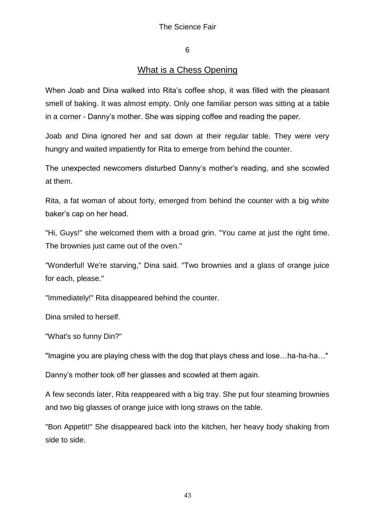### 6

# What is a Chess Opening

When Joab and Dina walked into Rita's coffee shop, it was filled with the pleasant smell of baking. It was almost empty. Only one familiar person was sitting at a table in a corner - Danny's mother. She was sipping coffee and reading the paper.

Joab and Dina ignored her and sat down at their regular table. They were very hungry and waited impatiently for Rita to emerge from behind the counter.

The unexpected newcomers disturbed Danny's mother's reading, and she scowled at them.

Rita, a fat woman of about forty, emerged from behind the counter with a big white baker's cap on her head.

"Hi, Guys!" she welcomed them with a broad grin. "You came at just the right time. The brownies just came out of the oven."

"Wonderful! We're starving," Dina said. "Two brownies and a glass of orange juice for each, please."

"Immediately!" Rita disappeared behind the counter.

Dina smiled to herself.

"What's so funny Din?"

"Imagine you are playing chess with the dog that plays chess and lose…ha-ha-ha…"

Danny's mother took off her glasses and scowled at them again.

A few seconds later, Rita reappeared with a big tray. She put four steaming brownies and two big glasses of orange juice with long straws on the table.

"Bon Appetit!" She disappeared back into the kitchen, her heavy body shaking from side to side.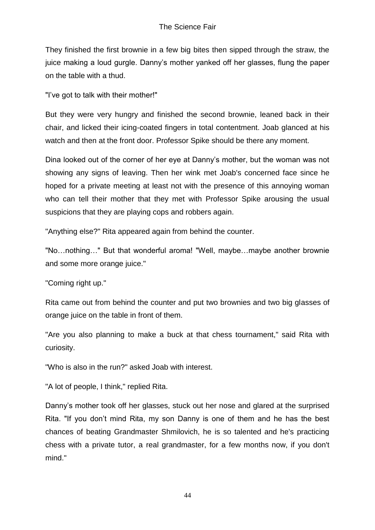### The Science Fair

They finished the first brownie in a few big bites then sipped through the straw, the juice making a loud gurgle. Danny's mother yanked off her glasses, flung the paper on the table with a thud.

"I've got to talk with their mother!"

But they were very hungry and finished the second brownie, leaned back in their chair, and licked their icing-coated fingers in total contentment. Joab glanced at his watch and then at the front door. Professor Spike should be there any moment.

Dina looked out of the corner of her eye at Danny's mother, but the woman was not showing any signs of leaving. Then her wink met Joab's concerned face since he hoped for a private meeting at least not with the presence of this annoying woman who can tell their mother that they met with Professor Spike arousing the usual suspicions that they are playing cops and robbers again.

"Anything else?" Rita appeared again from behind the counter.

"No…nothing…" But that wonderful aroma! "Well, maybe…maybe another brownie and some more orange juice."

"Coming right up."

Rita came out from behind the counter and put two brownies and two big glasses of orange juice on the table in front of them.

"Are you also planning to make a buck at that chess tournament," said Rita with curiosity.

"Who is also in the run?" asked Joab with interest.

"A lot of people, I think," replied Rita.

Danny's mother took off her glasses, stuck out her nose and glared at the surprised Rita. "If you don't mind Rita, my son Danny is one of them and he has the best chances of beating Grandmaster Shmilovich, he is so talented and he's practicing chess with a private tutor, a real grandmaster, for a few months now, if you don't mind."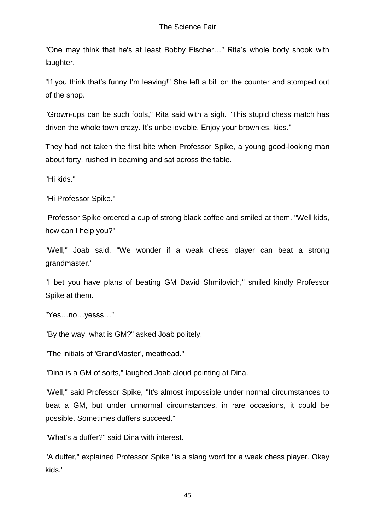"One may think that he's at least Bobby Fischer…" Rita's whole body shook with laughter.

"If you think that's funny I'm leaving!" She left a bill on the counter and stomped out of the shop.

"Grown-ups can be such fools," Rita said with a sigh. "This stupid chess match has driven the whole town crazy. It's unbelievable. Enjoy your brownies, kids."

They had not taken the first bite when Professor Spike, a young good-looking man about forty, rushed in beaming and sat across the table.

"Hi kids."

"Hi Professor Spike."

Professor Spike ordered a cup of strong black coffee and smiled at them. "Well kids, how can I help you?"

"Well," Joab said, "We wonder if a weak chess player can beat a strong grandmaster."

"I bet you have plans of beating GM David Shmilovich," smiled kindly Professor Spike at them.

"Yes…no…yesss…"

"By the way, what is GM?" asked Joab politely.

"The initials of 'GrandMaster', meathead."

"Dina is a GM of sorts," laughed Joab aloud pointing at Dina.

"Well," said Professor Spike, "It's almost impossible under normal circumstances to beat a GM, but under unnormal circumstances, in rare occasions, it could be possible. Sometimes duffers succeed."

"What's a duffer?" said Dina with interest.

"A duffer," explained Professor Spike "is a slang word for a weak chess player. Okey kids."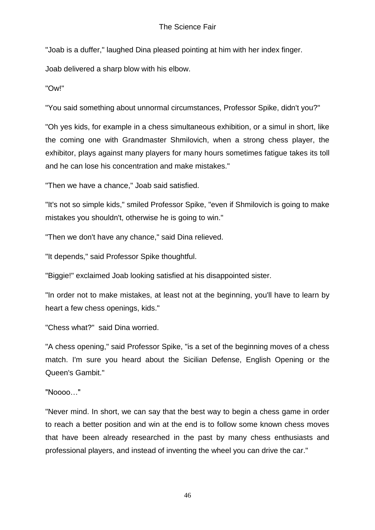"Joab is a duffer," laughed Dina pleased pointing at him with her index finger.

Joab delivered a sharp blow with his elbow.

"Ow!"

"You said something about unnormal circumstances, Professor Spike, didn't you?"

"Oh yes kids, for example in a chess simultaneous exhibition, or a simul in short, like the coming one with Grandmaster Shmilovich, when a strong chess player, the exhibitor, plays against many players for many hours sometimes fatigue takes its toll and he can lose his concentration and make mistakes."

"Then we have a chance," Joab said satisfied.

"It's not so simple kids," smiled Professor Spike, "even if Shmilovich is going to make mistakes you shouldn't, otherwise he is going to win."

"Then we don't have any chance," said Dina relieved.

"It depends," said Professor Spike thoughtful.

"Biggie!" exclaimed Joab looking satisfied at his disappointed sister.

"In order not to make mistakes, at least not at the beginning, you'll have to learn by heart a few chess openings, kids."

"Chess what?" said Dina worried.

"A chess opening," said Professor Spike, "is a set of the beginning moves of a chess match. I'm sure you heard about the Sicilian Defense, English Opening or the Queen's Gambit."

"Noooo…"

"Never mind. In short, we can say that the best way to begin a chess game in order to reach a better position and win at the end is to follow some known chess moves that have been already researched in the past by many chess enthusiasts and professional players, and instead of inventing the wheel you can drive the car."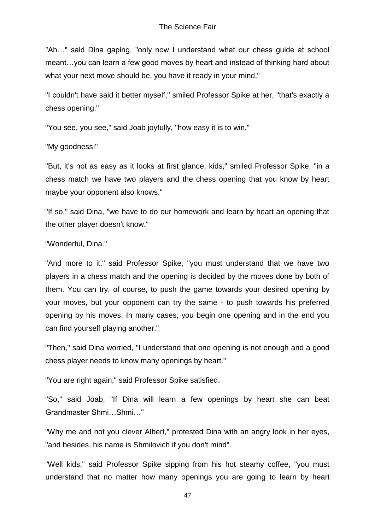#### The Science Fair

"Ah…" said Dina gaping, "only now I understand what our chess guide at school meant…you can learn a few good moves by heart and instead of thinking hard about what your next move should be, you have it ready in your mind."

"I couldn't have said it better myself," smiled Professor Spike at her, "that's exactly a chess opening."

"You see, you see," said Joab joyfully, "how easy it is to win."

#### "My goodness!"

"But, it's not as easy as it looks at first glance, kids," smiled Professor Spike, "in a chess match we have two players and the chess opening that you know by heart maybe your opponent also knows."

"If so," said Dina, "we have to do our homework and learn by heart an opening that the other player doesn't know."

#### "Wonderful, Dina."

"And more to it," said Professor Spike, "you must understand that we have two players in a chess match and the opening is decided by the moves done by both of them. You can try, of course, to push the game towards your desired opening by your moves, but your opponent can try the same - to push towards his preferred opening by his moves. In many cases, you begin one opening and in the end you can find yourself playing another."

"Then," said Dina worried, "I understand that one opening is not enough and a good chess player needs to know many openings by heart."

"You are right again," said Professor Spike satisfied.

"So," said Joab, "If Dina will learn a few openings by heart she can beat Grandmaster Shmi…Shmi…"

"Why me and not you clever Albert," protested Dina with an angry look in her eyes, "and besides, his name is Shmilovich if you don't mind".

"Well kids," said Professor Spike sipping from his hot steamy coffee, "you must understand that no matter how many openings you are going to learn by heart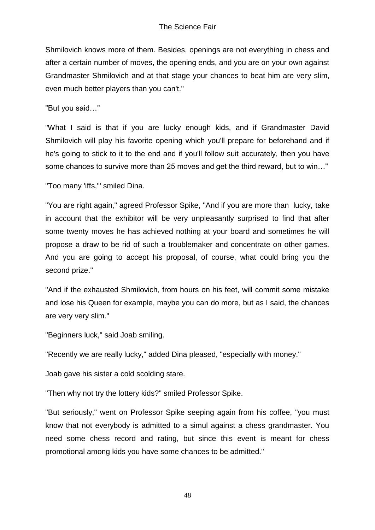Shmilovich knows more of them. Besides, openings are not everything in chess and after a certain number of moves, the opening ends, and you are on your own against Grandmaster Shmilovich and at that stage your chances to beat him are very slim, even much better players than you can't."

"But you said…"

"What I said is that if you are lucky enough kids, and if Grandmaster David Shmilovich will play his favorite opening which you'll prepare for beforehand and if he's going to stick to it to the end and if you'll follow suit accurately, then you have some chances to survive more than 25 moves and get the third reward, but to win…"

"Too many 'iffs,'" smiled Dina.

"You are right again," agreed Professor Spike, "And if you are more than lucky, take in account that the exhibitor will be very unpleasantly surprised to find that after some twenty moves he has achieved nothing at your board and sometimes he will propose a draw to be rid of such a troublemaker and concentrate on other games. And you are going to accept his proposal, of course, what could bring you the second prize."

"And if the exhausted Shmilovich, from hours on his feet, will commit some mistake and lose his Queen for example, maybe you can do more, but as I said, the chances are very very slim."

"Beginners luck," said Joab smiling.

"Recently we are really lucky," added Dina pleased, "especially with money."

Joab gave his sister a cold scolding stare.

"Then why not try the lottery kids?" smiled Professor Spike.

"But seriously," went on Professor Spike seeping again from his coffee, "you must know that not everybody is admitted to a simul against a chess grandmaster. You need some chess record and rating, but since this event is meant for chess promotional among kids you have some chances to be admitted."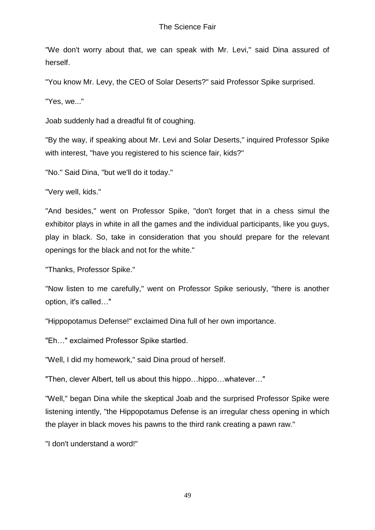"We don't worry about that, we can speak with Mr. Levi," said Dina assured of herself.

"You know Mr. Levy, the CEO of Solar Deserts?" said Professor Spike surprised.

"Yes, we..."

Joab suddenly had a dreadful fit of coughing.

"By the way, if speaking about Mr. Levi and Solar Deserts," inquired Professor Spike with interest, "have you registered to his science fair, kids?"

"No." Said Dina, "but we'll do it today."

"Very well, kids."

"And besides," went on Professor Spike, "don't forget that in a chess simul the exhibitor plays in white in all the games and the individual participants, like you guys, play in black. So, take in consideration that you should prepare for the relevant openings for the black and not for the white."

"Thanks, Professor Spike."

"Now listen to me carefully," went on Professor Spike seriously, "there is another option, it's called…"

"Hippopotamus Defense!" exclaimed Dina full of her own importance.

"Eh…" exclaimed Professor Spike startled.

"Well, I did my homework," said Dina proud of herself.

"Then, clever Albert, tell us about this hippo…hippo…whatever…"

"Well," began Dina while the skeptical Joab and the surprised Professor Spike were listening intently, "the Hippopotamus Defense is an irregular chess opening in which the player in black moves his pawns to the third rank creating a pawn raw."

"I don't understand a word!"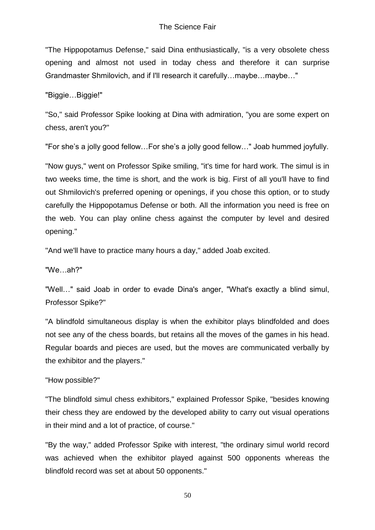### The Science Fair

"The Hippopotamus Defense," said Dina enthusiastically, "is a very obsolete chess opening and almost not used in today chess and therefore it can surprise Grandmaster Shmilovich, and if I'll research it carefully…maybe…maybe…"

"Biggie…Biggie!"

"So," said Professor Spike looking at Dina with admiration, "you are some expert on chess, aren't you?"

"For she's a jolly good fellow…For she's a jolly good fellow…" Joab hummed joyfully.

"Now guys," went on Professor Spike smiling, "it's time for hard work. The simul is in two weeks time, the time is short, and the work is big. First of all you'll have to find out Shmilovich's preferred opening or openings, if you chose this option, or to study carefully the Hippopotamus Defense or both. All the information you need is free on the web. You can play online chess against the computer by level and desired opening."

"And we'll have to practice many hours a day," added Joab excited.

"We…ah?"

"Well…" said Joab in order to evade Dina's anger, "What's exactly a blind simul, Professor Spike?"

"A blindfold simultaneous display is when the exhibitor plays blindfolded and does not see any of the chess boards, but retains all the moves of the games in his head. Regular boards and pieces are used, but the moves are communicated verbally by the exhibitor and the players."

## "How possible?"

"The blindfold simul chess exhibitors," explained Professor Spike, "besides knowing their chess they are endowed by the developed ability to carry out visual operations in their mind and a lot of practice, of course."

"By the way," added Professor Spike with interest, "the ordinary simul world record was achieved when the exhibitor played against 500 opponents whereas the blindfold record was set at about 50 opponents."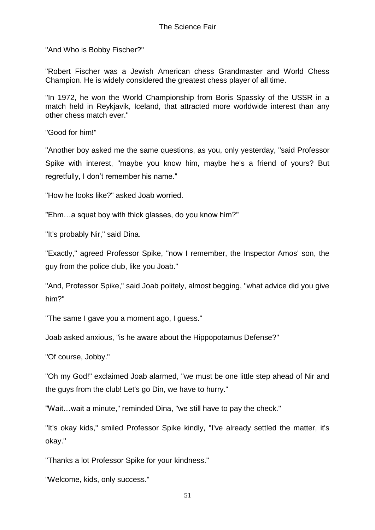"And Who is Bobby Fischer?"

"Robert Fischer was a Jewish American chess Grandmaster and World Chess Champion. He is widely considered the greatest chess player of all time.

"In 1972, he won the World Championship from Boris Spassky of the USSR in a match held in Reykjavik, Iceland, that attracted more worldwide interest than any other chess match ever."

"Good for him!"

"Another boy asked me the same questions, as you, only yesterday, "said Professor Spike with interest, "maybe you know him, maybe he's a friend of yours? But regretfully, I don't remember his name."

"How he looks like?" asked Joab worried.

"Ehm…a squat boy with thick glasses, do you know him?"

"It's probably Nir," said Dina.

"Exactly," agreed Professor Spike, "now I remember, the Inspector Amos' son, the guy from the police club, like you Joab."

"And, Professor Spike," said Joab politely, almost begging, "what advice did you give him?"

"The same I gave you a moment ago, I guess."

Joab asked anxious, "is he aware about the Hippopotamus Defense?"

"Of course, Jobby."

"Oh my God!" exclaimed Joab alarmed, "we must be one little step ahead of Nir and the guys from the club! Let's go Din, we have to hurry."

"Wait…wait a minute," reminded Dina, "we still have to pay the check."

"It's okay kids," smiled Professor Spike kindly, "I've already settled the matter, it's okay."

"Thanks a lot Professor Spike for your kindness."

"Welcome, kids, only success."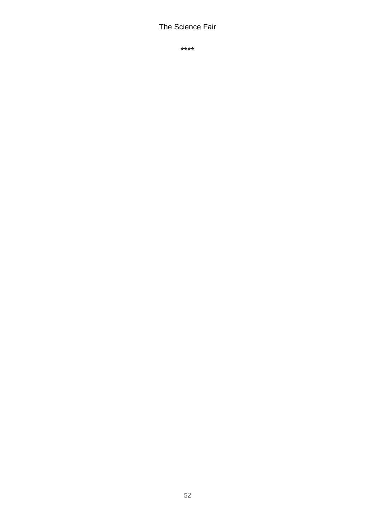# The Science Fair

\*\*\*\*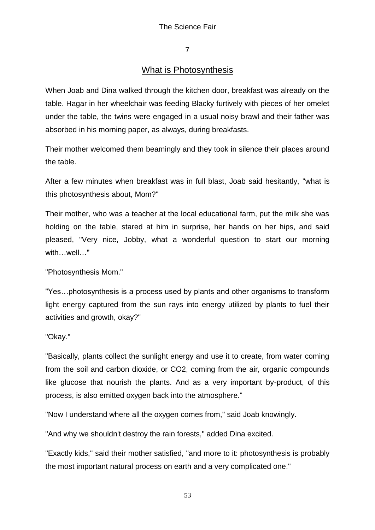## 7

## What is Photosynthesis

When Joab and Dina walked through the kitchen door, breakfast was already on the table. Hagar in her wheelchair was feeding Blacky furtively with pieces of her omelet under the table, the twins were engaged in a usual noisy brawl and their father was absorbed in his morning paper, as always, during breakfasts.

Their mother welcomed them beamingly and they took in silence their places around the table.

After a few minutes when breakfast was in full blast, Joab said hesitantly, "what is this photosynthesis about, Mom?"

Their mother, who was a teacher at the local educational farm, put the milk she was holding on the table, stared at him in surprise, her hands on her hips, and said pleased, "Very nice, Jobby, what a wonderful question to start our morning with…well…"

"Photosynthesis Mom."

"Yes…photosynthesis is a process used by plants and other organisms to transform light energy captured from the sun rays into energy utilized by plants to fuel their activities and growth, okay?"

"Okay."

"Basically, plants collect the sunlight energy and use it to create, from water coming from the soil and carbon dioxide, or CO2, coming from the air, organic compounds like glucose that nourish the plants. And as a very important by-product, of this process, is also emitted oxygen back into the atmosphere."

"Now I understand where all the oxygen comes from," said Joab knowingly.

"And why we shouldn't destroy the rain forests," added Dina excited.

"Exactly kids," said their mother satisfied, "and more to it: photosynthesis is probably the most important natural process on earth and a very complicated one."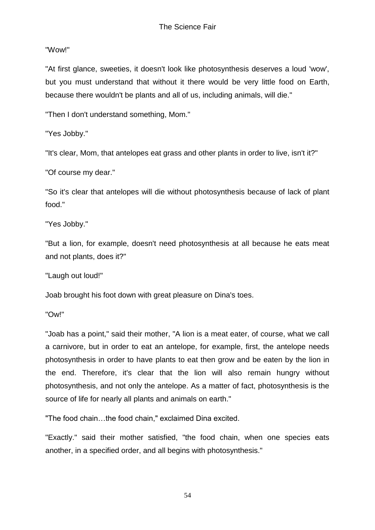## "Wow!"

"At first glance, sweeties, it doesn't look like photosynthesis deserves a loud 'wow', but you must understand that without it there would be very little food on Earth, because there wouldn't be plants and all of us, including animals, will die."

"Then I don't understand something, Mom."

"Yes Jobby."

"It's clear, Mom, that antelopes eat grass and other plants in order to live, isn't it?"

"Of course my dear."

"So it's clear that antelopes will die without photosynthesis because of lack of plant food."

"Yes Jobby."

"But a lion, for example, doesn't need photosynthesis at all because he eats meat and not plants, does it?"

"Laugh out loud!"

Joab brought his foot down with great pleasure on Dina's toes.

"Ow!"

"Joab has a point," said their mother, "A lion is a meat eater, of course, what we call a carnivore, but in order to eat an antelope, for example, first, the antelope needs photosynthesis in order to have plants to eat then grow and be eaten by the lion in the end. Therefore, it's clear that the lion will also remain hungry without photosynthesis, and not only the antelope. As a matter of fact, photosynthesis is the source of life for nearly all plants and animals on earth."

"The food chain…the food chain," exclaimed Dina excited.

"Exactly." said their mother satisfied, "the food chain, when one species eats another, in a specified order, and all begins with photosynthesis."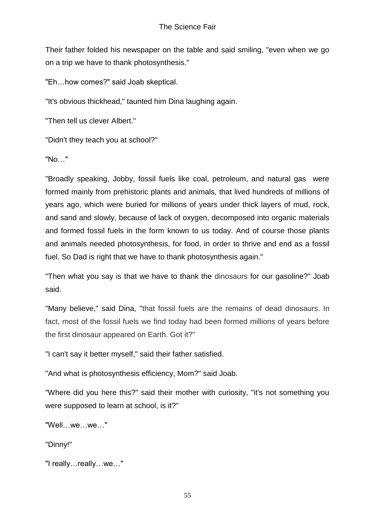Their father folded his newspaper on the table and said smiling, "even when we go on a trip we have to thank photosynthesis."

"Eh…how comes?" said Joab skeptical.

"It's obvious thickhead," taunted him Dina laughing again.

"Then tell us clever Albert."

"Didn't they teach you at school?"

"No…"

"Broadly speaking, Jobby, fossil fuels like coal, petroleum, and natural gas were formed mainly from prehistoric plants and animals, that lived hundreds of millions of years ago, which were buried for millions of years under thick layers of mud, rock, and sand and slowly, because of lack of oxygen, decomposed into organic materials and formed fossil fuels in the form known to us today. And of course those plants and animals needed photosynthesis, for food, in order to thrive and end as a fossil fuel. So Dad is right that we have to thank photosynthesis again."

"Then what you say is that we have to thank the dinosaurs for our gasoline?" Joab said.

"Many believe," said Dina, "that fossil fuels are the remains of dead dinosaurs. In fact, most of the fossil fuels we find today had been formed millions of years before the first dinosaur appeared on Earth. Got it?"

"I can't say it better myself," said their father satisfied.

"And what is photosynthesis efficiency, Mom?" said Joab.

"Where did you here this?" said their mother with curiosity, "it's not something you were supposed to learn at school, is it?"

"Well…we…we…"

"Dinny!"

"I really…really…we…"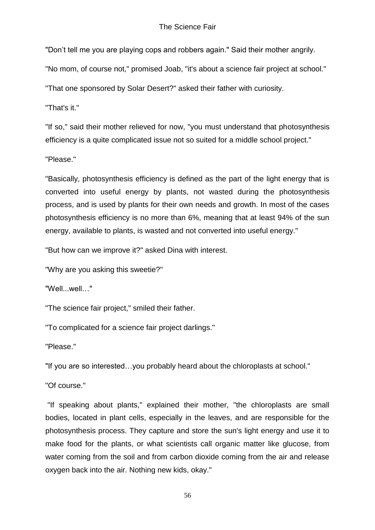"Don't tell me you are playing cops and robbers again." Said their mother angrily.

"No mom, of course not," promised Joab, "it's about a science fair project at school."

"That one sponsored by Solar Desert?" asked their father with curiosity.

"That's it."

"If so," said their mother relieved for now, "you must understand that photosynthesis efficiency is a quite complicated issue not so suited for a middle school project."

"Please."

"Basically, photosynthesis efficiency is defined as the part of the light energy that is converted into useful energy by plants, not wasted during the photosynthesis process, and is used by plants for their own needs and growth. In most of the cases photosynthesis efficiency is no more than 6%, meaning that at least 94% of the sun energy, available to plants, is wasted and not converted into useful energy."

"But how can we improve it?" asked Dina with interest.

"Why are you asking this sweetie?"

"Well...well…"

"The science fair project," smiled their father.

"To complicated for a science fair project darlings."

"Please."

"If you are so interested…you probably heard about the chloroplasts at school."

"Of course."

"If speaking about plants," explained their mother, "the chloroplasts are small bodies, located in plant cells, especially in the leaves, and are responsible for the photosynthesis process. They capture and store the sun's light energy and use it to make food for the plants, or what scientists call organic matter like glucose, from water coming from the soil and from carbon dioxide coming from the air and release oxygen back into the air. Nothing new kids, okay."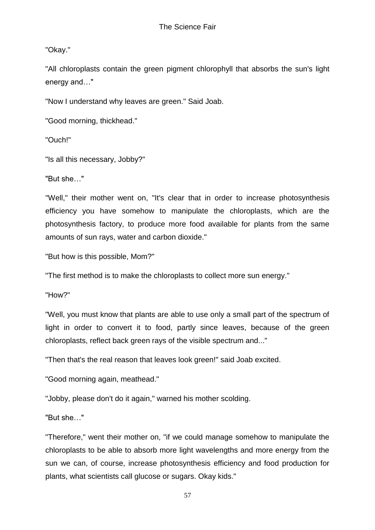"Okay."

"All chloroplasts contain the green pigment chlorophyll that absorbs the sun's light energy and…"

"Now I understand why leaves are green." Said Joab.

"Good morning, thickhead."

"Ouch!"

"Is all this necessary, Jobby?"

"But she…"

''Well," their mother went on, "It's clear that in order to increase photosynthesis efficiency you have somehow to manipulate the chloroplasts, which are the photosynthesis factory, to produce more food available for plants from the same amounts of sun rays, water and carbon dioxide."

"But how is this possible, Mom?"

"The first method is to make the chloroplasts to collect more sun energy."

"How?"

"Well, you must know that plants are able to use only a small part of the spectrum of light in order to convert it to food, partly since leaves, because of the green chloroplasts, reflect back green rays of the visible spectrum and..."

"Then that's the real reason that leaves look green!" said Joab excited.

"Good morning again, meathead."

"Jobby, please don't do it again," warned his mother scolding.

"But she…"

"Therefore," went their mother on, "if we could manage somehow to manipulate the chloroplasts to be able to absorb more light wavelengths and more energy from the sun we can, of course, increase photosynthesis efficiency and food production for plants, what scientists call glucose or sugars. Okay kids."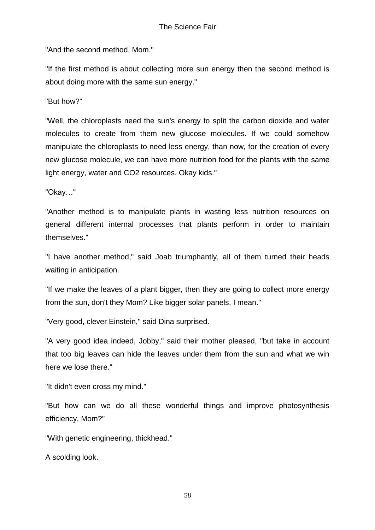"And the second method, Mom."

"If the first method is about collecting more sun energy then the second method is about doing more with the same sun energy."

"But how?"

"Well, the chloroplasts need the sun's energy to split the carbon dioxide and water molecules to create from them new glucose molecules. If we could somehow manipulate the chloroplasts to need less energy, than now, for the creation of every new glucose molecule, we can have more nutrition food for the plants with the same light energy, water and CO2 resources. Okay kids."

"Okay…"

"Another method is to manipulate plants in wasting less nutrition resources on general different internal processes that plants perform in order to maintain themselves."

"I have another method," said Joab triumphantly, all of them turned their heads waiting in anticipation.

"If we make the leaves of a plant bigger, then they are going to collect more energy from the sun, don't they Mom? Like bigger solar panels, I mean."

"Very good, clever Einstein," said Dina surprised.

"A very good idea indeed, Jobby," said their mother pleased, "but take in account that too big leaves can hide the leaves under them from the sun and what we win here we lose there."

"It didn't even cross my mind."

"But how can we do all these wonderful things and improve photosynthesis efficiency, Mom?"

"With genetic engineering, thickhead."

A scolding look.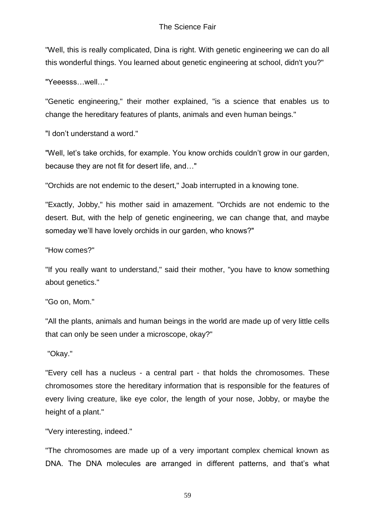"Well, this is really complicated, Dina is right. With genetic engineering we can do all this wonderful things. You learned about genetic engineering at school, didn't you?"

"Yeeesss…well…"

"Genetic engineering," their mother explained, "is a science that enables us to change the hereditary features of plants, animals and even human beings."

"I don't understand a word."

"Well, let's take orchids, for example. You know orchids couldn't grow in our garden, because they are not fit for desert life, and…"

"Orchids are not endemic to the desert," Joab interrupted in a knowing tone.

"Exactly, Jobby," his mother said in amazement. "Orchids are not endemic to the desert. But, with the help of genetic engineering, we can change that, and maybe someday we'll have lovely orchids in our garden, who knows?"

"How comes?"

"If you really want to understand," said their mother, "you have to know something about genetics."

"Go on, Mom."

"All the plants, animals and human beings in the world are made up of very little cells that can only be seen under a microscope, okay?"

"Okay."

"Every cell has a nucleus - a central part - that holds the chromosomes. These chromosomes store the hereditary information that is responsible for the features of every living creature, like eye color, the length of your nose, Jobby, or maybe the height of a plant."

"Very interesting, indeed."

"The chromosomes are made up of a very important complex chemical known as DNA. The DNA molecules are arranged in different patterns, and that's what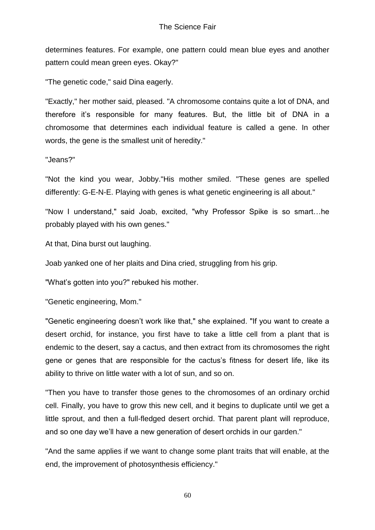determines features. For example, one pattern could mean blue eyes and another pattern could mean green eyes. Okay?"

"The genetic code," said Dina eagerly.

"Exactly," her mother said, pleased. "A chromosome contains quite a lot of DNA, and therefore it's responsible for many features. But, the little bit of DNA in a chromosome that determines each individual feature is called a gene. In other words, the gene is the smallest unit of heredity."

"Jeans?"

"Not the kind you wear, Jobby."His mother smiled. "These genes are spelled differently: G-E-N-E. Playing with genes is what genetic engineering is all about."

"Now I understand," said Joab, excited, "why Professor Spike is so smart…he probably played with his own genes."

At that, Dina burst out laughing.

Joab yanked one of her plaits and Dina cried, struggling from his grip.

"What's gotten into you?" rebuked his mother.

"Genetic engineering, Mom."

"Genetic engineering doesn't work like that," she explained. "If you want to create a desert orchid, for instance, you first have to take a little cell from a plant that is endemic to the desert, say a cactus, and then extract from its chromosomes the right gene or genes that are responsible for the cactus's fitness for desert life, like its ability to thrive on little water with a lot of sun, and so on.

"Then you have to transfer those genes to the chromosomes of an ordinary orchid cell. Finally, you have to grow this new cell, and it begins to duplicate until we get a little sprout, and then a full-fledged desert orchid. That parent plant will reproduce, and so one day we'll have a new generation of desert orchids in our garden."

"And the same applies if we want to change some plant traits that will enable, at the end, the improvement of photosynthesis efficiency."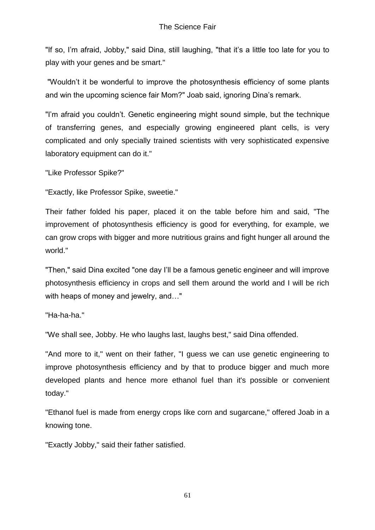"If so, I'm afraid, Jobby," said Dina, still laughing, "that it's a little too late for you to play with your genes and be smart."

"Wouldn't it be wonderful to improve the photosynthesis efficiency of some plants and win the upcoming science fair Mom?" Joab said, ignoring Dina's remark.

"I'm afraid you couldn't. Genetic engineering might sound simple, but the technique of transferring genes, and especially growing engineered plant cells, is very complicated and only specially trained scientists with very sophisticated expensive laboratory equipment can do it."

"Like Professor Spike?"

"Exactly, like Professor Spike, sweetie."

Their father folded his paper, placed it on the table before him and said, "The improvement of photosynthesis efficiency is good for everything, for example, we can grow crops with bigger and more nutritious grains and fight hunger all around the world."

"Then," said Dina excited "one day I'll be a famous genetic engineer and will improve photosynthesis efficiency in crops and sell them around the world and I will be rich with heaps of money and jewelry, and..."

"Ha-ha-ha."

"We shall see, Jobby. He who laughs last, laughs best," said Dina offended.

"And more to it," went on their father, "I guess we can use genetic engineering to improve photosynthesis efficiency and by that to produce bigger and much more developed plants and hence more ethanol fuel than it's possible or convenient today."

"Ethanol fuel is made from energy crops like corn and sugarcane," offered Joab in a knowing tone.

"Exactly Jobby," said their father satisfied.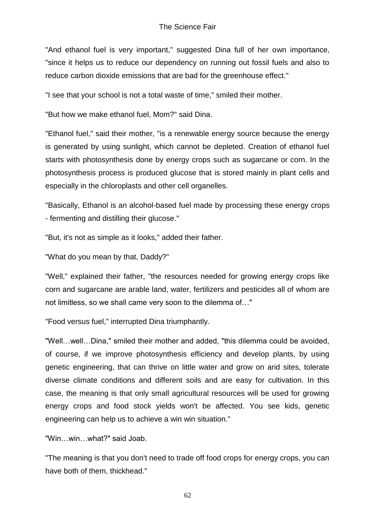"And ethanol fuel is very important," suggested Dina full of her own importance, "since it helps us to reduce our dependency on running out fossil fuels and also to reduce carbon dioxide emissions that are bad for the greenhouse effect."

"I see that your school is not a total waste of time," smiled their mother.

"But how we make ethanol fuel, Mom?" said Dina.

"Ethanol fuel," said their mother, "is a renewable energy source because the energy is generated by using sunlight, which cannot be depleted. Creation of ethanol fuel starts with photosynthesis done by energy crops such as sugarcane or corn. In the photosynthesis process is produced glucose that is stored mainly in plant cells and especially in the chloroplasts and other cell organelles.

"Basically, Ethanol is an alcohol-based fuel made by processing these energy crops - fermenting and distilling their glucose."

"But, it's not as simple as it looks," added their father.

"What do you mean by that, Daddy?"

"Well," explained their father, "the resources needed for growing energy crops like corn and sugarcane are arable land, water, fertilizers and pesticides all of whom are not limitless, so we shall came very soon to the dilemma of…"

"Food versus fuel," interrupted Dina triumphantly.

"Well…well…Dina," smiled their mother and added, "this dilemma could be avoided, of course, if we improve photosynthesis efficiency and develop plants, by using genetic engineering, that can thrive on little water and grow on arid sites, tolerate diverse climate conditions and different soils and are easy for cultivation. In this case, the meaning is that only small agricultural resources will be used for growing energy crops and food stock yields won't be affected. You see kids, genetic engineering can help us to achieve a win win situation."

"Win…win…what?" said Joab.

"The meaning is that you don't need to trade off food crops for energy crops, you can have both of them, thickhead."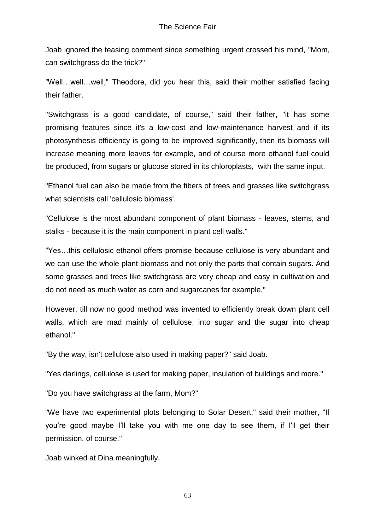Joab ignored the teasing comment since something urgent crossed his mind, "Mom, can switchgrass do the trick?"

"Well…well…well," Theodore, did you hear this, said their mother satisfied facing their father.

"Switchgrass is a good candidate, of course," said their father, "it has some promising features since it's a low-cost and low-maintenance harvest and if its photosynthesis efficiency is going to be improved significantly, then its biomass will increase meaning more leaves for example, and of course more ethanol fuel could be produced, from sugars or glucose stored in its chloroplasts, with the same input.

"Ethanol fuel can also be made from the fibers of trees and grasses like switchgrass what scientists call 'cellulosic biomass'.

"Cellulose is the most abundant component of plant biomass - leaves, stems, and stalks - because it is the main component in plant cell walls."

"Yes…this cellulosic ethanol offers promise because cellulose is very abundant and we can use the whole plant biomass and not only the parts that contain sugars. And some grasses and trees like switchgrass are very cheap and easy in cultivation and do not need as much water as corn and sugarcanes for example."

However, till now no good method was invented to efficiently break down plant cell walls, which are mad mainly of cellulose, into sugar and the sugar into cheap ethanol."

"By the way, isn't cellulose also used in making paper?" said Joab.

"Yes darlings, cellulose is used for making paper, insulation of buildings and more."

"Do you have switchgrass at the farm, Mom?"

"We have two experimental plots belonging to Solar Desert," said their mother, "If you're good maybe I'll take you with me one day to see them, if I'll get their permission, of course."

Joab winked at Dina meaningfully.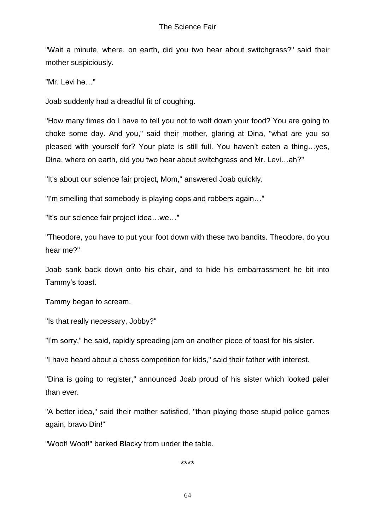"Wait a minute, where, on earth, did you two hear about switchgrass?" said their mother suspiciously.

"Mr. Levi he…"

Joab suddenly had a dreadful fit of coughing.

"How many times do I have to tell you not to wolf down your food? You are going to choke some day. And you," said their mother, glaring at Dina, "what are you so pleased with yourself for? Your plate is still full. You haven't eaten a thing…yes, Dina, where on earth, did you two hear about switchgrass and Mr. Levi…ah?"

"It's about our science fair project, Mom," answered Joab quickly.

"I'm smelling that somebody is playing cops and robbers again…"

"It's our science fair project idea…we…"

"Theodore, you have to put your foot down with these two bandits. Theodore, do you hear me?"

Joab sank back down onto his chair, and to hide his embarrassment he bit into Tammy's toast.

Tammy began to scream.

"Is that really necessary, Jobby?"

"I'm sorry," he said, rapidly spreading jam on another piece of toast for his sister.

"I have heard about a chess competition for kids," said their father with interest.

"Dina is going to register," announced Joab proud of his sister which looked paler than ever.

"A better idea," said their mother satisfied, "than playing those stupid police games again, bravo Din!"

"Woof! Woof!" barked Blacky from under the table.

\*\*\*\*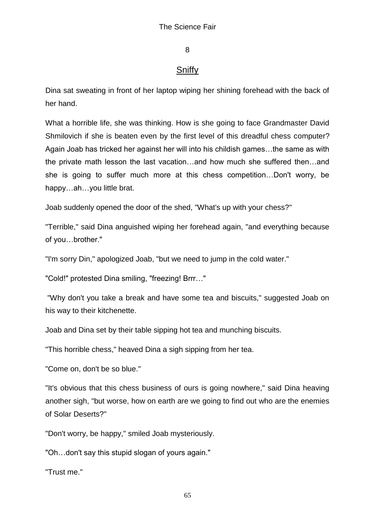8

# Sniffy

Dina sat sweating in front of her laptop wiping her shining forehead with the back of her hand.

What a horrible life, she was thinking. How is she going to face Grandmaster David Shmilovich if she is beaten even by the first level of this dreadful chess computer? Again Joab has tricked her against her will into his childish games…the same as with the private math lesson the last vacation…and how much she suffered then…and she is going to suffer much more at this chess competition…Don't worry, be happy...ah...you little brat.

Joab suddenly opened the door of the shed, "What's up with your chess?"

"Terrible," said Dina anguished wiping her forehead again, "and everything because of you…brother."

"I'm sorry Din," apologized Joab, "but we need to jump in the cold water."

"Cold!" protested Dina smiling, "freezing! Brrr…"

"Why don't you take a break and have some tea and biscuits," suggested Joab on his way to their kitchenette.

Joab and Dina set by their table sipping hot tea and munching biscuits.

"This horrible chess," heaved Dina a sigh sipping from her tea.

"Come on, don't be so blue."

"It's obvious that this chess business of ours is going nowhere," said Dina heaving another sigh, "but worse, how on earth are we going to find out who are the enemies of Solar Deserts?"

"Don't worry, be happy," smiled Joab mysteriously.

"Oh…don't say this stupid slogan of yours again."

"Trust me."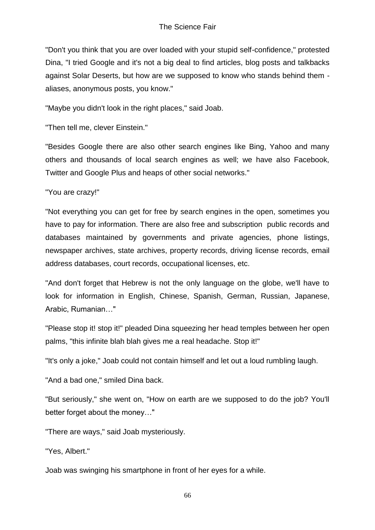"Don't you think that you are over loaded with your stupid self-confidence," protested Dina, "I tried Google and it's not a big deal to find articles, blog posts and talkbacks against Solar Deserts, but how are we supposed to know who stands behind them aliases, anonymous posts, you know."

"Maybe you didn't look in the right places," said Joab.

"Then tell me, clever Einstein."

"Besides Google there are also other search engines like Bing, Yahoo and many others and thousands of local search engines as well; we have also Facebook, Twitter and Google Plus and heaps of other social networks."

"You are crazy!"

"Not everything you can get for free by search engines in the open, sometimes you have to pay for information. There are also free and subscription public records and databases maintained by governments and private agencies, phone listings, newspaper archives, state archives, property records, driving license records, email address databases, court records, occupational licenses, etc.

"And don't forget that Hebrew is not the only language on the globe, we'll have to look for information in English, Chinese, Spanish, German, Russian, Japanese, Arabic, Rumanian…"

"Please stop it! stop it!" pleaded Dina squeezing her head temples between her open palms, "this infinite blah blah gives me a real headache. Stop it!"

"It's only a joke," Joab could not contain himself and let out a loud rumbling laugh.

"And a bad one," smiled Dina back.

"But seriously," she went on, "How on earth are we supposed to do the job? You'll better forget about the money…"

"There are ways," said Joab mysteriously.

"Yes, Albert."

Joab was swinging his smartphone in front of her eyes for a while.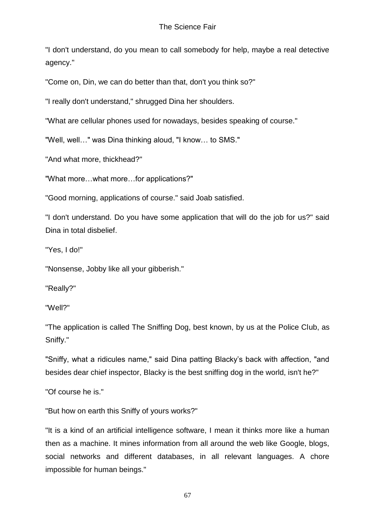"I don't understand, do you mean to call somebody for help, maybe a real detective agency."

"Come on, Din, we can do better than that, don't you think so?"

"I really don't understand," shrugged Dina her shoulders.

"What are cellular phones used for nowadays, besides speaking of course."

"Well, well…" was Dina thinking aloud, "I know… to SMS."

"And what more, thickhead?"

"What more…what more…for applications?"

"Good morning, applications of course." said Joab satisfied.

"I don't understand. Do you have some application that will do the job for us?" said Dina in total disbelief.

"Yes, I do!"

"Nonsense, Jobby like all your gibberish."

"Really?"

"Well?"

"The application is called The Sniffing Dog, best known, by us at the Police Club, as Sniffy."

"Sniffy, what a ridicules name," said Dina patting Blacky's back with affection, "and besides dear chief inspector, Blacky is the best sniffing dog in the world, isn't he?"

"Of course he is."

"But how on earth this Sniffy of yours works?"

"It is a kind of an artificial intelligence software, I mean it thinks more like a human then as a machine. It mines information from all around the web like Google, blogs, social networks and different databases, in all relevant languages. A chore impossible for human beings."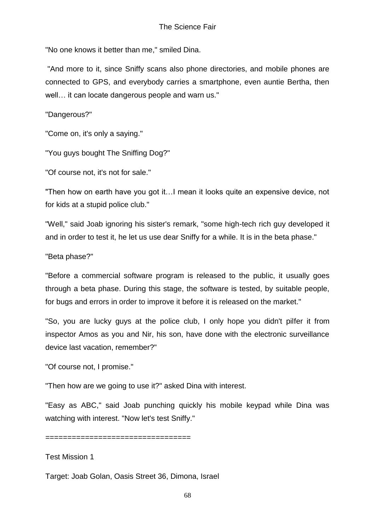"No one knows it better than me," smiled Dina.

"And more to it, since Sniffy scans also phone directories, and mobile phones are connected to GPS, and everybody carries a smartphone, even auntie Bertha, then well… it can locate dangerous people and warn us."

"Dangerous?"

"Come on, it's only a saying."

"You guys bought The Sniffing Dog?"

"Of course not, it's not for sale."

"Then how on earth have you got it…I mean it looks quite an expensive device, not for kids at a stupid police club."

"Well," said Joab ignoring his sister's remark, "some high-tech rich guy developed it and in order to test it, he let us use dear Sniffy for a while. It is in the beta phase."

"Beta phase?"

"Before a commercial software program is released to the public, it usually goes through a beta phase. During this stage, the software is tested, by suitable people, for bugs and errors in order to improve it before it is released on the market."

"So, you are lucky guys at the police club, I only hope you didn't pilfer it from inspector Amos as you and Nir, his son, have done with the electronic surveillance device last vacation, remember?"

"Of course not, I promise."

"Then how are we going to use it?" asked Dina with interest.

"Easy as ABC," said Joab punching quickly his mobile keypad while Dina was watching with interest. "Now let's test Sniffy."

=================================

Test Mission 1

Target: Joab Golan, Oasis Street 36, Dimona, Israel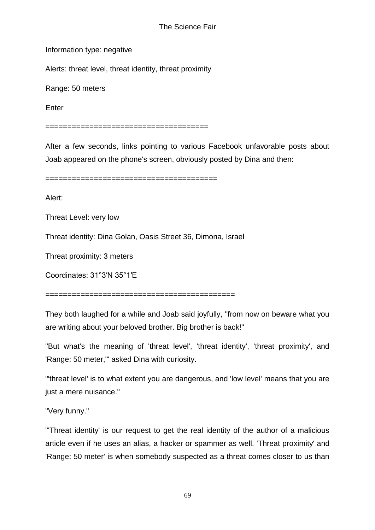Information type: negative

Alerts: threat level, threat identity, threat proximity

Range: 50 meters

**Enter** 

=====================================

After a few seconds, links pointing to various Facebook unfavorable posts about Joab appeared on the phone's screen, obviously posted by Dina and then:

=======================================

Alert:

Threat Level: very low

Threat identity: Dina Golan, Oasis Street 36, Dimona, Israel

Threat proximity: 3 meters

Coordinates: 31°3′N 35°1′E

===========================================

They both laughed for a while and Joab said joyfully, "from now on beware what you are writing about your beloved brother. Big brother is back!"

"But what's the meaning of 'threat level', 'threat identity', 'threat proximity', and 'Range: 50 meter,'" asked Dina with curiosity.

"'threat level' is to what extent you are dangerous, and 'low level' means that you are just a mere nuisance."

"Very funny."

"'Threat identity' is our request to get the real identity of the author of a malicious article even if he uses an alias, a hacker or spammer as well. 'Threat proximity' and 'Range: 50 meter' is when somebody suspected as a threat comes closer to us than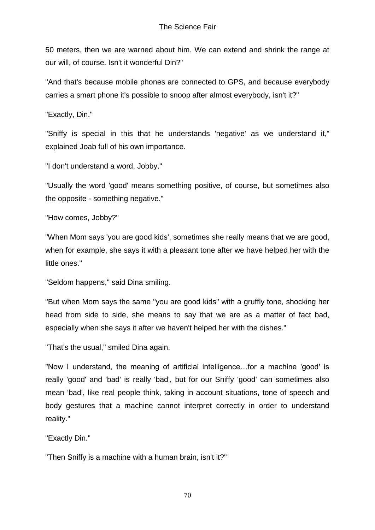50 meters, then we are warned about him. We can extend and shrink the range at our will, of course. Isn't it wonderful Din?"

"And that's because mobile phones are connected to GPS, and because everybody carries a smart phone it's possible to snoop after almost everybody, isn't it?"

"Exactly, Din."

"Sniffy is special in this that he understands 'negative' as we understand it," explained Joab full of his own importance.

"I don't understand a word, Jobby."

"Usually the word 'good' means something positive, of course, but sometimes also the opposite - something negative."

"How comes, Jobby?"

"When Mom says 'you are good kids', sometimes she really means that we are good, when for example, she says it with a pleasant tone after we have helped her with the little ones."

"Seldom happens," said Dina smiling.

"But when Mom says the same "you are good kids" with a gruffly tone, shocking her head from side to side, she means to say that we are as a matter of fact bad, especially when she says it after we haven't helped her with the dishes."

"That's the usual," smiled Dina again.

"Now I understand, the meaning of artificial intelligence…for a machine 'good' is really 'good' and 'bad' is really 'bad', but for our Sniffy 'good' can sometimes also mean 'bad', like real people think, taking in account situations, tone of speech and body gestures that a machine cannot interpret correctly in order to understand reality."

"Exactly Din."

"Then Sniffy is a machine with a human brain, isn't it?"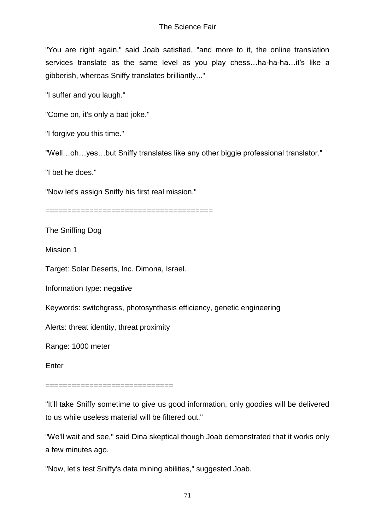#### The Science Fair

"You are right again," said Joab satisfied, "and more to it, the online translation services translate as the same level as you play chess…ha-ha-ha…it's like a gibberish, whereas Sniffy translates brilliantly..."

"I suffer and you laugh."

"Come on, it's only a bad joke."

"I forgive you this time."

"Well…oh…yes…but Sniffy translates like any other biggie professional translator."

"I bet he does."

"Now let's assign Sniffy his first real mission."

======================================

The Sniffing Dog

Mission 1

Target: Solar Deserts, Inc. Dimona, Israel.

Information type: negative

Keywords: switchgrass, photosynthesis efficiency, genetic engineering

Alerts: threat identity, threat proximity

Range: 1000 meter

Enter

=============================

"It'll take Sniffy sometime to give us good information, only goodies will be delivered to us while useless material will be filtered out."

"We'll wait and see," said Dina skeptical though Joab demonstrated that it works only a few minutes ago.

"Now, let's test Sniffy's data mining abilities," suggested Joab.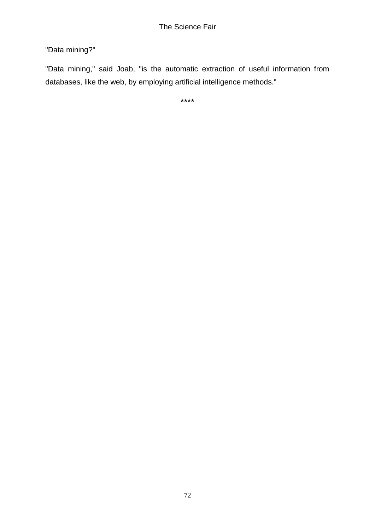"Data mining?"

"Data mining," said Joab, "is the automatic extraction of useful information from databases, like the web, by employing artificial intelligence methods."

\*\*\*\*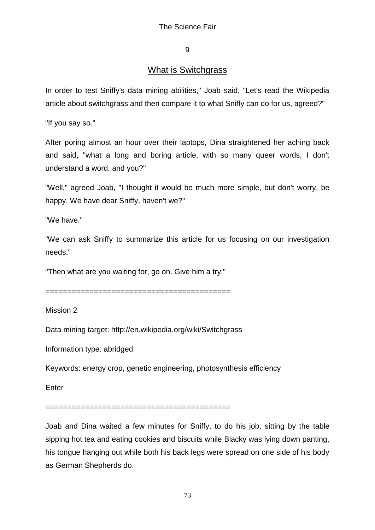#### 9

# What is Switchgrass

In order to test Sniffy's data mining abilities," Joab said, "Let's read the Wikipedia article about switchgrass and then compare it to what Sniffy can do for us, agreed?"

"If you say so."

After poring almost an hour over their laptops, Dina straightened her aching back and said, "what a long and boring article, with so many queer words, I don't understand a word, and you?"

"Well," agreed Joab, "I thought it would be much more simple, but don't worry, be happy. We have dear Sniffy, haven't we?"

"We have."

"We can ask Sniffy to summarize this article for us focusing on our investigation needs."

"Then what are you waiting for, go on. Give him a try."

==========================================

Mission 2

Data mining target: http://en.wikipedia.org/wiki/Switchgrass

Information type: abridged

Keywords: energy crop, genetic engineering, photosynthesis efficiency

Enter

==========================================

Joab and Dina waited a few minutes for Sniffy, to do his job, sitting by the table sipping hot tea and eating cookies and biscuits while Blacky was lying down panting, his tongue hanging out while both his back legs were spread on one side of his body as German Shepherds do.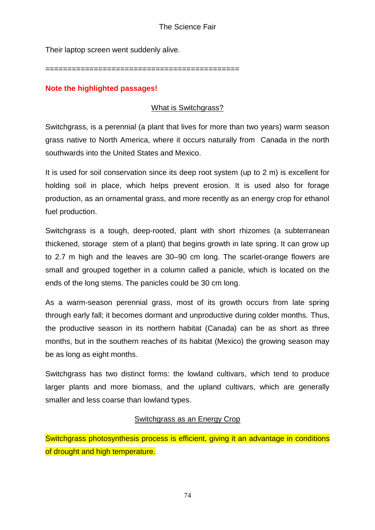Their laptop screen went suddenly alive.

============================================

### **Note the highlighted passages!**

### What is Switchgrass?

Switchgrass, is a perennial (a plant that lives for more than two years) warm season grass native to North America, where it occurs naturally from Canada in the north southwards into the United States and Mexico.

It is used for soil conservation since its deep root system (up to 2 m) is excellent for holding soil in place, which helps prevent erosion. It is used also for forage production, as an ornamental grass, and more recently as an energy crop for ethanol fuel production.

Switchgrass is a tough, deep-rooted, plant with short rhizomes (a subterranean thickened, storage stem of a plant) that begins growth in late spring. It can grow up to 2.7 m high and the leaves are 30–90 cm long. The scarlet-orange flowers are small and grouped together in a column called a panicle, which is located on the ends of the long stems. The panicles could be 30 cm long.

As a warm-season perennial grass, most of its growth occurs from late spring through early fall; it becomes dormant and unproductive during colder months. Thus, the productive season in its northern habitat (Canada) can be as short as three months, but in the southern reaches of its habitat (Mexico) the growing season may be as long as eight months.

Switchgrass has two distinct forms: the lowland cultivars, which tend to produce larger plants and more biomass, and the upland cultivars, which are generally smaller and less coarse than lowland types.

## Switchgrass as an Energy Crop

Switchgrass photosynthesis process is efficient, giving it an advantage in conditions of drought and high temperature.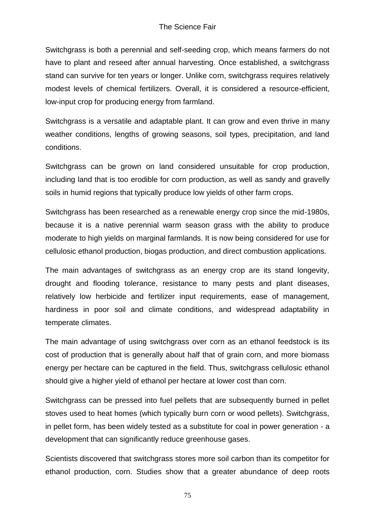Switchgrass is both a perennial and self-seeding crop, which means farmers do not have to plant and reseed after annual harvesting. Once established, a switchgrass stand can survive for ten years or longer. Unlike corn, switchgrass requires relatively modest levels of chemical fertilizers. Overall, it is considered a resource-efficient, low-input crop for producing energy from farmland.

Switchgrass is a versatile and adaptable plant. It can grow and even thrive in many weather conditions, lengths of growing seasons, soil types, precipitation, and land conditions.

Switchgrass can be grown on land considered unsuitable for crop production, including land that is too erodible for corn production, as well as sandy and gravelly soils in humid regions that typically produce low yields of other farm crops.

Switchgrass has been researched as a renewable energy crop since the mid-1980s, because it is a native perennial warm season grass with the ability to produce moderate to high yields on marginal farmlands. It is now being considered for use for cellulosic ethanol production, biogas production, and direct combustion applications.

The main advantages of switchgrass as an energy crop are its stand longevity, drought and flooding tolerance, resistance to many pests and plant diseases, relatively low herbicide and fertilizer input requirements, ease of management, hardiness in poor soil and climate conditions, and widespread adaptability in temperate climates.

The main advantage of using switchgrass over corn as an ethanol feedstock is its cost of production that is generally about half that of grain corn, and more biomass energy per hectare can be captured in the field. Thus, switchgrass cellulosic ethanol should give a higher yield of ethanol per hectare at lower cost than corn.

Switchgrass can be pressed into fuel pellets that are subsequently burned in pellet stoves used to heat homes (which typically burn corn or wood pellets). Switchgrass, in pellet form, has been widely tested as a substitute for coal in power generation - a development that can significantly reduce greenhouse gases.

Scientists discovered that switchgrass stores more soil carbon than its competitor for ethanol production, corn. Studies show that a greater abundance of deep roots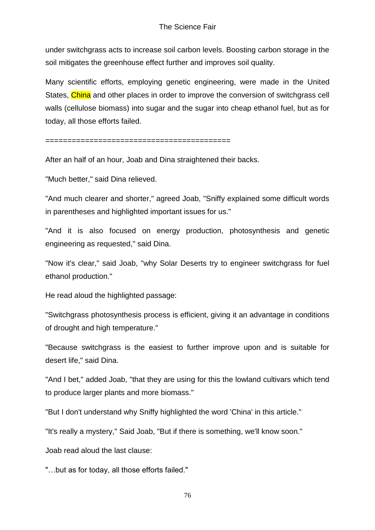under switchgrass acts to increase soil carbon levels. Boosting carbon storage in the soil mitigates the greenhouse effect further and improves soil quality.

Many scientific efforts, employing genetic engineering, were made in the United States, China and other places in order to improve the conversion of switchgrass cell walls (cellulose biomass) into sugar and the sugar into cheap ethanol fuel, but as for today, all those efforts failed.

==========================================

After an half of an hour, Joab and Dina straightened their backs.

"Much better," said Dina relieved.

"And much clearer and shorter," agreed Joab, "Sniffy explained some difficult words in parentheses and highlighted important issues for us."

"And it is also focused on energy production, photosynthesis and genetic engineering as requested," said Dina.

"Now it's clear," said Joab, "why Solar Deserts try to engineer switchgrass for fuel ethanol production."

He read aloud the highlighted passage:

"Switchgrass photosynthesis process is efficient, giving it an advantage in conditions of drought and high temperature."

"Because switchgrass is the easiest to further improve upon and is suitable for desert life," said Dina.

"And I bet," added Joab, "that they are using for this the lowland cultivars which tend to produce larger plants and more biomass."

"But I don't understand why Sniffy highlighted the word 'China' in this article."

"It's really a mystery," Said Joab, "But if there is something, we'll know soon."

Joab read aloud the last clause:

"…but as for today, all those efforts failed."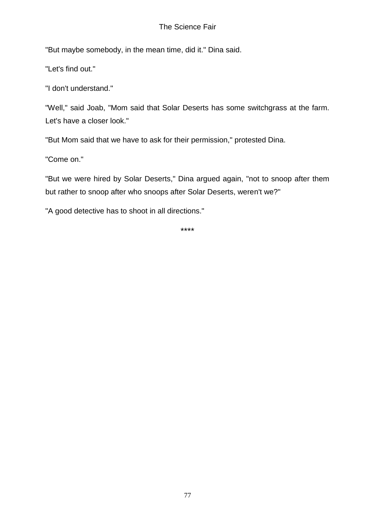"But maybe somebody, in the mean time, did it." Dina said.

"Let's find out."

"I don't understand."

"Well," said Joab, "Mom said that Solar Deserts has some switchgrass at the farm. Let's have a closer look."

"But Mom said that we have to ask for their permission," protested Dina.

"Come on."

"But we were hired by Solar Deserts," Dina argued again, "not to snoop after them but rather to snoop after who snoops after Solar Deserts, weren't we?"

"A good detective has to shoot in all directions."

\*\*\*\*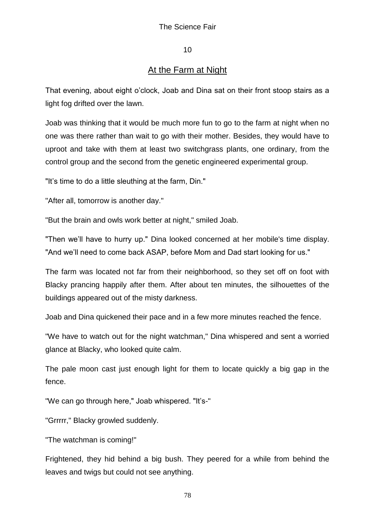10

# At the Farm at Night

That evening, about eight o'clock, Joab and Dina sat on their front stoop stairs as a light fog drifted over the lawn.

Joab was thinking that it would be much more fun to go to the farm at night when no one was there rather than wait to go with their mother. Besides, they would have to uproot and take with them at least two switchgrass plants, one ordinary, from the control group and the second from the genetic engineered experimental group.

"It's time to do a little sleuthing at the farm, Din."

"After all, tomorrow is another day."

"But the brain and owls work better at night," smiled Joab.

"Then we'll have to hurry up." Dina looked concerned at her mobile's time display. "And we'll need to come back ASAP, before Mom and Dad start looking for us."

The farm was located not far from their neighborhood, so they set off on foot with Blacky prancing happily after them. After about ten minutes, the silhouettes of the buildings appeared out of the misty darkness.

Joab and Dina quickened their pace and in a few more minutes reached the fence.

"We have to watch out for the night watchman," Dina whispered and sent a worried glance at Blacky, who looked quite calm.

The pale moon cast just enough light for them to locate quickly a big gap in the fence.

"We can go through here," Joab whispered. "It's-"

"Grrrrr," Blacky growled suddenly.

"The watchman is coming!"

Frightened, they hid behind a big bush. They peered for a while from behind the leaves and twigs but could not see anything.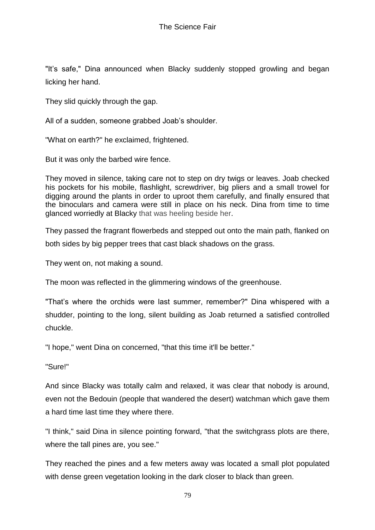"It's safe," Dina announced when Blacky suddenly stopped growling and began licking her hand.

They slid quickly through the gap.

All of a sudden, someone grabbed Joab's shoulder.

"What on earth?" he exclaimed, frightened.

But it was only the barbed wire fence.

They moved in silence, taking care not to step on dry twigs or leaves. Joab checked his pockets for his mobile, flashlight, screwdriver, big pliers and a small trowel for digging around the plants in order to uproot them carefully, and finally ensured that the binoculars and camera were still in place on his neck. Dina from time to time glanced worriedly at Blacky that was heeling beside her.

They passed the fragrant flowerbeds and stepped out onto the main path, flanked on both sides by big pepper trees that cast black shadows on the grass.

They went on, not making a sound.

The moon was reflected in the glimmering windows of the greenhouse.

"That's where the orchids were last summer, remember?" Dina whispered with a shudder, pointing to the long, silent building as Joab returned a satisfied controlled chuckle.

"I hope," went Dina on concerned, "that this time it'll be better."

"Sure!"

And since Blacky was totally calm and relaxed, it was clear that nobody is around, even not the Bedouin (people that wandered the desert) watchman which gave them a hard time last time they where there.

"I think," said Dina in silence pointing forward, "that the switchgrass plots are there, where the tall pines are, you see."

They reached the pines and a few meters away was located a small plot populated with dense green vegetation looking in the dark closer to black than green.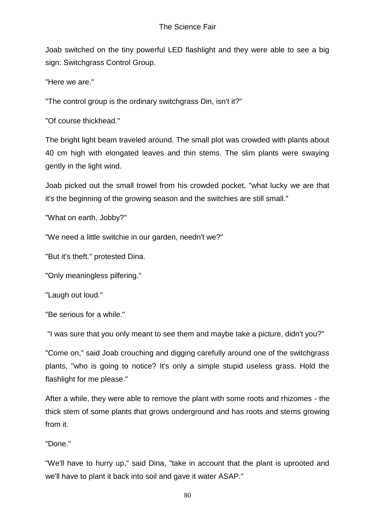Joab switched on the tiny powerful LED flashlight and they were able to see a big sign: Switchgrass Control Group.

"Here we are."

"The control group is the ordinary switchgrass Din, isn't it?"

"Of course thickhead."

The bright light beam traveled around. The small plot was crowded with plants about 40 cm high with elongated leaves and thin stems. The slim plants were swaying gently in the light wind.

Joab picked out the small trowel from his crowded pocket, "what lucky we are that it's the beginning of the growing season and the switchies are still small."

"What on earth, Jobby?"

"We need a little switchie in our garden, needn't we?"

"But it's theft." protested Dina.

"Only meaningless pilfering."

"Laugh out loud."

"Be serious for a while."

"I was sure that you only meant to see them and maybe take a picture, didn't you?"

"Come on," said Joab crouching and digging carefully around one of the switchgrass plants, "who is going to notice? It's only a simple stupid useless grass. Hold the flashlight for me please."

After a while, they were able to remove the plant with some roots and rhizomes - the thick stem of some plants that grows underground and has roots and stems growing from it.

"Done."

"We'll have to hurry up," said Dina, "take in account that the plant is uprooted and we'll have to plant it back into soil and gave it water ASAP."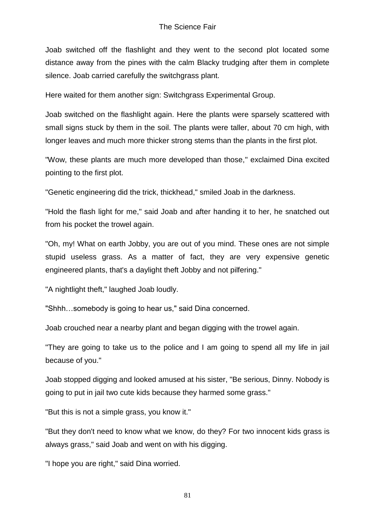Joab switched off the flashlight and they went to the second plot located some distance away from the pines with the calm Blacky trudging after them in complete silence. Joab carried carefully the switchgrass plant.

Here waited for them another sign: Switchgrass Experimental Group.

Joab switched on the flashlight again. Here the plants were sparsely scattered with small signs stuck by them in the soil. The plants were taller, about 70 cm high, with longer leaves and much more thicker strong stems than the plants in the first plot.

"Wow, these plants are much more developed than those," exclaimed Dina excited pointing to the first plot.

"Genetic engineering did the trick, thickhead," smiled Joab in the darkness.

"Hold the flash light for me," said Joab and after handing it to her, he snatched out from his pocket the trowel again.

"Oh, my! What on earth Jobby, you are out of you mind. These ones are not simple stupid useless grass. As a matter of fact, they are very expensive genetic engineered plants, that's a daylight theft Jobby and not pilfering."

"A nightlight theft," laughed Joab loudly.

"Shhh…somebody is going to hear us," said Dina concerned.

Joab crouched near a nearby plant and began digging with the trowel again.

"They are going to take us to the police and I am going to spend all my life in jail because of you."

Joab stopped digging and looked amused at his sister, "Be serious, Dinny. Nobody is going to put in jail two cute kids because they harmed some grass."

"But this is not a simple grass, you know it."

"But they don't need to know what we know, do they? For two innocent kids grass is always grass," said Joab and went on with his digging.

"I hope you are right," said Dina worried.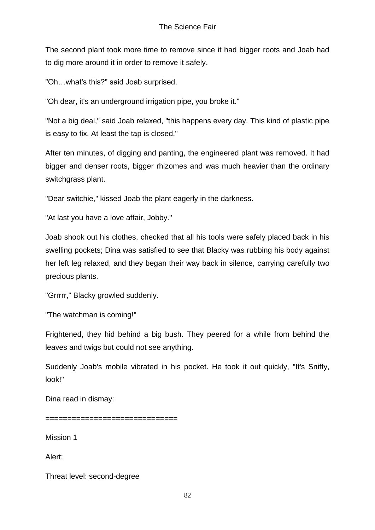The second plant took more time to remove since it had bigger roots and Joab had to dig more around it in order to remove it safely.

"Oh…what's this?" said Joab surprised.

"Oh dear, it's an underground irrigation pipe, you broke it."

"Not a big deal," said Joab relaxed, "this happens every day. This kind of plastic pipe is easy to fix. At least the tap is closed."

After ten minutes, of digging and panting, the engineered plant was removed. It had bigger and denser roots, bigger rhizomes and was much heavier than the ordinary switchgrass plant.

"Dear switchie," kissed Joab the plant eagerly in the darkness.

"At last you have a love affair, Jobby."

Joab shook out his clothes, checked that all his tools were safely placed back in his swelling pockets; Dina was satisfied to see that Blacky was rubbing his body against her left leg relaxed, and they began their way back in silence, carrying carefully two precious plants.

"Grrrrr," Blacky growled suddenly.

"The watchman is coming!"

Frightened, they hid behind a big bush. They peered for a while from behind the leaves and twigs but could not see anything.

Suddenly Joab's mobile vibrated in his pocket. He took it out quickly, "It's Sniffy, look!"

Dina read in dismay:

===================================

Mission 1

Alert:

Threat level: second-degree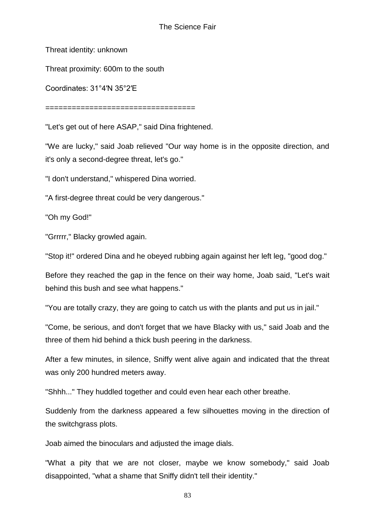#### The Science Fair

Threat identity: unknown

Threat proximity: 600m to the south

Coordinates: 31°4′N 35°2′E

==================================

"Let's get out of here ASAP," said Dina frightened.

"We are lucky," said Joab relieved "Our way home is in the opposite direction, and it's only a second-degree threat, let's go."

"I don't understand," whispered Dina worried.

"A first-degree threat could be very dangerous."

"Oh my God!"

"Grrrrr," Blacky growled again.

"Stop it!" ordered Dina and he obeyed rubbing again against her left leg, "good dog."

Before they reached the gap in the fence on their way home, Joab said, "Let's wait behind this bush and see what happens."

"You are totally crazy, they are going to catch us with the plants and put us in jail."

"Come, be serious, and don't forget that we have Blacky with us," said Joab and the three of them hid behind a thick bush peering in the darkness.

After a few minutes, in silence, Sniffy went alive again and indicated that the threat was only 200 hundred meters away.

"Shhh..." They huddled together and could even hear each other breathe.

Suddenly from the darkness appeared a few silhouettes moving in the direction of the switchgrass plots.

Joab aimed the binoculars and adjusted the image dials.

"What a pity that we are not closer, maybe we know somebody," said Joab disappointed, "what a shame that Sniffy didn't tell their identity."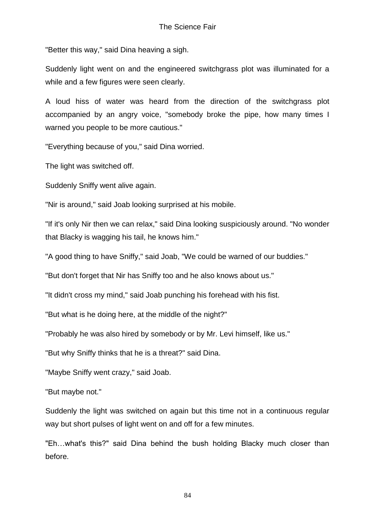"Better this way," said Dina heaving a sigh.

Suddenly light went on and the engineered switchgrass plot was illuminated for a while and a few figures were seen clearly.

A loud hiss of water was heard from the direction of the switchgrass plot accompanied by an angry voice, "somebody broke the pipe, how many times I warned you people to be more cautious."

"Everything because of you," said Dina worried.

The light was switched off.

Suddenly Sniffy went alive again.

"Nir is around," said Joab looking surprised at his mobile.

"If it's only Nir then we can relax," said Dina looking suspiciously around. "No wonder that Blacky is wagging his tail, he knows him."

"A good thing to have Sniffy," said Joab, "We could be warned of our buddies."

"But don't forget that Nir has Sniffy too and he also knows about us."

"It didn't cross my mind," said Joab punching his forehead with his fist.

"But what is he doing here, at the middle of the night?"

"Probably he was also hired by somebody or by Mr. Levi himself, like us."

"But why Sniffy thinks that he is a threat?" said Dina.

"Maybe Sniffy went crazy," said Joab.

"But maybe not."

Suddenly the light was switched on again but this time not in a continuous regular way but short pulses of light went on and off for a few minutes.

"Eh…what's this?" said Dina behind the bush holding Blacky much closer than before.

84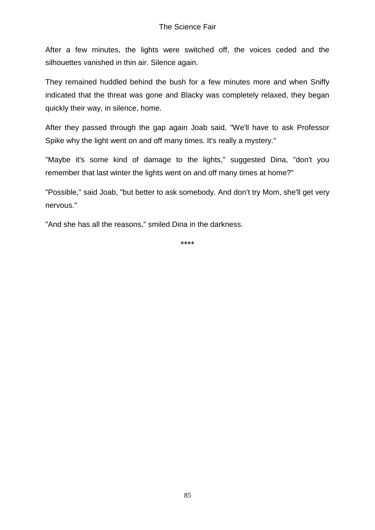After a few minutes, the lights were switched off, the voices ceded and the silhouettes vanished in thin air. Silence again.

They remained huddled behind the bush for a few minutes more and when Sniffy indicated that the threat was gone and Blacky was completely relaxed, they began quickly their way, in silence, home.

After they passed through the gap again Joab said, "We'll have to ask Professor Spike why the light went on and off many times. It's really a mystery."

"Maybe it's some kind of damage to the lights," suggested Dina, "don't you remember that last winter the lights went on and off many times at home?"

"Possible," said Joab, "but better to ask somebody. And don't try Mom, she'll get very nervous."

"And she has all the reasons," smiled Dina in the darkness.

\*\*\*\*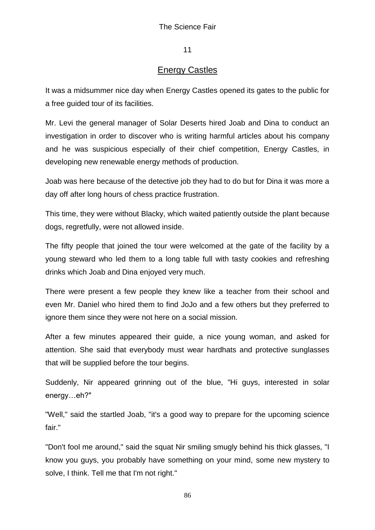11

# Energy Castles

It was a midsummer nice day when Energy Castles opened its gates to the public for a free guided tour of its facilities.

Mr. Levi the general manager of Solar Deserts hired Joab and Dina to conduct an investigation in order to discover who is writing harmful articles about his company and he was suspicious especially of their chief competition, Energy Castles, in developing new renewable energy methods of production.

Joab was here because of the detective job they had to do but for Dina it was more a day off after long hours of chess practice frustration.

This time, they were without Blacky, which waited patiently outside the plant because dogs, regretfully, were not allowed inside.

The fifty people that joined the tour were welcomed at the gate of the facility by a young steward who led them to a long table full with tasty cookies and refreshing drinks which Joab and Dina enjoyed very much.

There were present a few people they knew like a teacher from their school and even Mr. Daniel who hired them to find JoJo and a few others but they preferred to ignore them since they were not here on a social mission.

After a few minutes appeared their guide, a nice young woman, and asked for attention. She said that everybody must wear hardhats and protective sunglasses that will be supplied before the tour begins.

Suddenly, Nir appeared grinning out of the blue, "Hi guys, interested in solar energy…eh?"

"Well," said the startled Joab, "it's a good way to prepare for the upcoming science fair."

"Don't fool me around," said the squat Nir smiling smugly behind his thick glasses, "I know you guys, you probably have something on your mind, some new mystery to solve, I think. Tell me that I'm not right."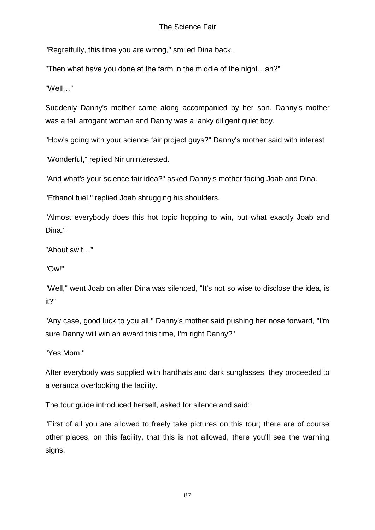"Regretfully, this time you are wrong," smiled Dina back.

"Then what have you done at the farm in the middle of the night…ah?"

"Well…"

Suddenly Danny's mother came along accompanied by her son. Danny's mother was a tall arrogant woman and Danny was a lanky diligent quiet boy.

"How's going with your science fair project guys?" Danny's mother said with interest

"Wonderful," replied Nir uninterested.

"And what's your science fair idea?" asked Danny's mother facing Joab and Dina.

"Ethanol fuel," replied Joab shrugging his shoulders.

"Almost everybody does this hot topic hopping to win, but what exactly Joab and Dina."

"About swit…"

"Ow!"

"Well," went Joab on after Dina was silenced, "It's not so wise to disclose the idea, is it?"

"Any case, good luck to you all," Danny's mother said pushing her nose forward, "I'm sure Danny will win an award this time, I'm right Danny?"

"Yes Mom."

After everybody was supplied with hardhats and dark sunglasses, they proceeded to a veranda overlooking the facility.

The tour guide introduced herself, asked for silence and said:

"First of all you are allowed to freely take pictures on this tour; there are of course other places, on this facility, that this is not allowed, there you'll see the warning signs.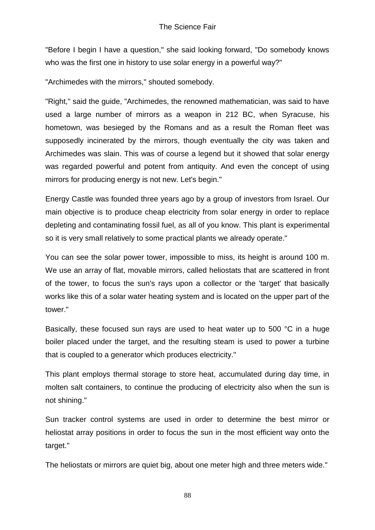"Before I begin I have a question," she said looking forward, "Do somebody knows who was the first one in history to use solar energy in a powerful way?"

"Archimedes with the mirrors," shouted somebody.

"Right," said the guide, "Archimedes, the renowned mathematician, was said to have used a large number of mirrors as a weapon in 212 BC, when Syracuse, his hometown, was besieged by the Romans and as a result the Roman fleet was supposedly incinerated by the mirrors, though eventually the city was taken and Archimedes was slain. This was of course a legend but it showed that solar energy was regarded powerful and potent from antiquity. And even the concept of using mirrors for producing energy is not new. Let's begin."

Energy Castle was founded three years ago by a group of investors from Israel. Our main objective is to produce cheap electricity from solar energy in order to replace depleting and contaminating fossil fuel, as all of you know. This plant is experimental so it is very small relatively to some practical plants we already operate."

You can see the solar power tower, impossible to miss, its height is around 100 m. We use an array of flat, movable mirrors, called heliostats that are scattered in front of the tower, to focus the sun's rays upon a collector or the 'target' that basically works like this of a solar water heating system and is located on the upper part of the tower."

Basically, these focused sun rays are used to heat water up to 500 °C in a huge boiler placed under the target, and the resulting steam is used to power a turbine that is coupled to a generator which produces electricity."

This plant employs thermal storage to store heat, accumulated during day time, in molten salt containers, to continue the producing of electricity also when the sun is not shining."

Sun tracker control systems are used in order to determine the best mirror or heliostat array positions in order to focus the sun in the most efficient way onto the target."

The heliostats or mirrors are quiet big, about one meter high and three meters wide."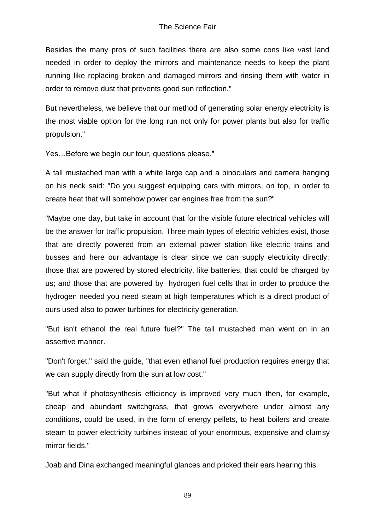Besides the many pros of such facilities there are also some cons like vast land needed in order to deploy the mirrors and maintenance needs to keep the plant running like replacing broken and damaged mirrors and rinsing them with water in order to remove dust that prevents good sun reflection."

But nevertheless, we believe that our method of generating solar energy electricity is the most viable option for the long run not only for power plants but also for traffic propulsion."

Yes…Before we begin our tour, questions please."

A tall mustached man with a white large cap and a binoculars and camera hanging on his neck said: "Do you suggest equipping cars with mirrors, on top, in order to create heat that will somehow power car engines free from the sun?"

"Maybe one day, but take in account that for the visible future electrical vehicles will be the answer for traffic propulsion. Three main types of electric vehicles exist, those that are directly powered from an external power station like electric trains and busses and here our advantage is clear since we can supply electricity directly; those that are powered by stored electricity, like batteries, that could be charged by us; and those that are powered by hydrogen fuel cells that in order to produce the hydrogen needed you need steam at high temperatures which is a direct product of ours used also to power turbines for electricity generation.

"But isn't ethanol the real future fuel?" The tall mustached man went on in an assertive manner.

"Don't forget," said the guide, "that even ethanol fuel production requires energy that we can supply directly from the sun at low cost."

"But what if photosynthesis efficiency is improved very much then, for example, cheap and abundant switchgrass, that grows everywhere under almost any conditions, could be used, in the form of energy pellets, to heat boilers and create steam to power electricity turbines instead of your enormous, expensive and clumsy mirror fields."

Joab and Dina exchanged meaningful glances and pricked their ears hearing this.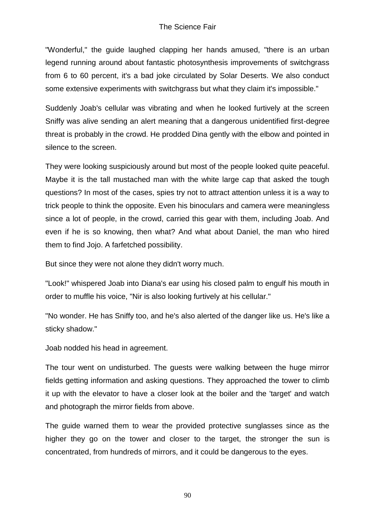#### The Science Fair

"Wonderful," the guide laughed clapping her hands amused, "there is an urban legend running around about fantastic photosynthesis improvements of switchgrass from 6 to 60 percent, it's a bad joke circulated by Solar Deserts. We also conduct some extensive experiments with switchgrass but what they claim it's impossible."

Suddenly Joab's cellular was vibrating and when he looked furtively at the screen Sniffy was alive sending an alert meaning that a dangerous unidentified first-degree threat is probably in the crowd. He prodded Dina gently with the elbow and pointed in silence to the screen.

They were looking suspiciously around but most of the people looked quite peaceful. Maybe it is the tall mustached man with the white large cap that asked the tough questions? In most of the cases, spies try not to attract attention unless it is a way to trick people to think the opposite. Even his binoculars and camera were meaningless since a lot of people, in the crowd, carried this gear with them, including Joab. And even if he is so knowing, then what? And what about Daniel, the man who hired them to find Jojo. A farfetched possibility.

But since they were not alone they didn't worry much.

"Look!" whispered Joab into Diana's ear using his closed palm to engulf his mouth in order to muffle his voice, "Nir is also looking furtively at his cellular."

"No wonder. He has Sniffy too, and he's also alerted of the danger like us. He's like a sticky shadow."

Joab nodded his head in agreement.

The tour went on undisturbed. The guests were walking between the huge mirror fields getting information and asking questions. They approached the tower to climb it up with the elevator to have a closer look at the boiler and the 'target' and watch and photograph the mirror fields from above.

The guide warned them to wear the provided protective sunglasses since as the higher they go on the tower and closer to the target, the stronger the sun is concentrated, from hundreds of mirrors, and it could be dangerous to the eyes.

90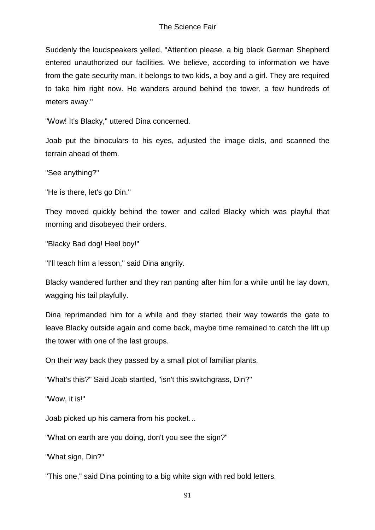Suddenly the loudspeakers yelled, "Attention please, a big black German Shepherd entered unauthorized our facilities. We believe, according to information we have from the gate security man, it belongs to two kids, a boy and a girl. They are required to take him right now. He wanders around behind the tower, a few hundreds of meters away."

"Wow! It's Blacky," uttered Dina concerned.

Joab put the binoculars to his eyes, adjusted the image dials, and scanned the terrain ahead of them.

"See anything?"

"He is there, let's go Din."

They moved quickly behind the tower and called Blacky which was playful that morning and disobeyed their orders.

"Blacky Bad dog! Heel boy!"

"I'll teach him a lesson," said Dina angrily.

Blacky wandered further and they ran panting after him for a while until he lay down, wagging his tail playfully.

Dina reprimanded him for a while and they started their way towards the gate to leave Blacky outside again and come back, maybe time remained to catch the lift up the tower with one of the last groups.

On their way back they passed by a small plot of familiar plants.

"What's this?" Said Joab startled, "isn't this switchgrass, Din?"

"Wow, it is!"

Joab picked up his camera from his pocket…

"What on earth are you doing, don't you see the sign?"

"What sign, Din?"

"This one," said Dina pointing to a big white sign with red bold letters.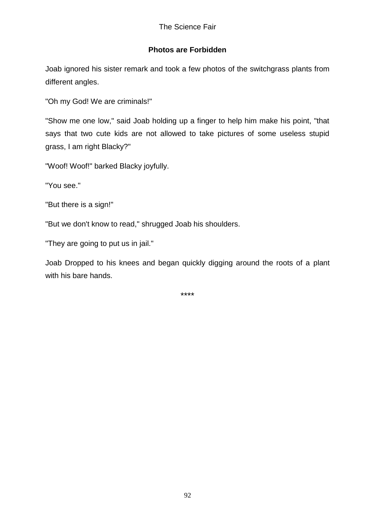### **Photos are Forbidden**

Joab ignored his sister remark and took a few photos of the switchgrass plants from different angles.

"Oh my God! We are criminals!"

"Show me one low," said Joab holding up a finger to help him make his point, "that says that two cute kids are not allowed to take pictures of some useless stupid grass, I am right Blacky?"

"Woof! Woof!" barked Blacky joyfully.

"You see."

"But there is a sign!"

"But we don't know to read," shrugged Joab his shoulders.

"They are going to put us in jail."

Joab Dropped to his knees and began quickly digging around the roots of a plant with his bare hands.

\*\*\*\*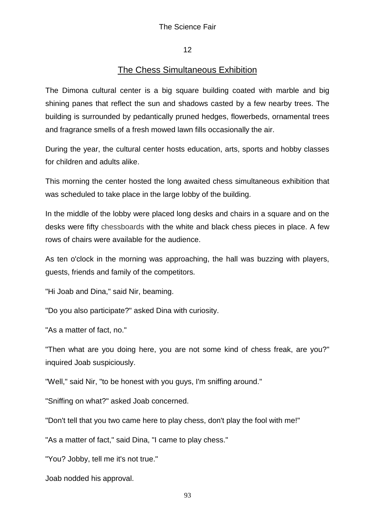#### 12

## The Chess Simultaneous Exhibition

The Dimona cultural center is a big square building coated with marble and big shining panes that reflect the sun and shadows casted by a few nearby trees. The building is surrounded by pedantically pruned hedges, flowerbeds, ornamental trees and fragrance smells of a fresh mowed lawn fills occasionally the air.

During the year, the cultural center hosts education, arts, sports and hobby classes for children and adults alike.

This morning the center hosted the long awaited chess simultaneous exhibition that was scheduled to take place in the large lobby of the building.

In the middle of the lobby were placed long desks and chairs in a square and on the desks were fifty chessboards with the white and black chess pieces in place. A few rows of chairs were available for the audience.

As ten o'clock in the morning was approaching, the hall was buzzing with players, guests, friends and family of the competitors.

"Hi Joab and Dina," said Nir, beaming.

"Do you also participate?" asked Dina with curiosity.

"As a matter of fact, no."

"Then what are you doing here, you are not some kind of chess freak, are you?" inquired Joab suspiciously.

"Well," said Nir, "to be honest with you guys, I'm sniffing around."

"Sniffing on what?" asked Joab concerned.

"Don't tell that you two came here to play chess, don't play the fool with me!"

"As a matter of fact," said Dina, "I came to play chess."

"You? Jobby, tell me it's not true."

Joab nodded his approval.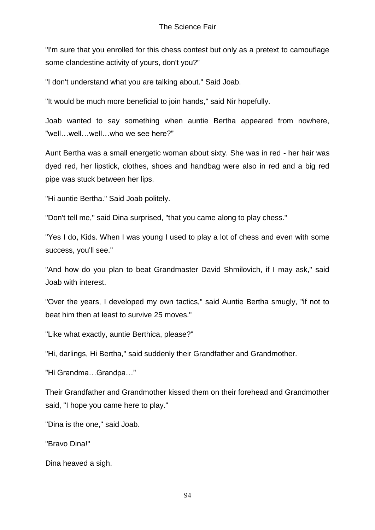"I'm sure that you enrolled for this chess contest but only as a pretext to camouflage some clandestine activity of yours, don't you?"

"I don't understand what you are talking about." Said Joab.

"It would be much more beneficial to join hands," said Nir hopefully.

Joab wanted to say something when auntie Bertha appeared from nowhere, "well…well…well…who we see here?"

Aunt Bertha was a small energetic woman about sixty. She was in red - her hair was dyed red, her lipstick, clothes, shoes and handbag were also in red and a big red pipe was stuck between her lips.

"Hi auntie Bertha." Said Joab politely.

"Don't tell me," said Dina surprised, "that you came along to play chess."

"Yes I do, Kids. When I was young I used to play a lot of chess and even with some success, you'll see."

"And how do you plan to beat Grandmaster David Shmilovich, if I may ask," said Joab with interest.

"Over the years, I developed my own tactics," said Auntie Bertha smugly, "if not to beat him then at least to survive 25 moves."

"Like what exactly, auntie Berthica, please?"

"Hi, darlings, Hi Bertha," said suddenly their Grandfather and Grandmother.

"Hi Grandma…Grandpa…"

Their Grandfather and Grandmother kissed them on their forehead and Grandmother said, "I hope you came here to play."

"Dina is the one," said Joab.

"Bravo Dina!"

Dina heaved a sigh.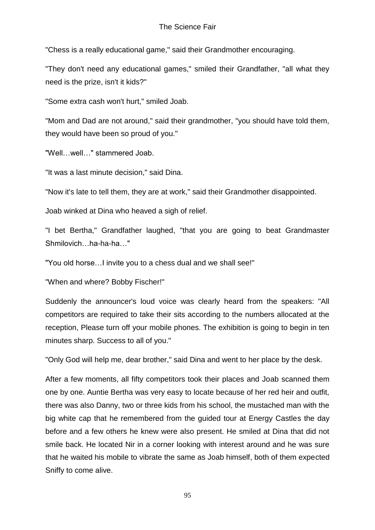"Chess is a really educational game," said their Grandmother encouraging.

"They don't need any educational games," smiled their Grandfather, "all what they need is the prize, isn't it kids?"

"Some extra cash won't hurt," smiled Joab.

"Mom and Dad are not around," said their grandmother, "you should have told them, they would have been so proud of you."

"Well…well…" stammered Joab.

"It was a last minute decision," said Dina.

"Now it's late to tell them, they are at work," said their Grandmother disappointed.

Joab winked at Dina who heaved a sigh of relief.

"I bet Bertha," Grandfather laughed, "that you are going to beat Grandmaster Shmilovich…ha-ha-ha…"

"You old horse…I invite you to a chess dual and we shall see!"

"When and where? Bobby Fischer!"

Suddenly the announcer's loud voice was clearly heard from the speakers: "All competitors are required to take their sits according to the numbers allocated at the reception, Please turn off your mobile phones. The exhibition is going to begin in ten minutes sharp. Success to all of you."

"Only God will help me, dear brother," said Dina and went to her place by the desk.

After a few moments, all fifty competitors took their places and Joab scanned them one by one. Auntie Bertha was very easy to locate because of her red heir and outfit, there was also Danny, two or three kids from his school, the mustached man with the big white cap that he remembered from the guided tour at Energy Castles the day before and a few others he knew were also present. He smiled at Dina that did not smile back. He located Nir in a corner looking with interest around and he was sure that he waited his mobile to vibrate the same as Joab himself, both of them expected Sniffy to come alive.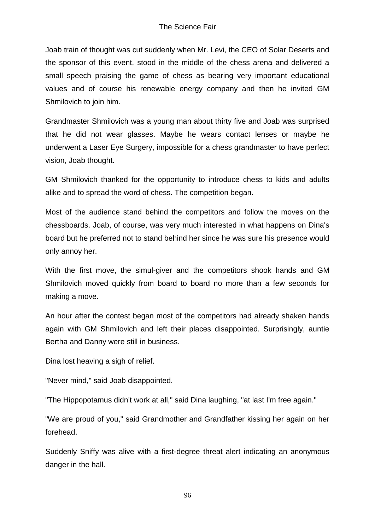Joab train of thought was cut suddenly when Mr. Levi, the CEO of Solar Deserts and the sponsor of this event, stood in the middle of the chess arena and delivered a small speech praising the game of chess as bearing very important educational values and of course his renewable energy company and then he invited GM Shmilovich to join him.

Grandmaster Shmilovich was a young man about thirty five and Joab was surprised that he did not wear glasses. Maybe he wears contact lenses or maybe he underwent a Laser Eye Surgery, impossible for a chess grandmaster to have perfect vision, Joab thought.

GM Shmilovich thanked for the opportunity to introduce chess to kids and adults alike and to spread the word of chess. The competition began.

Most of the audience stand behind the competitors and follow the moves on the chessboards. Joab, of course, was very much interested in what happens on Dina's board but he preferred not to stand behind her since he was sure his presence would only annoy her.

With the first move, the simul-giver and the competitors shook hands and GM Shmilovich moved quickly from board to board no more than a few seconds for making a move.

An hour after the contest began most of the competitors had already shaken hands again with GM Shmilovich and left their places disappointed. Surprisingly, auntie Bertha and Danny were still in business.

Dina lost heaving a sigh of relief.

"Never mind," said Joab disappointed.

"The Hippopotamus didn't work at all," said Dina laughing, "at last I'm free again."

"We are proud of you," said Grandmother and Grandfather kissing her again on her forehead.

Suddenly Sniffy was alive with a first-degree threat alert indicating an anonymous danger in the hall.

96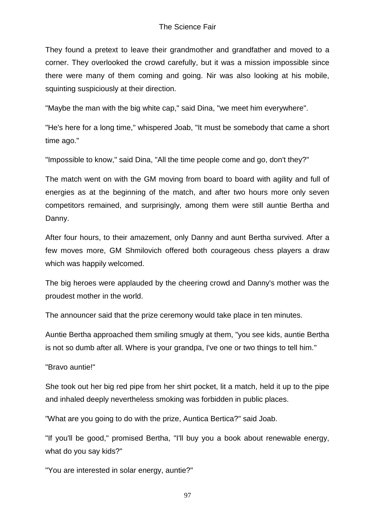They found a pretext to leave their grandmother and grandfather and moved to a corner. They overlooked the crowd carefully, but it was a mission impossible since there were many of them coming and going. Nir was also looking at his mobile, squinting suspiciously at their direction.

"Maybe the man with the big white cap," said Dina, "we meet him everywhere".

"He's here for a long time," whispered Joab, "It must be somebody that came a short time ago."

"Impossible to know," said Dina, "All the time people come and go, don't they?"

The match went on with the GM moving from board to board with agility and full of energies as at the beginning of the match, and after two hours more only seven competitors remained, and surprisingly, among them were still auntie Bertha and Danny.

After four hours, to their amazement, only Danny and aunt Bertha survived. After a few moves more, GM Shmilovich offered both courageous chess players a draw which was happily welcomed.

The big heroes were applauded by the cheering crowd and Danny's mother was the proudest mother in the world.

The announcer said that the prize ceremony would take place in ten minutes.

Auntie Bertha approached them smiling smugly at them, "you see kids, auntie Bertha is not so dumb after all. Where is your grandpa, I've one or two things to tell him."

"Bravo auntie!"

She took out her big red pipe from her shirt pocket, lit a match, held it up to the pipe and inhaled deeply nevertheless smoking was forbidden in public places.

"What are you going to do with the prize, Auntica Bertica?" said Joab.

"If you'll be good," promised Bertha, "I'll buy you a book about renewable energy, what do you say kids?"

"You are interested in solar energy, auntie?"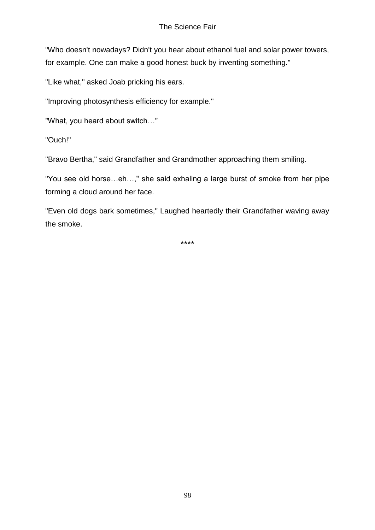#### The Science Fair

"Who doesn't nowadays? Didn't you hear about ethanol fuel and solar power towers, for example. One can make a good honest buck by inventing something."

"Like what," asked Joab pricking his ears.

"Improving photosynthesis efficiency for example."

"What, you heard about switch…"

"Ouch!"

"Bravo Bertha," said Grandfather and Grandmother approaching them smiling.

"You see old horse…eh…," she said exhaling a large burst of smoke from her pipe forming a cloud around her face.

"Even old dogs bark sometimes," Laughed heartedly their Grandfather waving away the smoke.

\*\*\*\*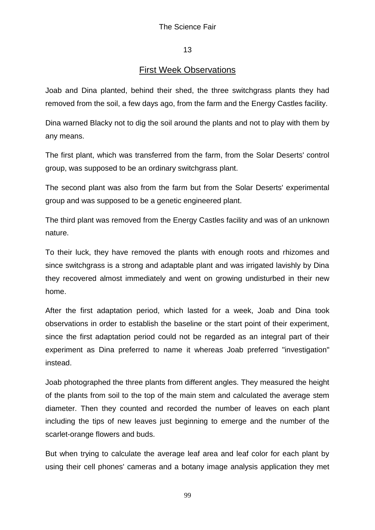#### 13

# First Week Observations

Joab and Dina planted, behind their shed, the three switchgrass plants they had removed from the soil, a few days ago, from the farm and the Energy Castles facility.

Dina warned Blacky not to dig the soil around the plants and not to play with them by any means.

The first plant, which was transferred from the farm, from the Solar Deserts' control group, was supposed to be an ordinary switchgrass plant.

The second plant was also from the farm but from the Solar Deserts' experimental group and was supposed to be a genetic engineered plant.

The third plant was removed from the Energy Castles facility and was of an unknown nature.

To their luck, they have removed the plants with enough roots and rhizomes and since switchgrass is a strong and adaptable plant and was irrigated lavishly by Dina they recovered almost immediately and went on growing undisturbed in their new home.

After the first adaptation period, which lasted for a week, Joab and Dina took observations in order to establish the baseline or the start point of their experiment, since the first adaptation period could not be regarded as an integral part of their experiment as Dina preferred to name it whereas Joab preferred "investigation" instead.

Joab photographed the three plants from different angles. They measured the height of the plants from soil to the top of the main stem and calculated the average stem diameter. Then they counted and recorded the number of leaves on each plant including the tips of new leaves just beginning to emerge and the number of the scarlet-orange flowers and buds.

But when trying to calculate the average leaf area and leaf color for each plant by using their cell phones' cameras and a botany image analysis application they met

99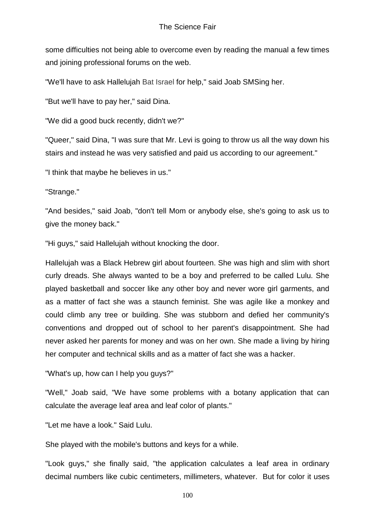some difficulties not being able to overcome even by reading the manual a few times and joining professional forums on the web.

"We'll have to ask Hallelujah Bat Israel for help," said Joab SMSing her.

"But we'll have to pay her," said Dina.

"We did a good buck recently, didn't we?"

"Queer," said Dina, "I was sure that Mr. Levi is going to throw us all the way down his stairs and instead he was very satisfied and paid us according to our agreement."

"I think that maybe he believes in us."

"Strange."

"And besides," said Joab, "don't tell Mom or anybody else, she's going to ask us to give the money back."

"Hi guys," said Hallelujah without knocking the door.

Hallelujah was a Black Hebrew girl about fourteen. She was high and slim with short curly dreads. She always wanted to be a boy and preferred to be called Lulu. She played basketball and soccer like any other boy and never wore girl garments, and as a matter of fact she was a staunch feminist. She was agile like a monkey and could climb any tree or building. She was stubborn and defied her community's conventions and dropped out of school to her parent's disappointment. She had never asked her parents for money and was on her own. She made a living by hiring her computer and technical skills and as a matter of fact she was a hacker.

"What's up, how can I help you guys?"

"Well," Joab said, "We have some problems with a botany application that can calculate the average leaf area and leaf color of plants."

"Let me have a look." Said Lulu.

She played with the mobile's buttons and keys for a while.

"Look guys," she finally said, "the application calculates a leaf area in ordinary decimal numbers like cubic centimeters, millimeters, whatever. But for color it uses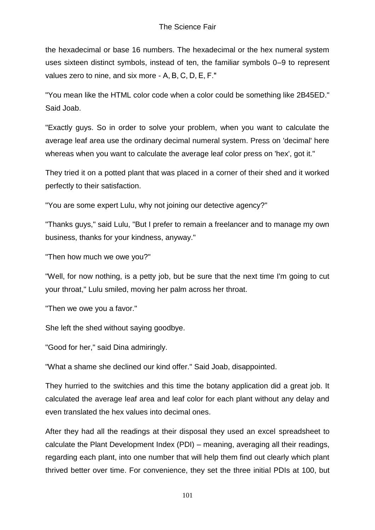the hexadecimal or base 16 numbers. The hexadecimal or the hex numeral system uses sixteen distinct symbols, instead of ten, the familiar symbols 0–9 to represent values zero to nine, and six more - A, B, C, D, E, F."

"You mean like the HTML color code when a color could be something like 2B45ED." Said Joab.

"Exactly guys. So in order to solve your problem, when you want to calculate the average leaf area use the ordinary decimal numeral system. Press on 'decimal' here whereas when you want to calculate the average leaf color press on 'hex', got it."

They tried it on a potted plant that was placed in a corner of their shed and it worked perfectly to their satisfaction.

"You are some expert Lulu, why not joining our detective agency?"

"Thanks guys," said Lulu, "But I prefer to remain a freelancer and to manage my own business, thanks for your kindness, anyway."

"Then how much we owe you?"

"Well, for now nothing, is a petty job, but be sure that the next time I'm going to cut your throat," Lulu smiled, moving her palm across her throat.

"Then we owe you a favor."

She left the shed without saying goodbye.

"Good for her," said Dina admiringly.

"What a shame she declined our kind offer." Said Joab, disappointed.

They hurried to the switchies and this time the botany application did a great job. It calculated the average leaf area and leaf color for each plant without any delay and even translated the hex values into decimal ones.

After they had all the readings at their disposal they used an excel spreadsheet to calculate the Plant Development Index (PDI) – meaning, averaging all their readings, regarding each plant, into one number that will help them find out clearly which plant thrived better over time. For convenience, they set the three initial PDIs at 100, but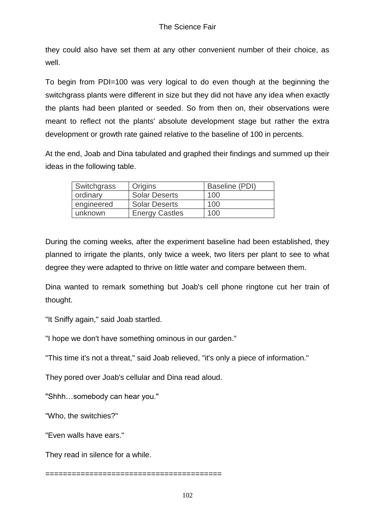they could also have set them at any other convenient number of their choice, as well.

To begin from PDI=100 was very logical to do even though at the beginning the switchgrass plants were different in size but they did not have any idea when exactly the plants had been planted or seeded. So from then on, their observations were meant to reflect not the plants' absolute development stage but rather the extra development or growth rate gained relative to the baseline of 100 in percents.

At the end, Joab and Dina tabulated and graphed their findings and summed up their ideas in the following table.

| Switchgrass | Origins               | Baseline (PDI) |
|-------------|-----------------------|----------------|
| ordinary    | <b>Solar Deserts</b>  | 100            |
| engineered  | <b>Solar Deserts</b>  | 100            |
| unknown     | <b>Energy Castles</b> | 100            |

During the coming weeks, after the experiment baseline had been established, they planned to irrigate the plants, only twice a week, two liters per plant to see to what degree they were adapted to thrive on little water and compare between them.

Dina wanted to remark something but Joab's cell phone ringtone cut her train of thought.

"It Sniffy again," said Joab startled.

"I hope we don't have something ominous in our garden."

"This time it's not a threat," said Joab relieved, "it's only a piece of information."

They pored over Joab's cellular and Dina read aloud.

"Shhh…somebody can hear you."

"Who, the switchies?"

"Even walls have ears."

They read in silence for a while.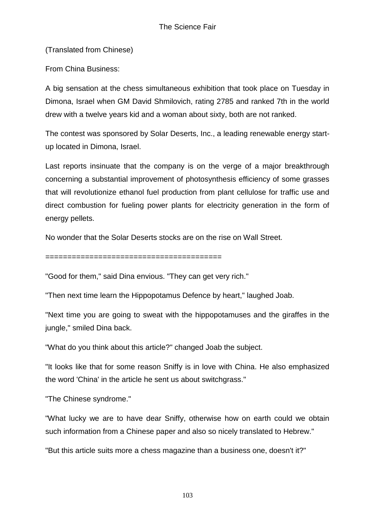(Translated from Chinese)

From China Business:

A big sensation at the chess simultaneous exhibition that took place on Tuesday in Dimona, Israel when GM David Shmilovich, rating 2785 and ranked 7th in the world drew with a twelve years kid and a woman about sixty, both are not ranked.

The contest was sponsored by Solar Deserts, Inc., a leading renewable energy startup located in Dimona, Israel.

Last reports insinuate that the company is on the verge of a major breakthrough concerning a substantial improvement of photosynthesis efficiency of some grasses that will revolutionize ethanol fuel production from plant cellulose for traffic use and direct combustion for fueling power plants for electricity generation in the form of energy pellets.

No wonder that the Solar Deserts stocks are on the rise on Wall Street.

#### ========================================

"Good for them," said Dina envious. "They can get very rich."

"Then next time learn the Hippopotamus Defence by heart," laughed Joab.

"Next time you are going to sweat with the hippopotamuses and the giraffes in the jungle," smiled Dina back.

"What do you think about this article?" changed Joab the subject.

"It looks like that for some reason Sniffy is in love with China. He also emphasized the word 'China' in the article he sent us about switchgrass."

"The Chinese syndrome."

"What lucky we are to have dear Sniffy, otherwise how on earth could we obtain such information from a Chinese paper and also so nicely translated to Hebrew."

"But this article suits more a chess magazine than a business one, doesn't it?"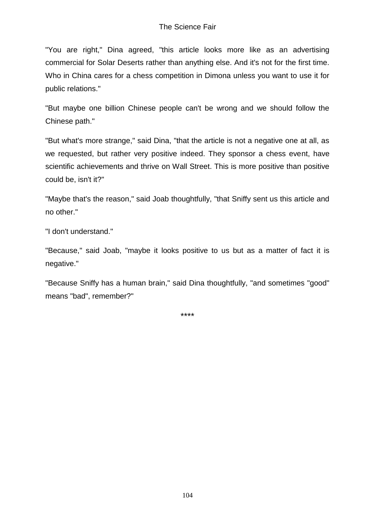"You are right," Dina agreed, "this article looks more like as an advertising commercial for Solar Deserts rather than anything else. And it's not for the first time. Who in China cares for a chess competition in Dimona unless you want to use it for public relations."

"But maybe one billion Chinese people can't be wrong and we should follow the Chinese path."

"But what's more strange," said Dina, "that the article is not a negative one at all, as we requested, but rather very positive indeed. They sponsor a chess event, have scientific achievements and thrive on Wall Street. This is more positive than positive could be, isn't it?"

"Maybe that's the reason," said Joab thoughtfully, "that Sniffy sent us this article and no other."

"I don't understand."

"Because," said Joab, "maybe it looks positive to us but as a matter of fact it is negative."

"Because Sniffy has a human brain," said Dina thoughtfully, "and sometimes "good" means "bad", remember?"

\*\*\*\*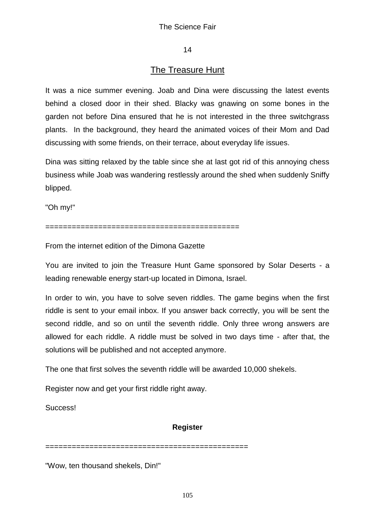#### 14

# The Treasure Hunt

It was a nice summer evening. Joab and Dina were discussing the latest events behind a closed door in their shed. Blacky was gnawing on some bones in the garden not before Dina ensured that he is not interested in the three switchgrass plants. In the background, they heard the animated voices of their Mom and Dad discussing with some friends, on their terrace, about everyday life issues.

Dina was sitting relaxed by the table since she at last got rid of this annoying chess business while Joab was wandering restlessly around the shed when suddenly Sniffy blipped.

"Oh my!"

============================================

From the internet edition of the Dimona Gazette

You are invited to join the Treasure Hunt Game sponsored by Solar Deserts - a leading renewable energy start-up located in Dimona, Israel.

In order to win, you have to solve seven riddles. The game begins when the first riddle is sent to your email inbox. If you answer back correctly, you will be sent the second riddle, and so on until the seventh riddle. Only three wrong answers are allowed for each riddle. A riddle must be solved in two days time - after that, the solutions will be published and not accepted anymore.

The one that first solves the seventh riddle will be awarded 10,000 shekels.

Register now and get your first riddle right away.

Success!

#### **Register**

==============================================

"Wow, ten thousand shekels, Din!"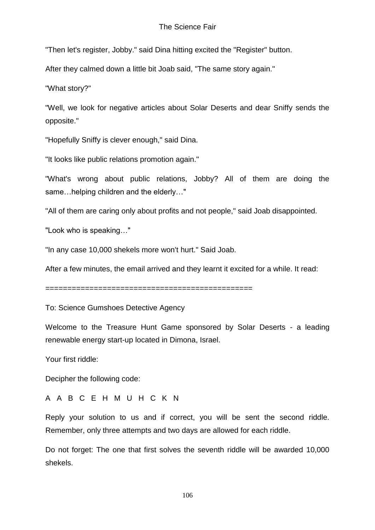"Then let's register, Jobby." said Dina hitting excited the "Register" button.

After they calmed down a little bit Joab said, "The same story again."

"What story?"

"Well, we look for negative articles about Solar Deserts and dear Sniffy sends the opposite."

"Hopefully Sniffy is clever enough," said Dina.

"It looks like public relations promotion again."

"What's wrong about public relations, Jobby? All of them are doing the same…helping children and the elderly…"

"All of them are caring only about profits and not people," said Joab disappointed.

"Look who is speaking…"

"In any case 10,000 shekels more won't hurt." Said Joab.

After a few minutes, the email arrived and they learnt it excited for a while. It read:

===============================================

To: Science Gumshoes Detective Agency

Welcome to the Treasure Hunt Game sponsored by Solar Deserts - a leading renewable energy start-up located in Dimona, Israel.

Your first riddle:

Decipher the following code:

### A A B C E H M U H C K N

Reply your solution to us and if correct, you will be sent the second riddle. Remember, only three attempts and two days are allowed for each riddle.

Do not forget: The one that first solves the seventh riddle will be awarded 10,000 shekels.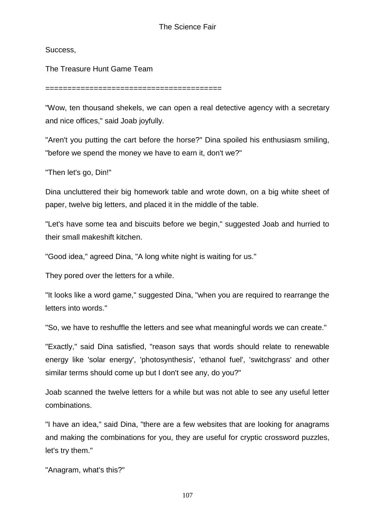Success,

The Treasure Hunt Game Team

========================================

"Wow, ten thousand shekels, we can open a real detective agency with a secretary and nice offices," said Joab joyfully.

"Aren't you putting the cart before the horse?" Dina spoiled his enthusiasm smiling, "before we spend the money we have to earn it, don't we?"

"Then let's go, Din!"

Dina uncluttered their big homework table and wrote down, on a big white sheet of paper, twelve big letters, and placed it in the middle of the table.

"Let's have some tea and biscuits before we begin," suggested Joab and hurried to their small makeshift kitchen.

"Good idea," agreed Dina, "A long white night is waiting for us."

They pored over the letters for a while.

"It looks like a word game," suggested Dina, "when you are required to rearrange the letters into words."

"So, we have to reshuffle the letters and see what meaningful words we can create."

"Exactly," said Dina satisfied, "reason says that words should relate to renewable energy like 'solar energy', 'photosynthesis', 'ethanol fuel', 'switchgrass' and other similar terms should come up but I don't see any, do you?"

Joab scanned the twelve letters for a while but was not able to see any useful letter combinations.

"I have an idea," said Dina, "there are a few websites that are looking for anagrams and making the combinations for you, they are useful for cryptic crossword puzzles, let's try them."

"Anagram, what's this?"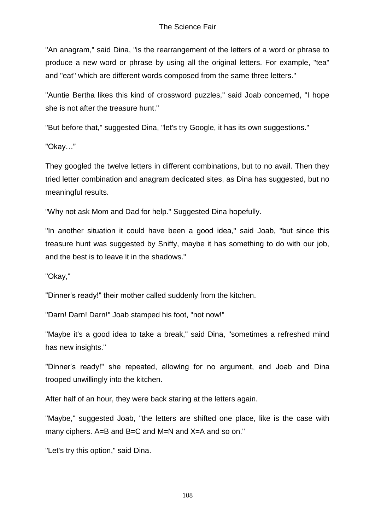"An anagram," said Dina, "is the rearrangement of the letters of a word or phrase to produce a new word or phrase by using all the original letters. For example, "tea" and "eat" which are different words composed from the same three letters."

"Auntie Bertha likes this kind of crossword puzzles," said Joab concerned, "I hope she is not after the treasure hunt."

"But before that," suggested Dina, "let's try Google, it has its own suggestions."

"Okay…"

They googled the twelve letters in different combinations, but to no avail. Then they tried letter combination and anagram dedicated sites, as Dina has suggested, but no meaningful results.

"Why not ask Mom and Dad for help." Suggested Dina hopefully.

"In another situation it could have been a good idea," said Joab, "but since this treasure hunt was suggested by Sniffy, maybe it has something to do with our job, and the best is to leave it in the shadows."

"Okay,"

"Dinner's ready!" their mother called suddenly from the kitchen.

"Darn! Darn! Darn!" Joab stamped his foot, "not now!"

"Maybe it's a good idea to take a break," said Dina, "sometimes a refreshed mind has new insights."

"Dinner's ready!" she repeated, allowing for no argument, and Joab and Dina trooped unwillingly into the kitchen.

After half of an hour, they were back staring at the letters again.

"Maybe," suggested Joab, "the letters are shifted one place, like is the case with many ciphers. A=B and B=C and M=N and X=A and so on."

"Let's try this option," said Dina.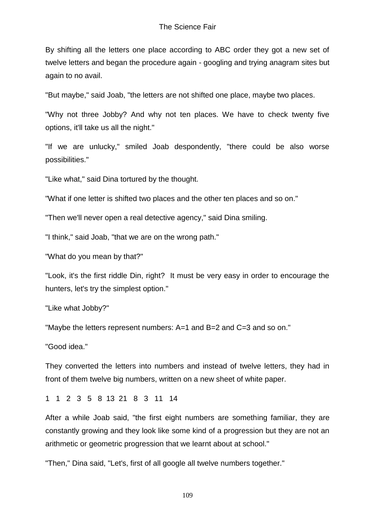By shifting all the letters one place according to ABC order they got a new set of twelve letters and began the procedure again - googling and trying anagram sites but again to no avail.

"But maybe," said Joab, "the letters are not shifted one place, maybe two places.

"Why not three Jobby? And why not ten places. We have to check twenty five options, it'll take us all the night."

"If we are unlucky," smiled Joab despondently, "there could be also worse possibilities."

"Like what," said Dina tortured by the thought.

"What if one letter is shifted two places and the other ten places and so on."

"Then we'll never open a real detective agency," said Dina smiling.

"I think," said Joab, "that we are on the wrong path."

"What do you mean by that?"

"Look, it's the first riddle Din, right? It must be very easy in order to encourage the hunters, let's try the simplest option."

"Like what Jobby?"

"Maybe the letters represent numbers: A=1 and B=2 and C=3 and so on."

"Good idea."

They converted the letters into numbers and instead of twelve letters, they had in front of them twelve big numbers, written on a new sheet of white paper.

1 1 2 3 5 8 13 21 8 3 11 14

After a while Joab said, "the first eight numbers are something familiar, they are constantly growing and they look like some kind of a progression but they are not an arithmetic or geometric progression that we learnt about at school."

"Then," Dina said, "Let's, first of all google all twelve numbers together."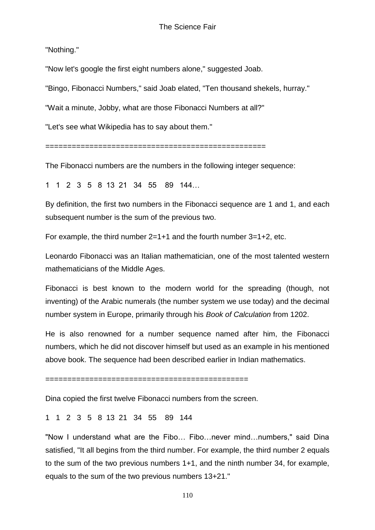"Nothing."

"Now let's google the first eight numbers alone," suggested Joab.

"Bingo, Fibonacci Numbers," said Joab elated, "Ten thousand shekels, hurray."

"Wait a minute, Jobby, what are those Fibonacci Numbers at all?"

"Let's see what Wikipedia has to say about them."

==================================================

The Fibonacci numbers are the numbers in the following integer sequence:

1 1 2 3 5 8 13 21 34 55 89 144…

By definition, the first two numbers in the Fibonacci sequence are 1 and 1, and each subsequent number is the sum of the previous two.

For example, the third number 2=1+1 and the fourth number 3=1+2, etc.

Leonardo Fibonacci was an Italian mathematician, one of the most talented western mathematicians of the Middle Ages.

Fibonacci is best known to the modern world for the spreading (though, not inventing) of the Arabic numerals (the number system we use today) and the decimal number system in Europe, primarily through his *Book of Calculation* from 1202.

He is also renowned for a number sequence named after him, the Fibonacci numbers, which he did not discover himself but used as an example in his mentioned above book. The sequence had been described earlier in Indian mathematics.

==============================================

Dina copied the first twelve Fibonacci numbers from the screen.

1 1 2 3 5 8 13 21 34 55 89 144

"Now I understand what are the Fibo… Fibo…never mind…numbers," said Dina satisfied, "It all begins from the third number. For example, the third number 2 equals to the sum of the two previous numbers 1+1, and the ninth number 34, for example, equals to the sum of the two previous numbers 13+21."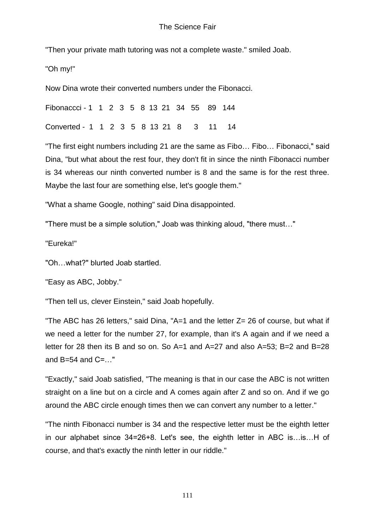#### The Science Fair

"Then your private math tutoring was not a complete waste." smiled Joab.

"Oh my!"

Now Dina wrote their converted numbers under the Fibonacci.

Fibonaccci - 1 1 2 3 5 8 13 21 34 55 89 144 Converted - 1 1 2 3 5 8 13 21 8 3 11 14

"The first eight numbers including 21 are the same as Fibo… Fibo… Fibonacci," said Dina, "but what about the rest four, they don't fit in since the ninth Fibonacci number is 34 whereas our ninth converted number is 8 and the same is for the rest three. Maybe the last four are something else, let's google them."

"What a shame Google, nothing" said Dina disappointed.

"There must be a simple solution," Joab was thinking aloud, "there must…"

"Eureka!"

"Oh…what?" blurted Joab startled.

"Easy as ABC, Jobby."

"Then tell us, clever Einstein," said Joab hopefully.

"The ABC has 26 letters," said Dina, "A=1 and the letter Z= 26 of course, but what if we need a letter for the number 27, for example, than it's A again and if we need a letter for 28 then its B and so on. So A=1 and A=27 and also A=53; B=2 and B=28 and  $B=54$  and  $C=...$ "

"Exactly," said Joab satisfied, "The meaning is that in our case the ABC is not written straight on a line but on a circle and A comes again after Z and so on. And if we go around the ABC circle enough times then we can convert any number to a letter."

"The ninth Fibonacci number is 34 and the respective letter must be the eighth letter in our alphabet since 34=26+8. Let's see, the eighth letter in ABC is…is…H of course, and that's exactly the ninth letter in our riddle."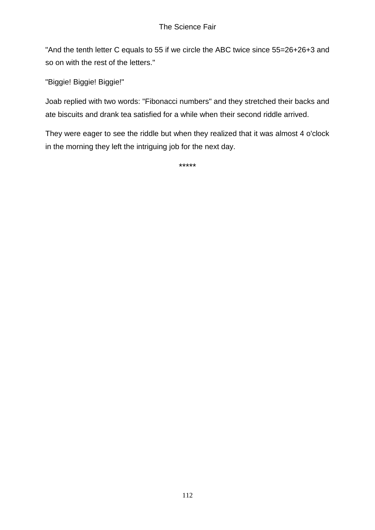"And the tenth letter C equals to 55 if we circle the ABC twice since 55=26+26+3 and so on with the rest of the letters."

"Biggie! Biggie! Biggie!"

Joab replied with two words: "Fibonacci numbers" and they stretched their backs and ate biscuits and drank tea satisfied for a while when their second riddle arrived.

They were eager to see the riddle but when they realized that it was almost 4 o'clock in the morning they left the intriguing job for the next day.

\*\*\*\*\*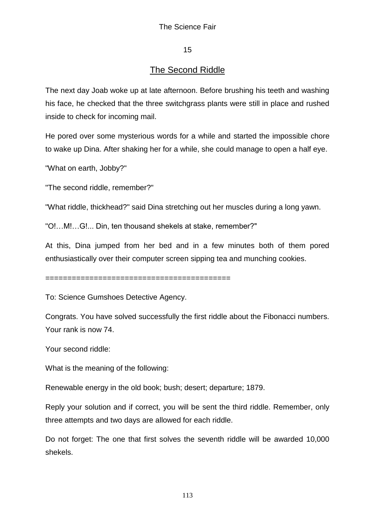### 15

# The Second Riddle

The next day Joab woke up at late afternoon. Before brushing his teeth and washing his face, he checked that the three switchgrass plants were still in place and rushed inside to check for incoming mail.

He pored over some mysterious words for a while and started the impossible chore to wake up Dina. After shaking her for a while, she could manage to open a half eye.

"What on earth, Jobby?"

"The second riddle, remember?"

"What riddle, thickhead?" said Dina stretching out her muscles during a long yawn.

"O!…M!…G!... Din, ten thousand shekels at stake, remember?"

At this, Dina jumped from her bed and in a few minutes both of them pored enthusiastically over their computer screen sipping tea and munching cookies.

==========================================

To: Science Gumshoes Detective Agency.

Congrats. You have solved successfully the first riddle about the Fibonacci numbers. Your rank is now 74.

Your second riddle:

What is the meaning of the following:

Renewable energy in the old book; bush; desert; departure; 1879.

Reply your solution and if correct, you will be sent the third riddle. Remember, only three attempts and two days are allowed for each riddle.

Do not forget: The one that first solves the seventh riddle will be awarded 10,000 shekels.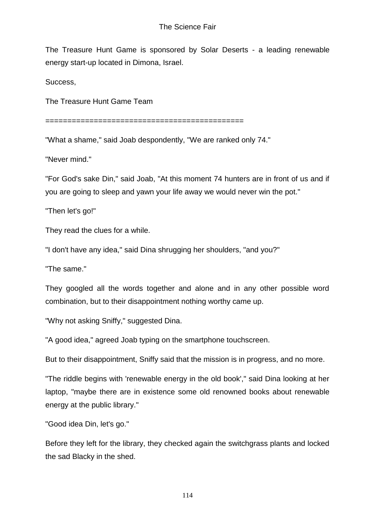The Treasure Hunt Game is sponsored by Solar Deserts - a leading renewable energy start-up located in Dimona, Israel.

Success,

The Treasure Hunt Game Team

=============================================

"What a shame," said Joab despondently, "We are ranked only 74."

"Never mind."

"For God's sake Din," said Joab, "At this moment 74 hunters are in front of us and if you are going to sleep and yawn your life away we would never win the pot."

"Then let's go!"

They read the clues for a while.

"I don't have any idea," said Dina shrugging her shoulders, "and you?"

"The same."

They googled all the words together and alone and in any other possible word combination, but to their disappointment nothing worthy came up.

"Why not asking Sniffy," suggested Dina.

"A good idea," agreed Joab typing on the smartphone touchscreen.

But to their disappointment, Sniffy said that the mission is in progress, and no more.

"The riddle begins with 'renewable energy in the old book'," said Dina looking at her laptop, "maybe there are in existence some old renowned books about renewable energy at the public library."

"Good idea Din, let's go."

Before they left for the library, they checked again the switchgrass plants and locked the sad Blacky in the shed.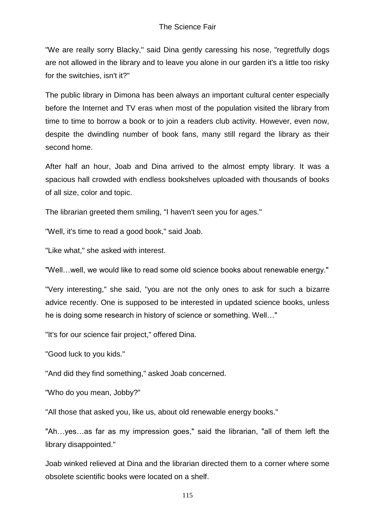"We are really sorry Blacky," said Dina gently caressing his nose, "regretfully dogs are not allowed in the library and to leave you alone in our garden it's a little too risky for the switchies, isn't it?"

The public library in Dimona has been always an important cultural center especially before the Internet and TV eras when most of the population visited the library from time to time to borrow a book or to join a readers club activity. However, even now, despite the dwindling number of book fans, many still regard the library as their second home.

After half an hour, Joab and Dina arrived to the almost empty library. It was a spacious hall crowded with endless bookshelves uploaded with thousands of books of all size, color and topic.

The librarian greeted them smiling, "I haven't seen you for ages."

"Well, it's time to read a good book," said Joab.

"Like what," she asked with interest.

"Well…well, we would like to read some old science books about renewable energy."

"Very interesting," she said, "you are not the only ones to ask for such a bizarre advice recently. One is supposed to be interested in updated science books, unless he is doing some research in history of science or something. Well…"

"It's for our science fair project," offered Dina.

"Good luck to you kids."

"And did they find something," asked Joab concerned.

"Who do you mean, Jobby?"

"All those that asked you, like us, about old renewable energy books."

"Ah…yes…as far as my impression goes," said the librarian, "all of them left the library disappointed."

Joab winked relieved at Dina and the librarian directed them to a corner where some obsolete scientific books were located on a shelf.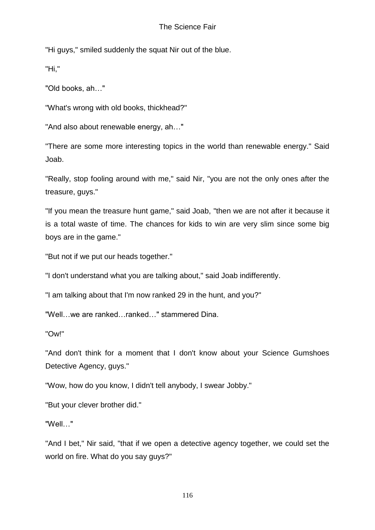#### The Science Fair

"Hi guys," smiled suddenly the squat Nir out of the blue.

"Hi,"

"Old books, ah…"

"What's wrong with old books, thickhead?"

"And also about renewable energy, ah…"

"There are some more interesting topics in the world than renewable energy." Said Joab.

"Really, stop fooling around with me," said Nir, "you are not the only ones after the treasure, guys."

"If you mean the treasure hunt game," said Joab, "then we are not after it because it is a total waste of time. The chances for kids to win are very slim since some big boys are in the game."

"But not if we put our heads together."

"I don't understand what you are talking about," said Joab indifferently.

"I am talking about that I'm now ranked 29 in the hunt, and you?"

"Well…we are ranked…ranked…" stammered Dina.

"Ow!"

"And don't think for a moment that I don't know about your Science Gumshoes Detective Agency, guys."

"Wow, how do you know, I didn't tell anybody, I swear Jobby."

"But your clever brother did."

"Well…"

"And I bet," Nir said, "that if we open a detective agency together, we could set the world on fire. What do you say guys?"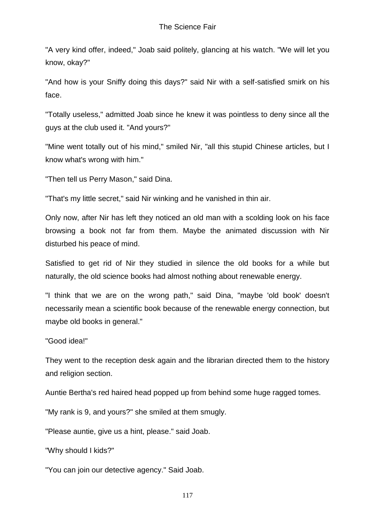"A very kind offer, indeed," Joab said politely, glancing at his watch. "We will let you know, okay?"

"And how is your Sniffy doing this days?" said Nir with a self-satisfied smirk on his face.

"Totally useless," admitted Joab since he knew it was pointless to deny since all the guys at the club used it. "And yours?"

"Mine went totally out of his mind," smiled Nir, "all this stupid Chinese articles, but I know what's wrong with him."

"Then tell us Perry Mason," said Dina.

"That's my little secret," said Nir winking and he vanished in thin air.

Only now, after Nir has left they noticed an old man with a scolding look on his face browsing a book not far from them. Maybe the animated discussion with Nir disturbed his peace of mind.

Satisfied to get rid of Nir they studied in silence the old books for a while but naturally, the old science books had almost nothing about renewable energy.

"I think that we are on the wrong path," said Dina, "maybe 'old book' doesn't necessarily mean a scientific book because of the renewable energy connection, but maybe old books in general."

"Good idea!"

They went to the reception desk again and the librarian directed them to the history and religion section.

Auntie Bertha's red haired head popped up from behind some huge ragged tomes.

"My rank is 9, and yours?" she smiled at them smugly.

"Please auntie, give us a hint, please." said Joab.

"Why should I kids?"

"You can join our detective agency." Said Joab.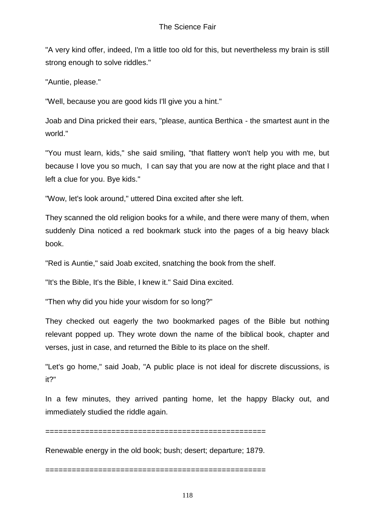"A very kind offer, indeed, I'm a little too old for this, but nevertheless my brain is still strong enough to solve riddles."

"Auntie, please."

"Well, because you are good kids I'll give you a hint."

Joab and Dina pricked their ears, "please, auntica Berthica - the smartest aunt in the world."

"You must learn, kids," she said smiling, "that flattery won't help you with me, but because I love you so much, I can say that you are now at the right place and that I left a clue for you. Bye kids."

"Wow, let's look around," uttered Dina excited after she left.

They scanned the old religion books for a while, and there were many of them, when suddenly Dina noticed a red bookmark stuck into the pages of a big heavy black book.

"Red is Auntie," said Joab excited, snatching the book from the shelf.

"It's the Bible, It's the Bible, I knew it." Said Dina excited.

"Then why did you hide your wisdom for so long?"

They checked out eagerly the two bookmarked pages of the Bible but nothing relevant popped up. They wrote down the name of the biblical book, chapter and verses, just in case, and returned the Bible to its place on the shelf.

"Let's go home," said Joab, "A public place is not ideal for discrete discussions, is it?"

In a few minutes, they arrived panting home, let the happy Blacky out, and immediately studied the riddle again.

==================================================

Renewable energy in the old book; bush; desert; departure; 1879.

==================================================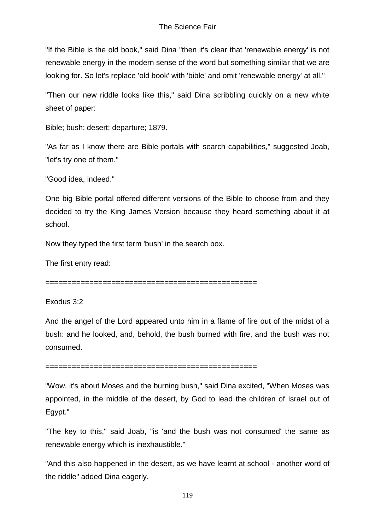#### The Science Fair

"If the Bible is the old book," said Dina "then it's clear that 'renewable energy' is not renewable energy in the modern sense of the word but something similar that we are looking for. So let's replace 'old book' with 'bible' and omit 'renewable energy' at all."

"Then our new riddle looks like this," said Dina scribbling quickly on a new white sheet of paper:

Bible; bush; desert; departure; 1879.

"As far as I know there are Bible portals with search capabilities," suggested Joab, "let's try one of them."

"Good idea, indeed."

One big Bible portal offered different versions of the Bible to choose from and they decided to try the King James Version because they heard something about it at school.

Now they typed the first term 'bush' in the search box.

The first entry read:

================================================

Exodus 3:2

And the angel of the Lord appeared unto him in a flame of fire out of the midst of a bush: and he looked, and, behold, the bush burned with fire, and the bush was not consumed.

================================================

"Wow, it's about Moses and the burning bush," said Dina excited, "When Moses was appointed, in the middle of the desert, by God to lead the children of Israel out of Egypt."

"The key to this," said Joab, "is 'and the bush was not consumed' the same as renewable energy which is inexhaustible."

"And this also happened in the desert, as we have learnt at school - another word of the riddle" added Dina eagerly.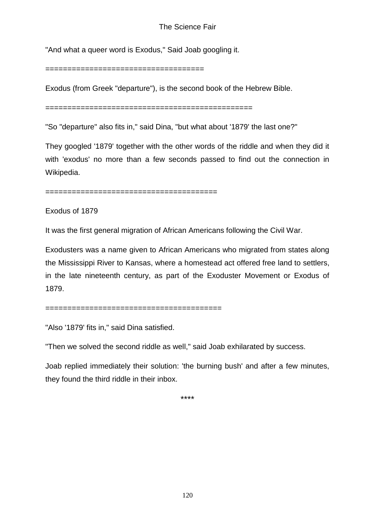#### The Science Fair

"And what a queer word is Exodus," Said Joab googling it.

====================================

Exodus (from Greek "departure"), is the second book of the Hebrew Bible.

===============================================

"So "departure" also fits in," said Dina, "but what about '1879' the last one?"

They googled '1879' together with the other words of the riddle and when they did it with 'exodus' no more than a few seconds passed to find out the connection in Wikipedia.

=======================================

Exodus of 1879

It was the first general migration of African Americans following the Civil War.

Exodusters was a name given to African Americans who migrated from states along the Mississippi River to Kansas, where a homestead act offered free land to settlers, in the late nineteenth century, as part of the Exoduster Movement or Exodus of 1879.

========================================

"Also '1879' fits in," said Dina satisfied.

"Then we solved the second riddle as well," said Joab exhilarated by success.

Joab replied immediately their solution: 'the burning bush' and after a few minutes, they found the third riddle in their inbox.

\*\*\*\*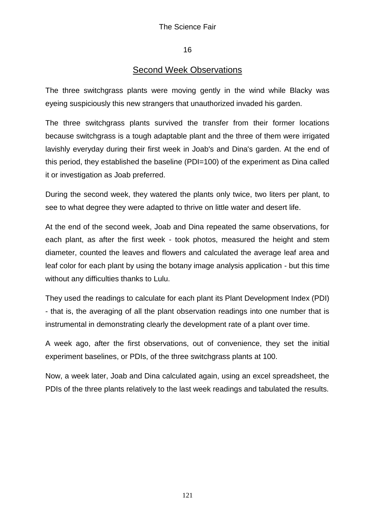#### 16

## Second Week Observations

The three switchgrass plants were moving gently in the wind while Blacky was eyeing suspiciously this new strangers that unauthorized invaded his garden.

The three switchgrass plants survived the transfer from their former locations because switchgrass is a tough adaptable plant and the three of them were irrigated lavishly everyday during their first week in Joab's and Dina's garden. At the end of this period, they established the baseline (PDI=100) of the experiment as Dina called it or investigation as Joab preferred.

During the second week, they watered the plants only twice, two liters per plant, to see to what degree they were adapted to thrive on little water and desert life.

At the end of the second week, Joab and Dina repeated the same observations, for each plant, as after the first week - took photos, measured the height and stem diameter, counted the leaves and flowers and calculated the average leaf area and leaf color for each plant by using the botany image analysis application - but this time without any difficulties thanks to Lulu.

They used the readings to calculate for each plant its Plant Development Index (PDI) - that is, the averaging of all the plant observation readings into one number that is instrumental in demonstrating clearly the development rate of a plant over time.

A week ago, after the first observations, out of convenience, they set the initial experiment baselines, or PDIs, of the three switchgrass plants at 100.

Now, a week later, Joab and Dina calculated again, using an excel spreadsheet, the PDIs of the three plants relatively to the last week readings and tabulated the results.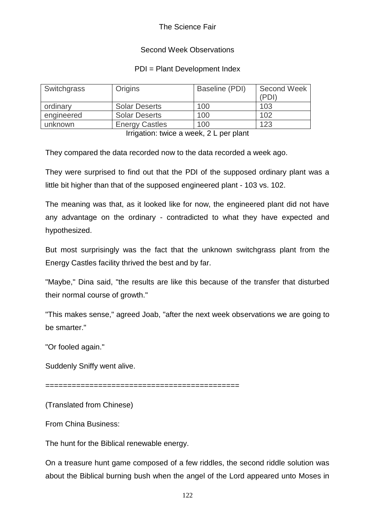#### The Science Fair

#### Second Week Observations

#### PDI = Plant Development Index

| Switchgrass | Origins               | Baseline (PDI) | <b>Second Week</b><br><b>PDI</b> |
|-------------|-----------------------|----------------|----------------------------------|
|             |                       |                |                                  |
| ordinary    | <b>Solar Deserts</b>  | 100            | 103                              |
| engineered  | <b>Solar Deserts</b>  | 100            | 102                              |
| unknown     | <b>Energy Castles</b> | 100            | 123                              |

Irrigation: twice a week, 2 L per plant

They compared the data recorded now to the data recorded a week ago.

They were surprised to find out that the PDI of the supposed ordinary plant was a little bit higher than that of the supposed engineered plant - 103 vs. 102.

The meaning was that, as it looked like for now, the engineered plant did not have any advantage on the ordinary - contradicted to what they have expected and hypothesized.

But most surprisingly was the fact that the unknown switchgrass plant from the Energy Castles facility thrived the best and by far.

"Maybe," Dina said, "the results are like this because of the transfer that disturbed their normal course of growth."

"This makes sense," agreed Joab, "after the next week observations we are going to be smarter."

"Or fooled again."

Suddenly Sniffy went alive.

=============================

(Translated from Chinese)

From China Business:

The hunt for the Biblical renewable energy.

On a treasure hunt game composed of a few riddles, the second riddle solution was about the Biblical burning bush when the angel of the Lord appeared unto Moses in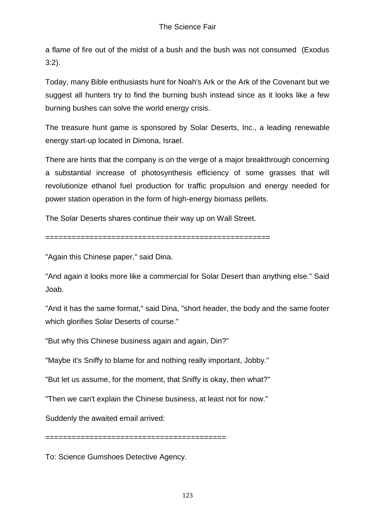a flame of fire out of the midst of a bush and the bush was not consumed (Exodus 3:2).

Today, many Bible enthusiasts hunt for Noah's Ark or the Ark of the Covenant but we suggest all hunters try to find the burning bush instead since as it looks like a few burning bushes can solve the world energy crisis.

The treasure hunt game is sponsored by Solar Deserts, Inc., a leading renewable energy start-up located in Dimona, Israel.

There are hints that the company is on the verge of a major breakthrough concerning a substantial increase of photosynthesis efficiency of some grasses that will revolutionize ethanol fuel production for traffic propulsion and energy needed for power station operation in the form of high-energy biomass pellets.

The Solar Deserts shares continue their way up on Wall Street.

===================================================

"Again this Chinese paper," said Dina.

"And again it looks more like a commercial for Solar Desert than anything else." Said Joab.

"And it has the same format," said Dina, "short header, the body and the same footer which glorifies Solar Deserts of course."

"But why this Chinese business again and again, Din?"

"Maybe it's Sniffy to blame for and nothing really important, Jobby."

"But let us assume, for the moment, that Sniffy is okay, then what?"

"Then we can't explain the Chinese business, at least not for now."

Suddenly the awaited email arrived:

=========================================

To: Science Gumshoes Detective Agency.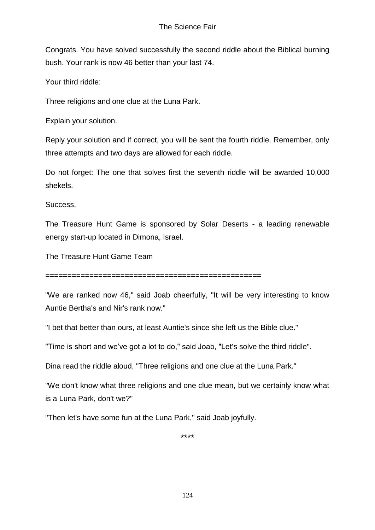Congrats. You have solved successfully the second riddle about the Biblical burning bush. Your rank is now 46 better than your last 74.

Your third riddle:

Three religions and one clue at the Luna Park.

Explain your solution.

Reply your solution and if correct, you will be sent the fourth riddle. Remember, only three attempts and two days are allowed for each riddle.

Do not forget: The one that solves first the seventh riddle will be awarded 10,000 shekels.

Success,

The Treasure Hunt Game is sponsored by Solar Deserts - a leading renewable energy start-up located in Dimona, Israel.

The Treasure Hunt Game Team

=================================================

"We are ranked now 46," said Joab cheerfully, "It will be very interesting to know Auntie Bertha's and Nir's rank now."

"I bet that better than ours, at least Auntie's since she left us the Bible clue."

"Time is short and we've got a lot to do," said Joab, "Let's solve the third riddle".

Dina read the riddle aloud, "Three religions and one clue at the Luna Park."

"We don't know what three religions and one clue mean, but we certainly know what is a Luna Park, don't we?"

"Then let's have some fun at the Luna Park," said Joab joyfully.

\*\*\*\*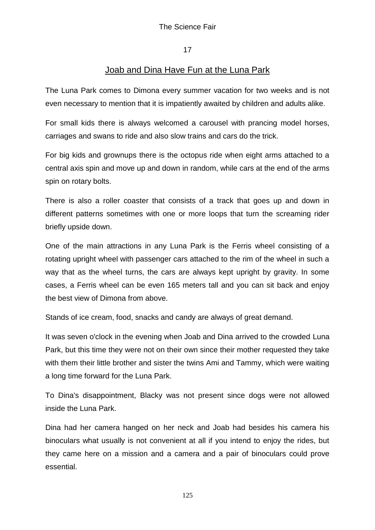17

### Joab and Dina Have Fun at the Luna Park

The Luna Park comes to Dimona every summer vacation for two weeks and is not even necessary to mention that it is impatiently awaited by children and adults alike.

For small kids there is always welcomed a carousel with prancing model horses, carriages and swans to ride and also slow trains and cars do the trick.

For big kids and grownups there is the octopus ride when eight arms attached to a central axis spin and move up and down in random, while cars at the end of the arms spin on rotary bolts.

There is also a roller coaster that consists of a track that goes up and down in different patterns sometimes with one or more loops that turn the screaming rider briefly upside down.

One of the main attractions in any Luna Park is the Ferris wheel consisting of a rotating upright wheel with passenger cars attached to the rim of the wheel in such a way that as the wheel turns, the cars are always kept upright by gravity. In some cases, a Ferris wheel can be even 165 meters tall and you can sit back and enjoy the best view of Dimona from above.

Stands of ice cream, food, snacks and candy are always of great demand.

It was seven o'clock in the evening when Joab and Dina arrived to the crowded Luna Park, but this time they were not on their own since their mother requested they take with them their little brother and sister the twins Ami and Tammy, which were waiting a long time forward for the Luna Park.

To Dina's disappointment, Blacky was not present since dogs were not allowed inside the Luna Park.

Dina had her camera hanged on her neck and Joab had besides his camera his binoculars what usually is not convenient at all if you intend to enjoy the rides, but they came here on a mission and a camera and a pair of binoculars could prove essential.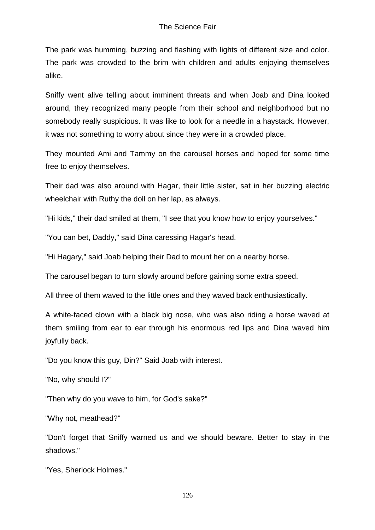The park was humming, buzzing and flashing with lights of different size and color. The park was crowded to the brim with children and adults enjoying themselves alike.

Sniffy went alive telling about imminent threats and when Joab and Dina looked around, they recognized many people from their school and neighborhood but no somebody really suspicious. It was like to look for a needle in a haystack. However, it was not something to worry about since they were in a crowded place.

They mounted Ami and Tammy on the carousel horses and hoped for some time free to enjoy themselves.

Their dad was also around with Hagar, their little sister, sat in her buzzing electric wheelchair with Ruthy the doll on her lap, as always.

"Hi kids," their dad smiled at them, "I see that you know how to enjoy yourselves."

"You can bet, Daddy," said Dina caressing Hagar's head.

"Hi Hagary," said Joab helping their Dad to mount her on a nearby horse.

The carousel began to turn slowly around before gaining some extra speed.

All three of them waved to the little ones and they waved back enthusiastically.

A white-faced clown with a black big nose, who was also riding a horse waved at them smiling from ear to ear through his enormous red lips and Dina waved him joyfully back.

"Do you know this guy, Din?" Said Joab with interest.

"No, why should I?"

"Then why do you wave to him, for God's sake?"

"Why not, meathead?"

"Don't forget that Sniffy warned us and we should beware. Better to stay in the shadows."

"Yes, Sherlock Holmes."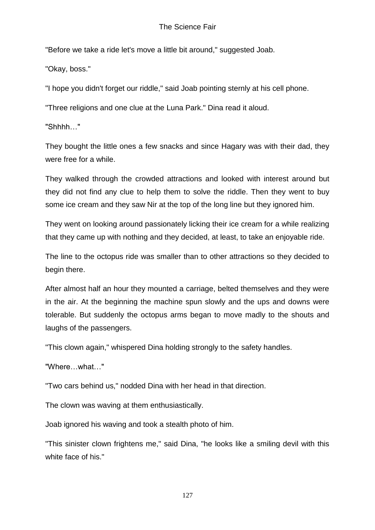"Before we take a ride let's move a little bit around," suggested Joab.

"Okay, boss."

"I hope you didn't forget our riddle," said Joab pointing sternly at his cell phone.

"Three religions and one clue at the Luna Park." Dina read it aloud.

"Shhhh…"

They bought the little ones a few snacks and since Hagary was with their dad, they were free for a while.

They walked through the crowded attractions and looked with interest around but they did not find any clue to help them to solve the riddle. Then they went to buy some ice cream and they saw Nir at the top of the long line but they ignored him.

They went on looking around passionately licking their ice cream for a while realizing that they came up with nothing and they decided, at least, to take an enjoyable ride.

The line to the octopus ride was smaller than to other attractions so they decided to begin there.

After almost half an hour they mounted a carriage, belted themselves and they were in the air. At the beginning the machine spun slowly and the ups and downs were tolerable. But suddenly the octopus arms began to move madly to the shouts and laughs of the passengers.

"This clown again," whispered Dina holding strongly to the safety handles.

"Where…what…"

"Two cars behind us," nodded Dina with her head in that direction.

The clown was waving at them enthusiastically.

Joab ignored his waving and took a stealth photo of him.

"This sinister clown frightens me," said Dina, "he looks like a smiling devil with this white face of his."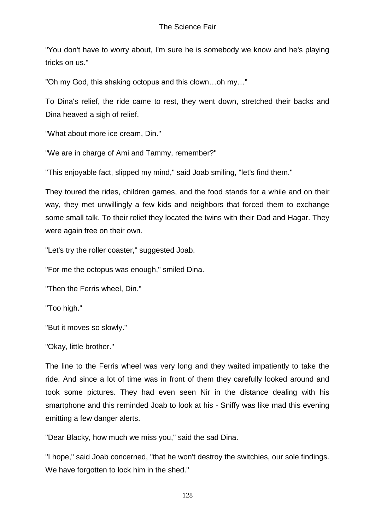"You don't have to worry about, I'm sure he is somebody we know and he's playing tricks on us."

"Oh my God, this shaking octopus and this clown…oh my…"

To Dina's relief, the ride came to rest, they went down, stretched their backs and Dina heaved a sigh of relief.

"What about more ice cream, Din."

"We are in charge of Ami and Tammy, remember?"

"This enjoyable fact, slipped my mind," said Joab smiling, "let's find them."

They toured the rides, children games, and the food stands for a while and on their way, they met unwillingly a few kids and neighbors that forced them to exchange some small talk. To their relief they located the twins with their Dad and Hagar. They were again free on their own.

"Let's try the roller coaster," suggested Joab.

"For me the octopus was enough," smiled Dina.

"Then the Ferris wheel, Din."

"Too high."

"But it moves so slowly."

"Okay, little brother."

The line to the Ferris wheel was very long and they waited impatiently to take the ride. And since a lot of time was in front of them they carefully looked around and took some pictures. They had even seen Nir in the distance dealing with his smartphone and this reminded Joab to look at his - Sniffy was like mad this evening emitting a few danger alerts.

"Dear Blacky, how much we miss you," said the sad Dina.

"I hope," said Joab concerned, "that he won't destroy the switchies, our sole findings. We have forgotten to lock him in the shed."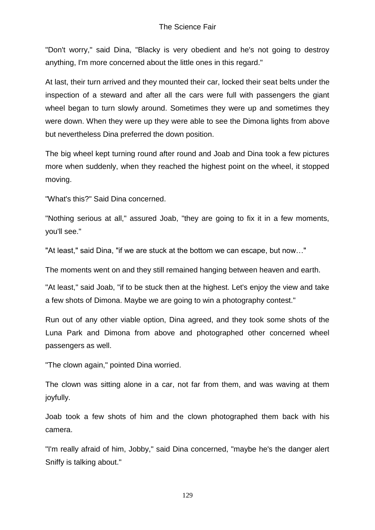"Don't worry," said Dina, "Blacky is very obedient and he's not going to destroy anything, I'm more concerned about the little ones in this regard."

At last, their turn arrived and they mounted their car, locked their seat belts under the inspection of a steward and after all the cars were full with passengers the giant wheel began to turn slowly around. Sometimes they were up and sometimes they were down. When they were up they were able to see the Dimona lights from above but nevertheless Dina preferred the down position.

The big wheel kept turning round after round and Joab and Dina took a few pictures more when suddenly, when they reached the highest point on the wheel, it stopped moving.

"What's this?" Said Dina concerned.

"Nothing serious at all," assured Joab, "they are going to fix it in a few moments, you'll see."

"At least," said Dina, "if we are stuck at the bottom we can escape, but now…"

The moments went on and they still remained hanging between heaven and earth.

"At least," said Joab, "if to be stuck then at the highest. Let's enjoy the view and take a few shots of Dimona. Maybe we are going to win a photography contest."

Run out of any other viable option, Dina agreed, and they took some shots of the Luna Park and Dimona from above and photographed other concerned wheel passengers as well.

"The clown again," pointed Dina worried.

The clown was sitting alone in a car, not far from them, and was waving at them joyfully.

Joab took a few shots of him and the clown photographed them back with his camera.

"I'm really afraid of him, Jobby," said Dina concerned, "maybe he's the danger alert Sniffy is talking about."

129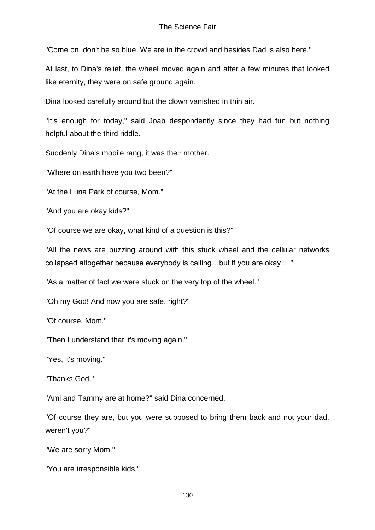"Come on, don't be so blue. We are in the crowd and besides Dad is also here."

At last, to Dina's relief, the wheel moved again and after a few minutes that looked like eternity, they were on safe ground again.

Dina looked carefully around but the clown vanished in thin air.

"It's enough for today," said Joab despondently since they had fun but nothing helpful about the third riddle.

Suddenly Dina's mobile rang, it was their mother.

"Where on earth have you two been?"

"At the Luna Park of course, Mom."

"And you are okay kids?"

"Of course we are okay, what kind of a question is this?"

"All the news are buzzing around with this stuck wheel and the cellular networks collapsed altogether because everybody is calling…but if you are okay… "

"As a matter of fact we were stuck on the very top of the wheel."

"Oh my God! And now you are safe, right?"

"Of course, Mom."

"Then I understand that it's moving again."

"Yes, it's moving."

"Thanks God."

"Ami and Tammy are at home?" said Dina concerned.

"Of course they are, but you were supposed to bring them back and not your dad, weren't you?"

"We are sorry Mom."

"You are irresponsible kids."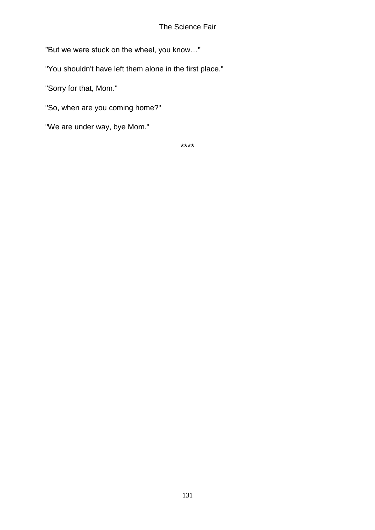"But we were stuck on the wheel, you know…"

"You shouldn't have left them alone in the first place."

"Sorry for that, Mom."

"So, when are you coming home?"

"We are under way, bye Mom."

\*\*\*\*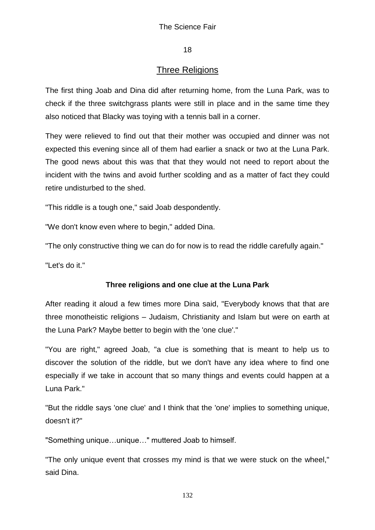### 18

## Three Religions

The first thing Joab and Dina did after returning home, from the Luna Park, was to check if the three switchgrass plants were still in place and in the same time they also noticed that Blacky was toying with a tennis ball in a corner.

They were relieved to find out that their mother was occupied and dinner was not expected this evening since all of them had earlier a snack or two at the Luna Park. The good news about this was that that they would not need to report about the incident with the twins and avoid further scolding and as a matter of fact they could retire undisturbed to the shed.

"This riddle is a tough one," said Joab despondently.

"We don't know even where to begin," added Dina.

"The only constructive thing we can do for now is to read the riddle carefully again."

"Let's do it."

### **Three religions and one clue at the Luna Park**

After reading it aloud a few times more Dina said, "Everybody knows that that are three monotheistic religions – Judaism, Christianity and Islam but were on earth at the Luna Park? Maybe better to begin with the 'one clue'."

"You are right," agreed Joab, "a clue is something that is meant to help us to discover the solution of the riddle, but we don't have any idea where to find one especially if we take in account that so many things and events could happen at a Luna Park."

"But the riddle says 'one clue' and I think that the 'one' implies to something unique, doesn't it?"

"Something unique…unique…" muttered Joab to himself.

"The only unique event that crosses my mind is that we were stuck on the wheel," said Dina.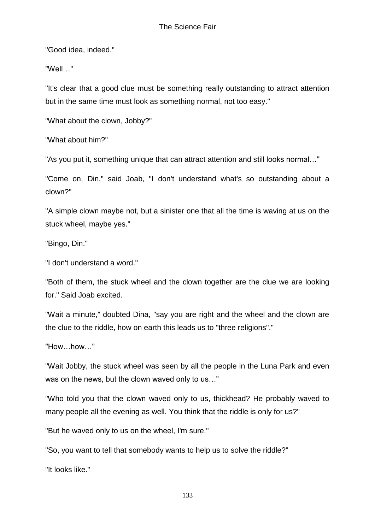"Good idea, indeed."

"Well…"

"It's clear that a good clue must be something really outstanding to attract attention but in the same time must look as something normal, not too easy."

"What about the clown, Jobby?"

"What about him?"

"As you put it, something unique that can attract attention and still looks normal…"

"Come on, Din," said Joab, "I don't understand what's so outstanding about a clown?"

"A simple clown maybe not, but a sinister one that all the time is waving at us on the stuck wheel, maybe yes."

"Bingo, Din."

"I don't understand a word."

"Both of them, the stuck wheel and the clown together are the clue we are looking for." Said Joab excited.

"Wait a minute," doubted Dina, "say you are right and the wheel and the clown are the clue to the riddle, how on earth this leads us to "three religions"."

"How…how…"

"Wait Jobby, the stuck wheel was seen by all the people in the Luna Park and even was on the news, but the clown waved only to us…"

"Who told you that the clown waved only to us, thickhead? He probably waved to many people all the evening as well. You think that the riddle is only for us?"

"But he waved only to us on the wheel, I'm sure."

"So, you want to tell that somebody wants to help us to solve the riddle?"

"It looks like."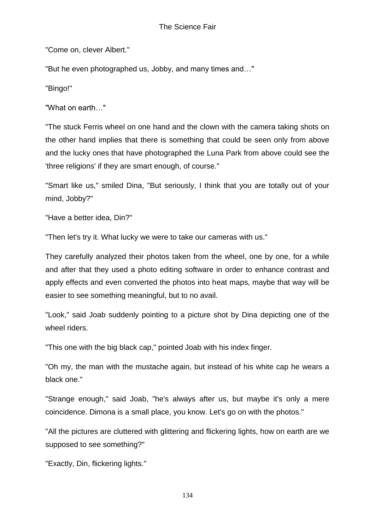"Come on, clever Albert."

"But he even photographed us, Jobby, and many times and…"

"Bingo!"

"What on earth…"

"The stuck Ferris wheel on one hand and the clown with the camera taking shots on the other hand implies that there is something that could be seen only from above and the lucky ones that have photographed the Luna Park from above could see the 'three religions' if they are smart enough, of course."

"Smart like us," smiled Dina, "But seriously, I think that you are totally out of your mind, Jobby?"

"Have a better idea, Din?"

"Then let's try it. What lucky we were to take our cameras with us."

They carefully analyzed their photos taken from the wheel, one by one, for a while and after that they used a photo editing software in order to enhance contrast and apply effects and even converted the photos into heat maps, maybe that way will be easier to see something meaningful, but to no avail.

"Look," said Joab suddenly pointing to a picture shot by Dina depicting one of the wheel riders.

"This one with the big black cap," pointed Joab with his index finger.

"Oh my, the man with the mustache again, but instead of his white cap he wears a black one."

"Strange enough," said Joab, "he's always after us, but maybe it's only a mere coincidence. Dimona is a small place, you know. Let's go on with the photos."

"All the pictures are cluttered with glittering and flickering lights, how on earth are we supposed to see something?"

"Exactly, Din, flickering lights."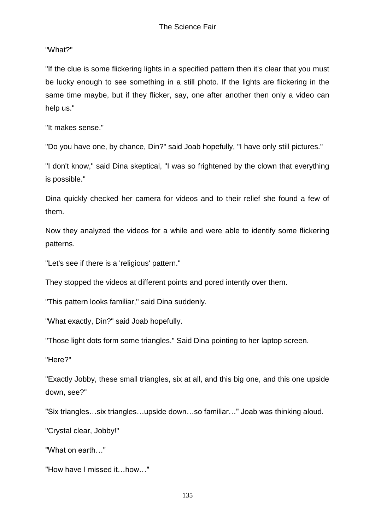"What?"

"If the clue is some flickering lights in a specified pattern then it's clear that you must be lucky enough to see something in a still photo. If the lights are flickering in the same time maybe, but if they flicker, say, one after another then only a video can help us."

"It makes sense."

"Do you have one, by chance, Din?" said Joab hopefully, "I have only still pictures."

"I don't know," said Dina skeptical, "I was so frightened by the clown that everything is possible."

Dina quickly checked her camera for videos and to their relief she found a few of them.

Now they analyzed the videos for a while and were able to identify some flickering patterns.

"Let's see if there is a 'religious' pattern."

They stopped the videos at different points and pored intently over them.

"This pattern looks familiar," said Dina suddenly.

"What exactly, Din?" said Joab hopefully.

"Those light dots form some triangles." Said Dina pointing to her laptop screen.

"Here?"

"Exactly Jobby, these small triangles, six at all, and this big one, and this one upside down, see?"

"Six triangles…six triangles…upside down…so familiar…" Joab was thinking aloud.

"Crystal clear, Jobby!"

"What on earth…"

"How have I missed it…how…"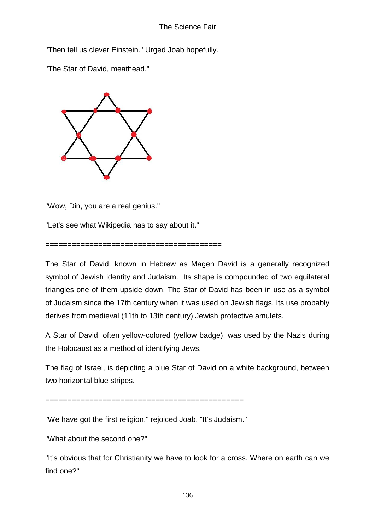"Then tell us clever Einstein." Urged Joab hopefully.

"The Star of David, meathead."



"Wow, Din, you are a real genius."

"Let's see what Wikipedia has to say about it."

#### ========================================

The Star of David, known in Hebrew as Magen David is a generally recognized symbol of Jewish identity and Judaism. Its shape is compounded of two equilateral triangles one of them upside down. The Star of David has been in use as a symbol of Judaism since the 17th century when it was used on Jewish flags. Its use probably derives from medieval (11th to 13th century) Jewish protective amulets.

A Star of David, often yellow-colored (yellow badge), was used by the Nazis during the Holocaust as a method of identifying Jews.

The flag of Israel, is depicting a blue Star of David on a white background, between two horizontal blue stripes.

=============================================

"We have got the first religion," rejoiced Joab, "It's Judaism."

"What about the second one?"

"It's obvious that for Christianity we have to look for a cross. Where on earth can we find one?"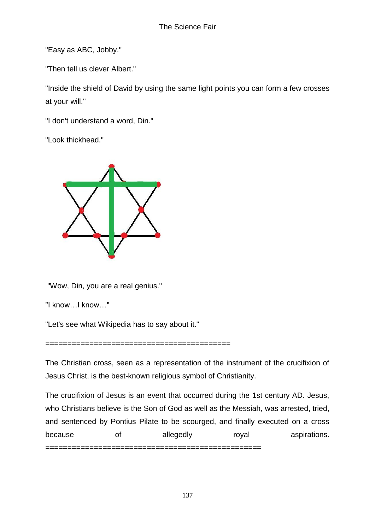"Easy as ABC, Jobby."

"Then tell us clever Albert."

"Inside the shield of David by using the same light points you can form a few crosses at your will."

"I don't understand a word, Din."

"Look thickhead."



"Wow, Din, you are a real genius."

"I know…I know…"

"Let's see what Wikipedia has to say about it."

==========================================

The Christian cross, seen as a representation of the instrument of the crucifixion of Jesus Christ, is the best-known religious symbol of Christianity.

The crucifixion of Jesus is an event that occurred during the 1st century AD. Jesus, who Christians believe is the Son of God as well as the Messiah, was arrested, tried, and sentenced by Pontius Pilate to be scourged, and finally executed on a cross because of allegedly royal aspirations. =================================================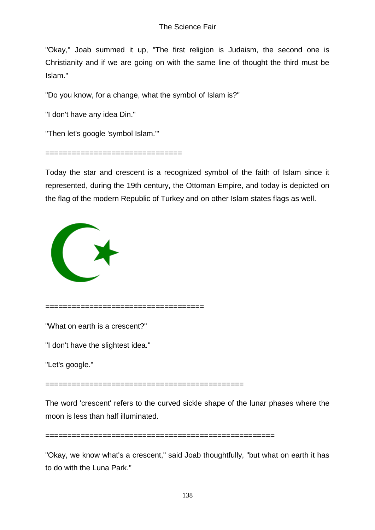"Okay," Joab summed it up, "The first religion is Judaism, the second one is Christianity and if we are going on with the same line of thought the third must be Islam."

"Do you know, for a change, what the symbol of Islam is?"

"I don't have any idea Din."

"Then let's google 'symbol Islam.'"

===============================

Today the star and crescent is a recognized symbol of the faith of Islam since it represented, during the 19th century, the Ottoman Empire, and today is depicted on the flag of the modern Republic of Turkey and on other Islam states flags as well.



====================================

"What on earth is a crescent?"

"I don't have the slightest idea."

"Let's google."

=============================================

The word 'crescent' refers to the curved sickle shape of the lunar phases where the moon is less than half illuminated.

====================================================

"Okay, we know what's a crescent," said Joab thoughtfully, "but what on earth it has to do with the Luna Park."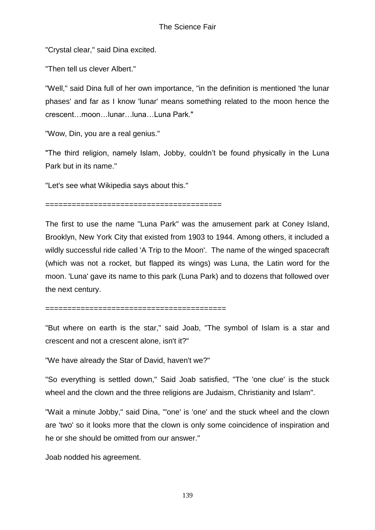"Crystal clear," said Dina excited.

"Then tell us clever Albert."

"Well," said Dina full of her own importance, "in the definition is mentioned 'the lunar phases' and far as I know 'lunar' means something related to the moon hence the crescent…moon…lunar…luna…Luna Park."

"Wow, Din, you are a real genius."

"The third religion, namely Islam, Jobby, couldn't be found physically in the Luna Park but in its name."

"Let's see what Wikipedia says about this."

========================================

The first to use the name "Luna Park" was the amusement park at Coney Island, Brooklyn, New York City that existed from 1903 to 1944. Among others, it included a wildly successful ride called 'A Trip to the Moon'. The name of the winged spacecraft (which was not a rocket, but flapped its wings) was Luna, the Latin word for the moon. 'Luna' gave its name to this park (Luna Park) and to dozens that followed over the next century.

=========================================

"But where on earth is the star," said Joab, "The symbol of Islam is a star and crescent and not a crescent alone, isn't it?"

"We have already the Star of David, haven't we?"

"So everything is settled down," Said Joab satisfied, "The 'one clue' is the stuck wheel and the clown and the three religions are Judaism, Christianity and Islam".

"Wait a minute Jobby," said Dina, "'one' is 'one' and the stuck wheel and the clown are 'two' so it looks more that the clown is only some coincidence of inspiration and he or she should be omitted from our answer."

Joab nodded his agreement.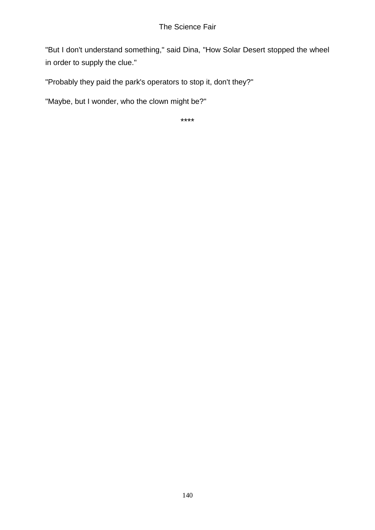"But I don't understand something," said Dina, "How Solar Desert stopped the wheel in order to supply the clue."

"Probably they paid the park's operators to stop it, don't they?"

"Maybe, but I wonder, who the clown might be?"

\*\*\*\*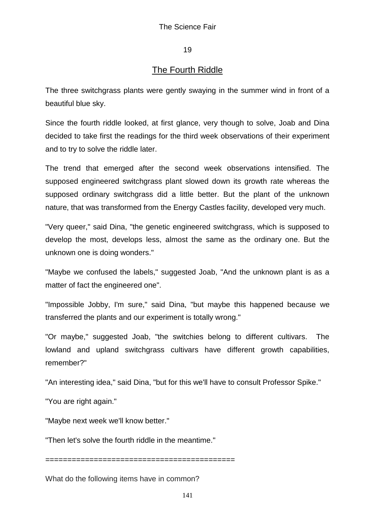19

## The Fourth Riddle

The three switchgrass plants were gently swaying in the summer wind in front of a beautiful blue sky.

Since the fourth riddle looked, at first glance, very though to solve, Joab and Dina decided to take first the readings for the third week observations of their experiment and to try to solve the riddle later.

The trend that emerged after the second week observations intensified. The supposed engineered switchgrass plant slowed down its growth rate whereas the supposed ordinary switchgrass did a little better. But the plant of the unknown nature, that was transformed from the Energy Castles facility, developed very much.

"Very queer," said Dina, "the genetic engineered switchgrass, which is supposed to develop the most, develops less, almost the same as the ordinary one. But the unknown one is doing wonders."

"Maybe we confused the labels," suggested Joab, "And the unknown plant is as a matter of fact the engineered one".

"Impossible Jobby, I'm sure," said Dina, "but maybe this happened because we transferred the plants and our experiment is totally wrong."

"Or maybe," suggested Joab, "the switchies belong to different cultivars. The lowland and upland switchgrass cultivars have different growth capabilities, remember?"

"An interesting idea," said Dina, "but for this we'll have to consult Professor Spike."

"You are right again."

"Maybe next week we'll know better."

"Then let's solve the fourth riddle in the meantime."

===========================================

What do the following items have in common?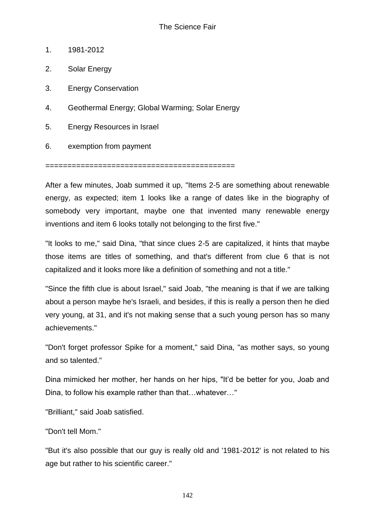- 1. 1981-2012
- 2. Solar Energy
- 3. Energy Conservation
- 4. Geothermal Energy; Global Warming; Solar Energy
- 5. Energy Resources in Israel
- 6. exemption from payment

#### ===========================================

After a few minutes, Joab summed it up, "Items 2-5 are something about renewable energy, as expected; item 1 looks like a range of dates like in the biography of somebody very important, maybe one that invented many renewable energy inventions and item 6 looks totally not belonging to the first five."

"It looks to me," said Dina, "that since clues 2-5 are capitalized, it hints that maybe those items are titles of something, and that's different from clue 6 that is not capitalized and it looks more like a definition of something and not a title."

"Since the fifth clue is about Israel," said Joab, "the meaning is that if we are talking about a person maybe he's Israeli, and besides, if this is really a person then he died very young, at 31, and it's not making sense that a such young person has so many achievements."

"Don't forget professor Spike for a moment," said Dina, "as mother says, so young and so talented."

Dina mimicked her mother, her hands on her hips, "It'd be better for you, Joab and Dina, to follow his example rather than that…whatever…"

"Brilliant," said Joab satisfied.

"Don't tell Mom."

"But it's also possible that our guy is really old and '1981-2012' is not related to his age but rather to his scientific career."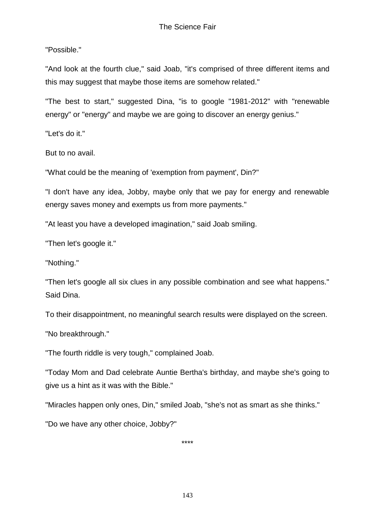"Possible."

"And look at the fourth clue," said Joab, "it's comprised of three different items and this may suggest that maybe those items are somehow related."

"The best to start," suggested Dina, "is to google "1981-2012" with "renewable energy" or "energy" and maybe we are going to discover an energy genius."

"Let's do it."

But to no avail.

"What could be the meaning of 'exemption from payment', Din?"

"I don't have any idea, Jobby, maybe only that we pay for energy and renewable energy saves money and exempts us from more payments."

"At least you have a developed imagination," said Joab smiling.

"Then let's google it."

"Nothing."

"Then let's google all six clues in any possible combination and see what happens." Said Dina.

To their disappointment, no meaningful search results were displayed on the screen.

"No breakthrough."

"The fourth riddle is very tough," complained Joab.

"Today Mom and Dad celebrate Auntie Bertha's birthday, and maybe she's going to give us a hint as it was with the Bible."

"Miracles happen only ones, Din," smiled Joab, "she's not as smart as she thinks."

"Do we have any other choice, Jobby?"

\*\*\*\*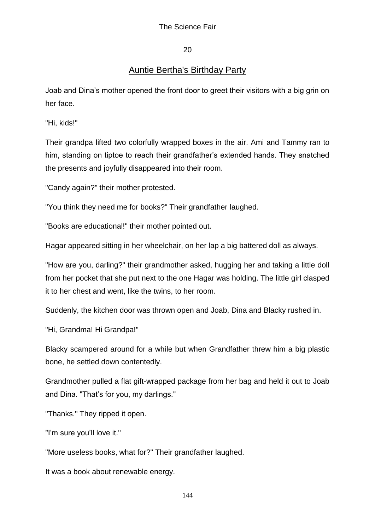### 20

# Auntie Bertha's Birthday Party

Joab and Dina's mother opened the front door to greet their visitors with a big grin on her face.

"Hi, kids!"

Their grandpa lifted two colorfully wrapped boxes in the air. Ami and Tammy ran to him, standing on tiptoe to reach their grandfather's extended hands. They snatched the presents and joyfully disappeared into their room.

"Candy again?" their mother protested.

"You think they need me for books?" Their grandfather laughed.

"Books are educational!" their mother pointed out.

Hagar appeared sitting in her wheelchair, on her lap a big battered doll as always.

"How are you, darling?" their grandmother asked, hugging her and taking a little doll from her pocket that she put next to the one Hagar was holding. The little girl clasped it to her chest and went, like the twins, to her room.

Suddenly, the kitchen door was thrown open and Joab, Dina and Blacky rushed in.

"Hi, Grandma! Hi Grandpa!"

Blacky scampered around for a while but when Grandfather threw him a big plastic bone, he settled down contentedly.

Grandmother pulled a flat gift-wrapped package from her bag and held it out to Joab and Dina. "That's for you, my darlings."

"Thanks." They ripped it open.

"I'm sure you'll love it."

"More useless books, what for?" Their grandfather laughed.

It was a book about renewable energy.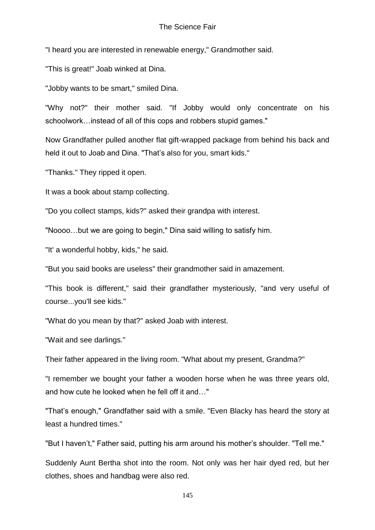"I heard you are interested in renewable energy," Grandmother said.

"This is great!" Joab winked at Dina.

"Jobby wants to be smart," smiled Dina.

"Why not?" their mother said. "If Jobby would only concentrate on his schoolwork…instead of all of this cops and robbers stupid games."

Now Grandfather pulled another flat gift-wrapped package from behind his back and held it out to Joab and Dina. "That's also for you, smart kids."

"Thanks." They ripped it open.

It was a book about stamp collecting.

"Do you collect stamps, kids?" asked their grandpa with interest.

"Noooo…but we are going to begin," Dina said willing to satisfy him.

"It' a wonderful hobby, kids," he said.

"But you said books are useless" their grandmother said in amazement.

"This book is different," said their grandfather mysteriously, "and very useful of course...you'll see kids."

"What do you mean by that?" asked Joab with interest.

"Wait and see darlings."

Their father appeared in the living room. "What about my present, Grandma?"

"I remember we bought your father a wooden horse when he was three years old, and how cute he looked when he fell off it and…"

"That's enough," Grandfather said with a smile. "Even Blacky has heard the story at least a hundred times."

"But I haven't," Father said, putting his arm around his mother's shoulder. "Tell me."

Suddenly Aunt Bertha shot into the room. Not only was her hair dyed red, but her clothes, shoes and handbag were also red.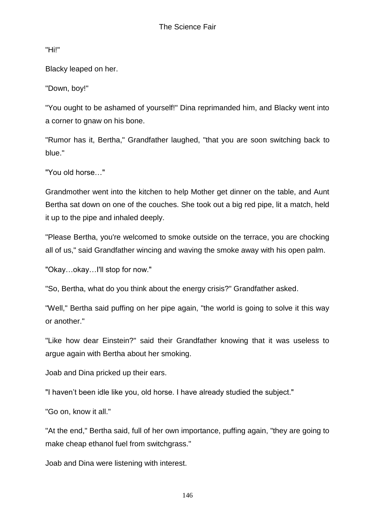"Hi!"

Blacky leaped on her.

"Down, boy!"

"You ought to be ashamed of yourself!" Dina reprimanded him, and Blacky went into a corner to gnaw on his bone.

"Rumor has it, Bertha," Grandfather laughed, "that you are soon switching back to blue."

"You old horse…"

Grandmother went into the kitchen to help Mother get dinner on the table, and Aunt Bertha sat down on one of the couches. She took out a big red pipe, lit a match, held it up to the pipe and inhaled deeply.

"Please Bertha, you're welcomed to smoke outside on the terrace, you are chocking all of us," said Grandfather wincing and waving the smoke away with his open palm.

"Okay…okay…I'll stop for now."

"So, Bertha, what do you think about the energy crisis?" Grandfather asked.

"Well," Bertha said puffing on her pipe again, "the world is going to solve it this way or another."

"Like how dear Einstein?" said their Grandfather knowing that it was useless to argue again with Bertha about her smoking.

Joab and Dina pricked up their ears.

"I haven't been idle like you, old horse. I have already studied the subject."

"Go on, know it all."

"At the end," Bertha said, full of her own importance, puffing again, "they are going to make cheap ethanol fuel from switchgrass."

Joab and Dina were listening with interest.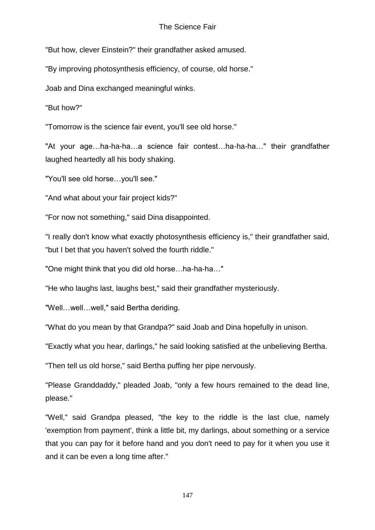"But how, clever Einstein?" their grandfather asked amused.

"By improving photosynthesis efficiency, of course, old horse."

Joab and Dina exchanged meaningful winks.

"But how?"

"Tomorrow is the science fair event, you'll see old horse."

"At your age…ha-ha-ha…a science fair contest…ha-ha-ha…" their grandfather laughed heartedly all his body shaking.

"You'll see old horse…you'll see."

"And what about your fair project kids?"

"For now not something," said Dina disappointed.

"I really don't know what exactly photosynthesis efficiency is," their grandfather said, "but I bet that you haven't solved the fourth riddle."

"One might think that you did old horse…ha-ha-ha…"

"He who laughs last, laughs best," said their grandfather mysteriously.

"Well…well…well," said Bertha deriding.

"What do you mean by that Grandpa?" said Joab and Dina hopefully in unison.

"Exactly what you hear, darlings," he said looking satisfied at the unbelieving Bertha.

"Then tell us old horse," said Bertha puffing her pipe nervously.

"Please Granddaddy," pleaded Joab, "only a few hours remained to the dead line, please."

"Well," said Grandpa pleased, "the key to the riddle is the last clue, namely 'exemption from payment', think a little bit, my darlings, about something or a service that you can pay for it before hand and you don't need to pay for it when you use it and it can be even a long time after."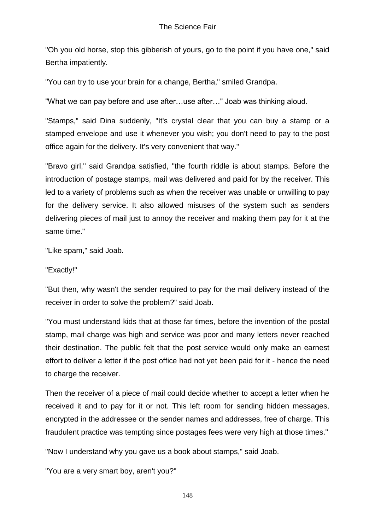"Oh you old horse, stop this gibberish of yours, go to the point if you have one," said Bertha impatiently.

"You can try to use your brain for a change, Bertha," smiled Grandpa.

"What we can pay before and use after…use after…" Joab was thinking aloud.

"Stamps," said Dina suddenly, "It's crystal clear that you can buy a stamp or a stamped envelope and use it whenever you wish; you don't need to pay to the post office again for the delivery. It's very convenient that way."

"Bravo girl," said Grandpa satisfied, "the fourth riddle is about stamps. Before the introduction of postage stamps, mail was delivered and paid for by the receiver. This led to a variety of problems such as when the receiver was unable or unwilling to pay for the delivery service. It also allowed misuses of the system such as senders delivering pieces of mail just to annoy the receiver and making them pay for it at the same time."

"Like spam," said Joab.

"Exactly!"

"But then, why wasn't the sender required to pay for the mail delivery instead of the receiver in order to solve the problem?" said Joab.

"You must understand kids that at those far times, before the invention of the postal stamp, mail charge was high and service was poor and many letters never reached their destination. The public felt that the post service would only make an earnest effort to deliver a letter if the post office had not yet been paid for it - hence the need to charge the receiver.

Then the receiver of a piece of mail could decide whether to accept a letter when he received it and to pay for it or not. This left room for sending hidden messages, encrypted in the addressee or the sender names and addresses, free of charge. This fraudulent practice was tempting since postages fees were very high at those times."

"Now I understand why you gave us a book about stamps," said Joab.

"You are a very smart boy, aren't you?"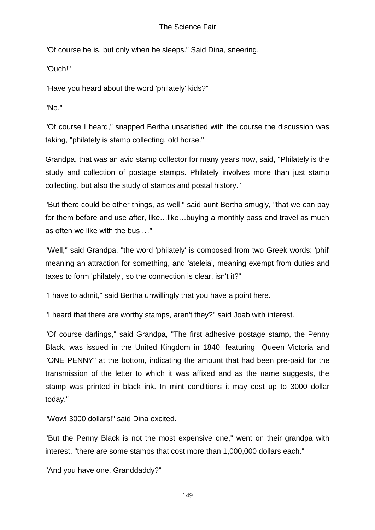"Of course he is, but only when he sleeps." Said Dina, sneering.

"Ouch!"

"Have you heard about the word 'philately' kids?"

"No."

"Of course I heard," snapped Bertha unsatisfied with the course the discussion was taking, "philately is stamp collecting, old horse."

Grandpa, that was an avid stamp collector for many years now, said, "Philately is the study and collection of postage stamps. Philately involves more than just stamp collecting, but also the study of stamps and postal history."

"But there could be other things, as well," said aunt Bertha smugly, "that we can pay for them before and use after, like…like…buying a monthly pass and travel as much as often we like with the bus …"

"Well," said Grandpa, "the word 'philately' is composed from two Greek words: 'phil' meaning an attraction for something, and 'ateleia', meaning exempt from duties and taxes to form 'philately', so the connection is clear, isn't it?"

"I have to admit," said Bertha unwillingly that you have a point here.

"I heard that there are worthy stamps, aren't they?" said Joab with interest.

"Of course darlings," said Grandpa, "The first adhesive postage stamp, the Penny Black, was issued in the United Kingdom in 1840, featuring Queen Victoria and "ONE PENNY" at the bottom, indicating the amount that had been pre-paid for the transmission of the letter to which it was affixed and as the name suggests, the stamp was printed in black ink. In mint conditions it may cost up to 3000 dollar today."

"Wow! 3000 dollars!" said Dina excited.

"But the Penny Black is not the most expensive one," went on their grandpa with interest, "there are some stamps that cost more than 1,000,000 dollars each."

"And you have one, Granddaddy?"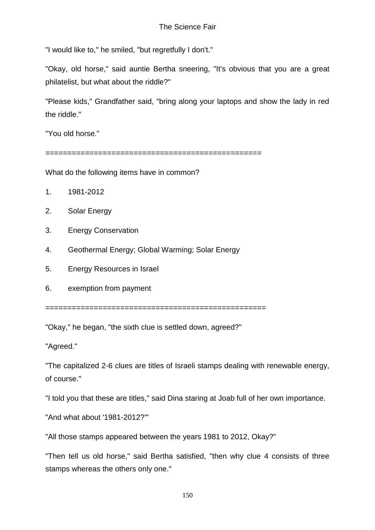"I would like to," he smiled, "but regretfully I don't."

"Okay, old horse," said auntie Bertha sneering, "It's obvious that you are a great philatelist, but what about the riddle?"

"Please kids," Grandfather said, "bring along your laptops and show the lady in red the riddle."

"You old horse."

=================================================

What do the following items have in common?

- 1. 1981-2012
- 2. Solar Energy
- 3. Energy Conservation
- 4. Geothermal Energy; Global Warming; Solar Energy
- 5. Energy Resources in Israel
- 6. exemption from payment

==================================================

"Okay," he began, "the sixth clue is settled down, agreed?"

"Agreed."

"The capitalized 2-6 clues are titles of Israeli stamps dealing with renewable energy, of course."

"I told you that these are titles," said Dina staring at Joab full of her own importance.

"And what about '1981-2012?'"

"All those stamps appeared between the years 1981 to 2012, Okay?"

"Then tell us old horse," said Bertha satisfied, "then why clue 4 consists of three stamps whereas the others only one."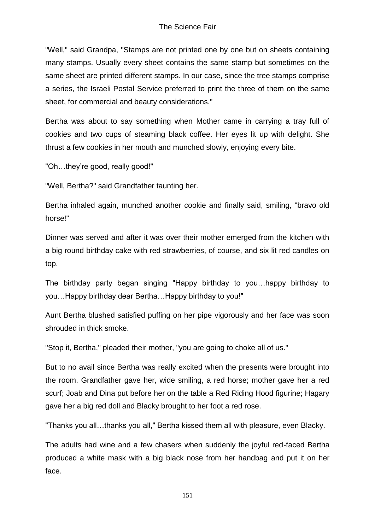"Well," said Grandpa, "Stamps are not printed one by one but on sheets containing many stamps. Usually every sheet contains the same stamp but sometimes on the same sheet are printed different stamps. In our case, since the tree stamps comprise a series, the Israeli Postal Service preferred to print the three of them on the same sheet, for commercial and beauty considerations."

Bertha was about to say something when Mother came in carrying a tray full of cookies and two cups of steaming black coffee. Her eyes lit up with delight. She thrust a few cookies in her mouth and munched slowly, enjoying every bite.

"Oh…they're good, really good!"

"Well, Bertha?" said Grandfather taunting her.

Bertha inhaled again, munched another cookie and finally said, smiling, "bravo old horse!"

Dinner was served and after it was over their mother emerged from the kitchen with a big round birthday cake with red strawberries, of course, and six lit red candles on top.

The birthday party began singing "Happy birthday to you…happy birthday to you…Happy birthday dear Bertha…Happy birthday to you!"

Aunt Bertha blushed satisfied puffing on her pipe vigorously and her face was soon shrouded in thick smoke.

"Stop it, Bertha," pleaded their mother, "you are going to choke all of us."

But to no avail since Bertha was really excited when the presents were brought into the room. Grandfather gave her, wide smiling, a red horse; mother gave her a red scurf; Joab and Dina put before her on the table a Red Riding Hood figurine; Hagary gave her a big red doll and Blacky brought to her foot a red rose.

"Thanks you all…thanks you all," Bertha kissed them all with pleasure, even Blacky.

The adults had wine and a few chasers when suddenly the joyful red-faced Bertha produced a white mask with a big black nose from her handbag and put it on her face.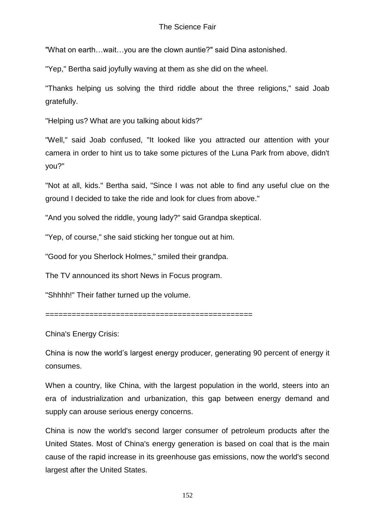"What on earth…wait…you are the clown auntie?" said Dina astonished.

"Yep," Bertha said joyfully waving at them as she did on the wheel.

"Thanks helping us solving the third riddle about the three religions," said Joab gratefully.

"Helping us? What are you talking about kids?"

"Well," said Joab confused, "It looked like you attracted our attention with your camera in order to hint us to take some pictures of the Luna Park from above, didn't you?"

"Not at all, kids." Bertha said, "Since I was not able to find any useful clue on the ground I decided to take the ride and look for clues from above."

"And you solved the riddle, young lady?" said Grandpa skeptical.

"Yep, of course," she said sticking her tongue out at him.

"Good for you Sherlock Holmes," smiled their grandpa.

The TV announced its short News in Focus program.

"Shhhh!" Their father turned up the volume.

===============================================

China's Energy Crisis:

China is now the world's largest energy producer, generating 90 percent of energy it consumes.

When a country, like China, with the largest population in the world, steers into an era of industrialization and urbanization, this gap between energy demand and supply can arouse serious energy concerns.

China is now the world's second larger consumer of petroleum products after the United States. Most of China's energy generation is based on coal that is the main cause of the rapid increase in its greenhouse gas emissions, now the world's second largest after the United States.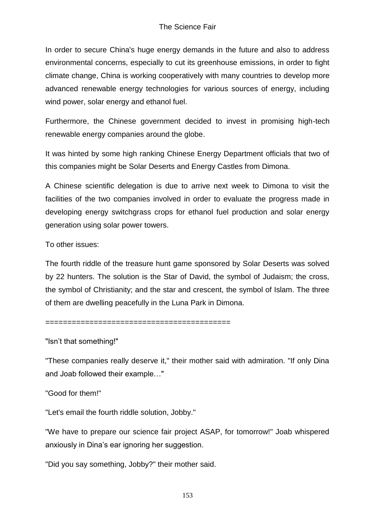In order to secure China's huge energy demands in the future and also to address environmental concerns, especially to cut its greenhouse emissions, in order to fight climate change, China is working cooperatively with many countries to develop more advanced renewable energy technologies for various sources of energy, including wind power, solar energy and ethanol fuel.

Furthermore, the Chinese government decided to invest in promising high-tech renewable energy companies around the globe.

It was hinted by some high ranking Chinese Energy Department officials that two of this companies might be Solar Deserts and Energy Castles from Dimona.

A Chinese scientific delegation is due to arrive next week to Dimona to visit the facilities of the two companies involved in order to evaluate the progress made in developing energy switchgrass crops for ethanol fuel production and solar energy generation using solar power towers.

To other issues:

The fourth riddle of the treasure hunt game sponsored by Solar Deserts was solved by 22 hunters. The solution is the Star of David, the symbol of Judaism; the cross, the symbol of Christianity; and the star and crescent, the symbol of Islam. The three of them are dwelling peacefully in the Luna Park in Dimona.

==========================================

"Isn't that something!"

"These companies really deserve it," their mother said with admiration. "If only Dina and Joab followed their example…"

"Good for them!"

"Let's email the fourth riddle solution, Jobby."

"We have to prepare our science fair project ASAP, for tomorrow!" Joab whispered anxiously in Dina's ear ignoring her suggestion.

"Did you say something, Jobby?" their mother said.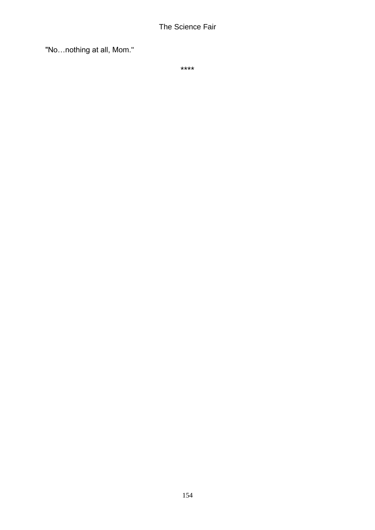"No…nothing at all, Mom."

\*\*\*\*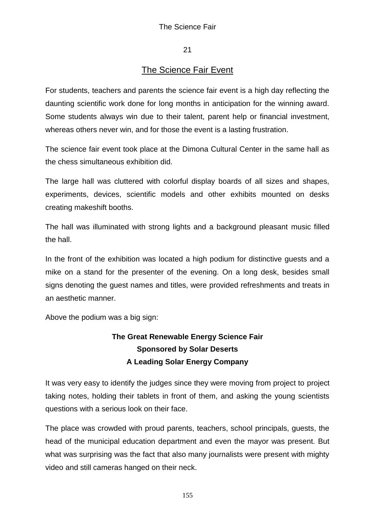## 21

## The Science Fair Event

For students, teachers and parents the science fair event is a high day reflecting the daunting scientific work done for long months in anticipation for the winning award. Some students always win due to their talent, parent help or financial investment, whereas others never win, and for those the event is a lasting frustration.

The science fair event took place at the Dimona Cultural Center in the same hall as the chess simultaneous exhibition did.

The large hall was cluttered with colorful display boards of all sizes and shapes, experiments, devices, scientific models and other exhibits mounted on desks creating makeshift booths.

The hall was illuminated with strong lights and a background pleasant music filled the hall.

In the front of the exhibition was located a high podium for distinctive guests and a mike on a stand for the presenter of the evening. On a long desk, besides small signs denoting the guest names and titles, were provided refreshments and treats in an aesthetic manner.

Above the podium was a big sign:

## **The Great Renewable Energy Science Fair Sponsored by Solar Deserts A Leading Solar Energy Company**

It was very easy to identify the judges since they were moving from project to project taking notes, holding their tablets in front of them, and asking the young scientists questions with a serious look on their face.

The place was crowded with proud parents, teachers, school principals, guests, the head of the municipal education department and even the mayor was present. But what was surprising was the fact that also many journalists were present with mighty video and still cameras hanged on their neck.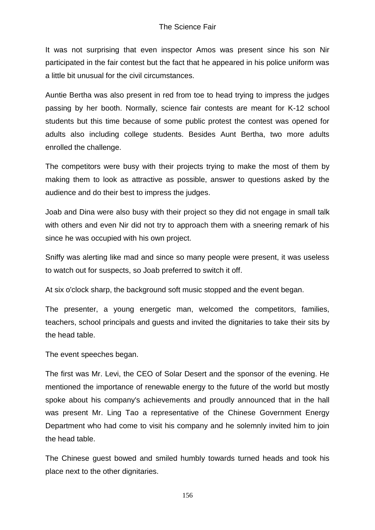It was not surprising that even inspector Amos was present since his son Nir participated in the fair contest but the fact that he appeared in his police uniform was a little bit unusual for the civil circumstances.

Auntie Bertha was also present in red from toe to head trying to impress the judges passing by her booth. Normally, science fair contests are meant for K-12 school students but this time because of some public protest the contest was opened for adults also including college students. Besides Aunt Bertha, two more adults enrolled the challenge.

The competitors were busy with their projects trying to make the most of them by making them to look as attractive as possible, answer to questions asked by the audience and do their best to impress the judges.

Joab and Dina were also busy with their project so they did not engage in small talk with others and even Nir did not try to approach them with a sneering remark of his since he was occupied with his own project.

Sniffy was alerting like mad and since so many people were present, it was useless to watch out for suspects, so Joab preferred to switch it off.

At six o'clock sharp, the background soft music stopped and the event began.

The presenter, a young energetic man, welcomed the competitors, families, teachers, school principals and guests and invited the dignitaries to take their sits by the head table.

The event speeches began.

The first was Mr. Levi, the CEO of Solar Desert and the sponsor of the evening. He mentioned the importance of renewable energy to the future of the world but mostly spoke about his company's achievements and proudly announced that in the hall was present Mr. Ling Tao a representative of the Chinese Government Energy Department who had come to visit his company and he solemnly invited him to join the head table.

The Chinese guest bowed and smiled humbly towards turned heads and took his place next to the other dignitaries.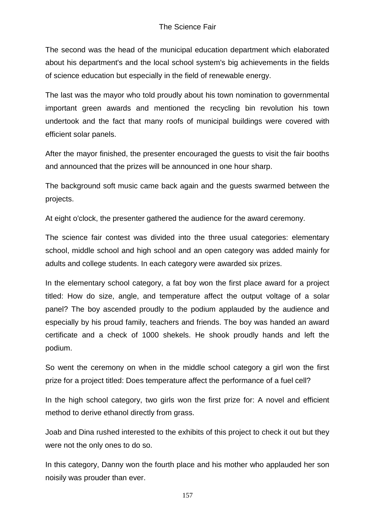The second was the head of the municipal education department which elaborated about his department's and the local school system's big achievements in the fields of science education but especially in the field of renewable energy.

The last was the mayor who told proudly about his town nomination to governmental important green awards and mentioned the recycling bin revolution his town undertook and the fact that many roofs of municipal buildings were covered with efficient solar panels.

After the mayor finished, the presenter encouraged the guests to visit the fair booths and announced that the prizes will be announced in one hour sharp.

The background soft music came back again and the guests swarmed between the projects.

At eight o'clock, the presenter gathered the audience for the award ceremony.

The science fair contest was divided into the three usual categories: elementary school, middle school and high school and an open category was added mainly for adults and college students. In each category were awarded six prizes.

In the elementary school category, a fat boy won the first place award for a project titled: How do size, angle, and temperature affect the output voltage of a solar panel? The boy ascended proudly to the podium applauded by the audience and especially by his proud family, teachers and friends. The boy was handed an award certificate and a check of 1000 shekels. He shook proudly hands and left the podium.

So went the ceremony on when in the middle school category a girl won the first prize for a project titled: Does temperature affect the performance of a fuel cell?

In the high school category, two girls won the first prize for: A novel and efficient method to derive ethanol directly from grass.

Joab and Dina rushed interested to the exhibits of this project to check it out but they were not the only ones to do so.

In this category, Danny won the fourth place and his mother who applauded her son noisily was prouder than ever.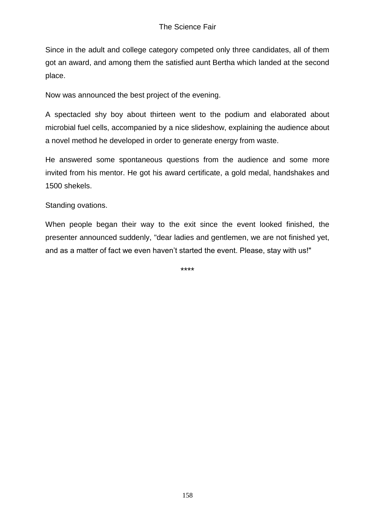Since in the adult and college category competed only three candidates, all of them got an award, and among them the satisfied aunt Bertha which landed at the second place.

Now was announced the best project of the evening.

A spectacled shy boy about thirteen went to the podium and elaborated about microbial fuel cells, accompanied by a nice slideshow, explaining the audience about a novel method he developed in order to generate energy from waste.

He answered some spontaneous questions from the audience and some more invited from his mentor. He got his award certificate, a gold medal, handshakes and 1500 shekels.

Standing ovations.

When people began their way to the exit since the event looked finished, the presenter announced suddenly, "dear ladies and gentlemen, we are not finished yet, and as a matter of fact we even haven't started the event. Please, stay with us!"

\*\*\*\*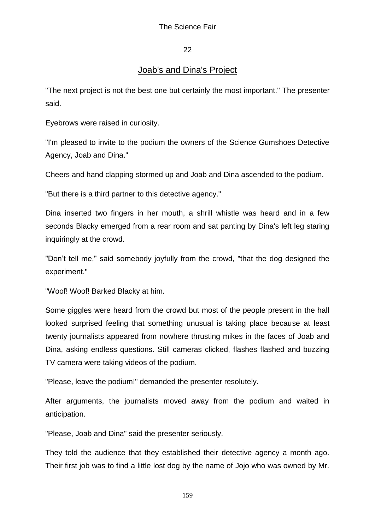## 22

## Joab's and Dina's Project

"The next project is not the best one but certainly the most important." The presenter said.

Eyebrows were raised in curiosity.

"I'm pleased to invite to the podium the owners of the Science Gumshoes Detective Agency, Joab and Dina."

Cheers and hand clapping stormed up and Joab and Dina ascended to the podium.

"But there is a third partner to this detective agency."

Dina inserted two fingers in her mouth, a shrill whistle was heard and in a few seconds Blacky emerged from a rear room and sat panting by Dina's left leg staring inquiringly at the crowd.

"Don't tell me," said somebody joyfully from the crowd, "that the dog designed the experiment."

"Woof! Woof! Barked Blacky at him.

Some giggles were heard from the crowd but most of the people present in the hall looked surprised feeling that something unusual is taking place because at least twenty journalists appeared from nowhere thrusting mikes in the faces of Joab and Dina, asking endless questions. Still cameras clicked, flashes flashed and buzzing TV camera were taking videos of the podium.

"Please, leave the podium!" demanded the presenter resolutely.

After arguments, the journalists moved away from the podium and waited in anticipation.

"Please, Joab and Dina" said the presenter seriously.

They told the audience that they established their detective agency a month ago. Their first job was to find a little lost dog by the name of Jojo who was owned by Mr.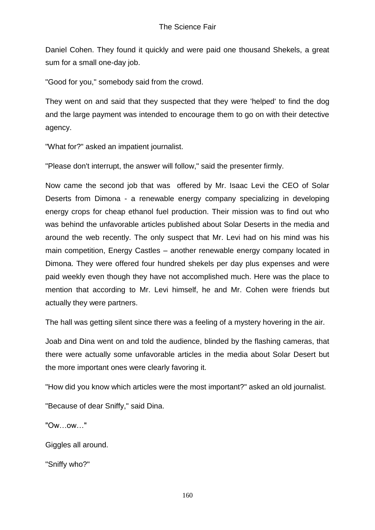Daniel Cohen. They found it quickly and were paid one thousand Shekels, a great sum for a small one-day job.

"Good for you," somebody said from the crowd.

They went on and said that they suspected that they were 'helped' to find the dog and the large payment was intended to encourage them to go on with their detective agency.

"What for?" asked an impatient journalist.

"Please don't interrupt, the answer will follow," said the presenter firmly.

Now came the second job that was offered by Mr. Isaac Levi the CEO of Solar Deserts from Dimona - a renewable energy company specializing in developing energy crops for cheap ethanol fuel production. Their mission was to find out who was behind the unfavorable articles published about Solar Deserts in the media and around the web recently. The only suspect that Mr. Levi had on his mind was his main competition, Energy Castles – another renewable energy company located in Dimona. They were offered four hundred shekels per day plus expenses and were paid weekly even though they have not accomplished much. Here was the place to mention that according to Mr. Levi himself, he and Mr. Cohen were friends but actually they were partners.

The hall was getting silent since there was a feeling of a mystery hovering in the air.

Joab and Dina went on and told the audience, blinded by the flashing cameras, that there were actually some unfavorable articles in the media about Solar Desert but the more important ones were clearly favoring it.

"How did you know which articles were the most important?" asked an old journalist.

"Because of dear Sniffy," said Dina.

"Ow…ow…"

Giggles all around.

"Sniffy who?"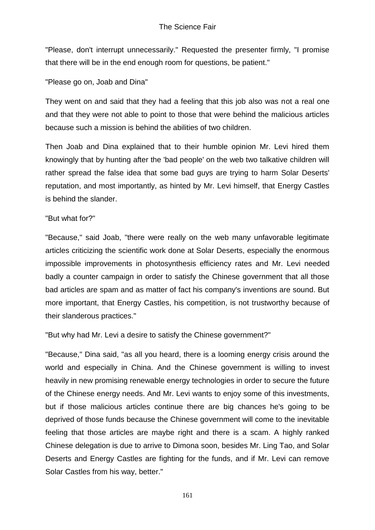"Please, don't interrupt unnecessarily." Requested the presenter firmly, "I promise that there will be in the end enough room for questions, be patient."

"Please go on, Joab and Dina"

They went on and said that they had a feeling that this job also was not a real one and that they were not able to point to those that were behind the malicious articles because such a mission is behind the abilities of two children.

Then Joab and Dina explained that to their humble opinion Mr. Levi hired them knowingly that by hunting after the 'bad people' on the web two talkative children will rather spread the false idea that some bad guys are trying to harm Solar Deserts' reputation, and most importantly, as hinted by Mr. Levi himself, that Energy Castles is behind the slander.

## "But what for?"

"Because," said Joab, "there were really on the web many unfavorable legitimate articles criticizing the scientific work done at Solar Deserts, especially the enormous impossible improvements in photosynthesis efficiency rates and Mr. Levi needed badly a counter campaign in order to satisfy the Chinese government that all those bad articles are spam and as matter of fact his company's inventions are sound. But more important, that Energy Castles, his competition, is not trustworthy because of their slanderous practices."

"But why had Mr. Levi a desire to satisfy the Chinese government?"

"Because," Dina said, "as all you heard, there is a looming energy crisis around the world and especially in China. And the Chinese government is willing to invest heavily in new promising renewable energy technologies in order to secure the future of the Chinese energy needs. And Mr. Levi wants to enjoy some of this investments, but if those malicious articles continue there are big chances he's going to be deprived of those funds because the Chinese government will come to the inevitable feeling that those articles are maybe right and there is a scam. A highly ranked Chinese delegation is due to arrive to Dimona soon, besides Mr. Ling Tao, and Solar Deserts and Energy Castles are fighting for the funds, and if Mr. Levi can remove Solar Castles from his way, better."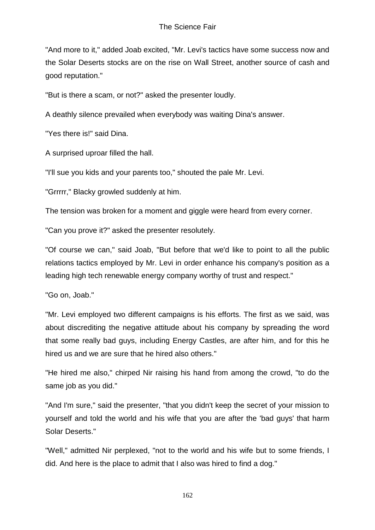"And more to it," added Joab excited, "Mr. Levi's tactics have some success now and the Solar Deserts stocks are on the rise on Wall Street, another source of cash and good reputation."

"But is there a scam, or not?" asked the presenter loudly.

A deathly silence prevailed when everybody was waiting Dina's answer.

"Yes there is!" said Dina.

A surprised uproar filled the hall.

"I'll sue you kids and your parents too," shouted the pale Mr. Levi.

"Grrrrr," Blacky growled suddenly at him.

The tension was broken for a moment and giggle were heard from every corner.

"Can you prove it?" asked the presenter resolutely.

"Of course we can," said Joab, "But before that we'd like to point to all the public relations tactics employed by Mr. Levi in order enhance his company's position as a leading high tech renewable energy company worthy of trust and respect."

"Go on, Joab."

"Mr. Levi employed two different campaigns is his efforts. The first as we said, was about discrediting the negative attitude about his company by spreading the word that some really bad guys, including Energy Castles, are after him, and for this he hired us and we are sure that he hired also others."

"He hired me also," chirped Nir raising his hand from among the crowd, "to do the same job as you did."

"And I'm sure," said the presenter, "that you didn't keep the secret of your mission to yourself and told the world and his wife that you are after the 'bad guys' that harm Solar Deserts."

"Well," admitted Nir perplexed, "not to the world and his wife but to some friends, I did. And here is the place to admit that I also was hired to find a dog."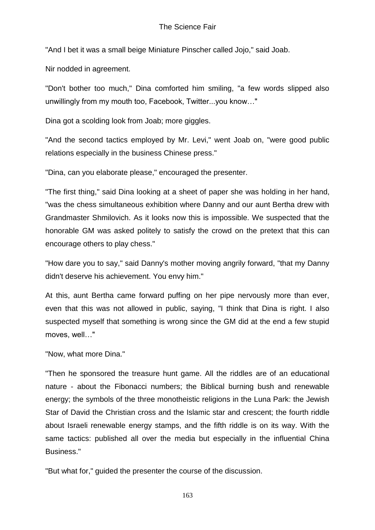"And I bet it was a small beige Miniature Pinscher called Jojo," said Joab.

Nir nodded in agreement.

"Don't bother too much," Dina comforted him smiling, "a few words slipped also unwillingly from my mouth too, Facebook, Twitter...you know…"

Dina got a scolding look from Joab; more giggles.

"And the second tactics employed by Mr. Levi," went Joab on, "were good public relations especially in the business Chinese press."

"Dina, can you elaborate please," encouraged the presenter.

"The first thing," said Dina looking at a sheet of paper she was holding in her hand, "was the chess simultaneous exhibition where Danny and our aunt Bertha drew with Grandmaster Shmilovich. As it looks now this is impossible. We suspected that the honorable GM was asked politely to satisfy the crowd on the pretext that this can encourage others to play chess."

"How dare you to say," said Danny's mother moving angrily forward, "that my Danny didn't deserve his achievement. You envy him."

At this, aunt Bertha came forward puffing on her pipe nervously more than ever, even that this was not allowed in public, saying, "I think that Dina is right. I also suspected myself that something is wrong since the GM did at the end a few stupid moves, well…"

"Now, what more Dina."

"Then he sponsored the treasure hunt game. All the riddles are of an educational nature - about the Fibonacci numbers; the Biblical burning bush and renewable energy; the symbols of the three monotheistic religions in the Luna Park: the Jewish Star of David the Christian cross and the Islamic star and crescent; the fourth riddle about Israeli renewable energy stamps, and the fifth riddle is on its way. With the same tactics: published all over the media but especially in the influential China Business."

"But what for," guided the presenter the course of the discussion.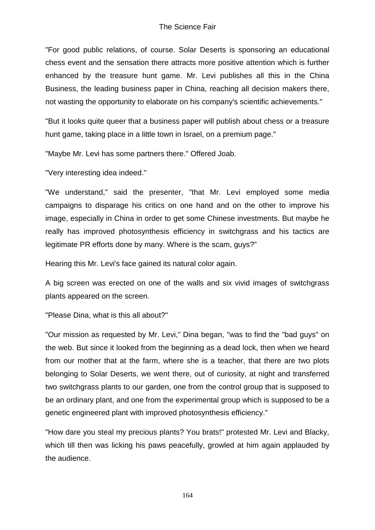"For good public relations, of course. Solar Deserts is sponsoring an educational chess event and the sensation there attracts more positive attention which is further enhanced by the treasure hunt game. Mr. Levi publishes all this in the China Business, the leading business paper in China, reaching all decision makers there, not wasting the opportunity to elaborate on his company's scientific achievements."

"But it looks quite queer that a business paper will publish about chess or a treasure hunt game, taking place in a little town in Israel, on a premium page."

"Maybe Mr. Levi has some partners there." Offered Joab.

"Very interesting idea indeed."

"We understand," said the presenter, "that Mr. Levi employed some media campaigns to disparage his critics on one hand and on the other to improve his image, especially in China in order to get some Chinese investments. But maybe he really has improved photosynthesis efficiency in switchgrass and his tactics are legitimate PR efforts done by many. Where is the scam, guys?"

Hearing this Mr. Levi's face gained its natural color again.

A big screen was erected on one of the walls and six vivid images of switchgrass plants appeared on the screen.

"Please Dina, what is this all about?"

"Our mission as requested by Mr. Levi," Dina began, "was to find the "bad guys" on the web. But since it looked from the beginning as a dead lock, then when we heard from our mother that at the farm, where she is a teacher, that there are two plots belonging to Solar Deserts, we went there, out of curiosity, at night and transferred two switchgrass plants to our garden, one from the control group that is supposed to be an ordinary plant, and one from the experimental group which is supposed to be a genetic engineered plant with improved photosynthesis efficiency."

"How dare you steal my precious plants? You brats!" protested Mr. Levi and Blacky, which till then was licking his paws peacefully, growled at him again applauded by the audience.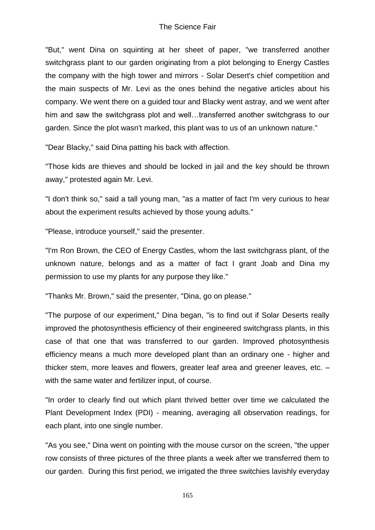"But," went Dina on squinting at her sheet of paper, "we transferred another switchgrass plant to our garden originating from a plot belonging to Energy Castles the company with the high tower and mirrors - Solar Desert's chief competition and the main suspects of Mr. Levi as the ones behind the negative articles about his company. We went there on a guided tour and Blacky went astray, and we went after him and saw the switchgrass plot and well…transferred another switchgrass to our garden. Since the plot wasn't marked, this plant was to us of an unknown nature."

"Dear Blacky," said Dina patting his back with affection.

"Those kids are thieves and should be locked in jail and the key should be thrown away," protested again Mr. Levi.

"I don't think so," said a tall young man, "as a matter of fact I'm very curious to hear about the experiment results achieved by those young adults."

"Please, introduce yourself," said the presenter.

"I'm Ron Brown, the CEO of Energy Castles, whom the last switchgrass plant, of the unknown nature, belongs and as a matter of fact I grant Joab and Dina my permission to use my plants for any purpose they like."

"Thanks Mr. Brown," said the presenter, "Dina, go on please."

"The purpose of our experiment," Dina began, "is to find out if Solar Deserts really improved the photosynthesis efficiency of their engineered switchgrass plants, in this case of that one that was transferred to our garden. Improved photosynthesis efficiency means a much more developed plant than an ordinary one - higher and thicker stem, more leaves and flowers, greater leaf area and greener leaves, etc. – with the same water and fertilizer input, of course.

"In order to clearly find out which plant thrived better over time we calculated the Plant Development Index (PDI) - meaning, averaging all observation readings, for each plant, into one single number.

"As you see," Dina went on pointing with the mouse cursor on the screen, "the upper row consists of three pictures of the three plants a week after we transferred them to our garden. During this first period, we irrigated the three switchies lavishly everyday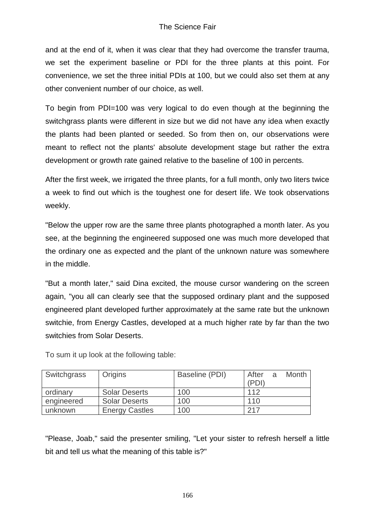and at the end of it, when it was clear that they had overcome the transfer trauma, we set the experiment baseline or PDI for the three plants at this point. For convenience, we set the three initial PDIs at 100, but we could also set them at any other convenient number of our choice, as well.

To begin from PDI=100 was very logical to do even though at the beginning the switchgrass plants were different in size but we did not have any idea when exactly the plants had been planted or seeded. So from then on, our observations were meant to reflect not the plants' absolute development stage but rather the extra development or growth rate gained relative to the baseline of 100 in percents.

After the first week, we irrigated the three plants, for a full month, only two liters twice a week to find out which is the toughest one for desert life. We took observations weekly.

"Below the upper row are the same three plants photographed a month later. As you see, at the beginning the engineered supposed one was much more developed that the ordinary one as expected and the plant of the unknown nature was somewhere in the middle.

"But a month later," said Dina excited, the mouse cursor wandering on the screen again, "you all can clearly see that the supposed ordinary plant and the supposed engineered plant developed further approximately at the same rate but the unknown switchie, from Energy Castles, developed at a much higher rate by far than the two switchies from Solar Deserts.

| Switchgrass | <b>Origins</b>        | Baseline (PDI) | After<br>(PDI) | a | Month |
|-------------|-----------------------|----------------|----------------|---|-------|
| ordinary    | <b>Solar Deserts</b>  | 100            | 112            |   |       |
| engineered  | <b>Solar Deserts</b>  | 100            | 110            |   |       |
| unknown     | <b>Energy Castles</b> | 100            | 217            |   |       |

To sum it up look at the following table:

"Please, Joab," said the presenter smiling, "Let your sister to refresh herself a little bit and tell us what the meaning of this table is?"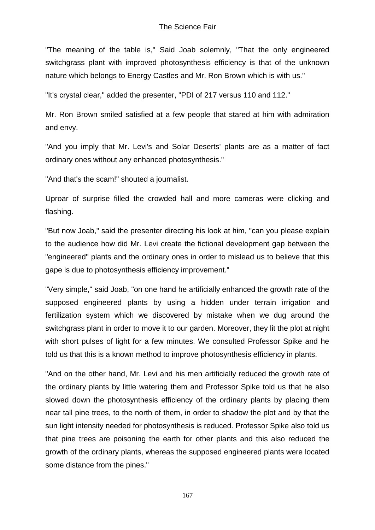"The meaning of the table is," Said Joab solemnly, "That the only engineered switchgrass plant with improved photosynthesis efficiency is that of the unknown nature which belongs to Energy Castles and Mr. Ron Brown which is with us."

"It's crystal clear," added the presenter, "PDI of 217 versus 110 and 112."

Mr. Ron Brown smiled satisfied at a few people that stared at him with admiration and envy.

"And you imply that Mr. Levi's and Solar Deserts' plants are as a matter of fact ordinary ones without any enhanced photosynthesis."

"And that's the scam!" shouted a journalist.

Uproar of surprise filled the crowded hall and more cameras were clicking and flashing.

"But now Joab," said the presenter directing his look at him, "can you please explain to the audience how did Mr. Levi create the fictional development gap between the "engineered" plants and the ordinary ones in order to mislead us to believe that this gape is due to photosynthesis efficiency improvement."

"Very simple," said Joab, "on one hand he artificially enhanced the growth rate of the supposed engineered plants by using a hidden under terrain irrigation and fertilization system which we discovered by mistake when we dug around the switchgrass plant in order to move it to our garden. Moreover, they lit the plot at night with short pulses of light for a few minutes. We consulted Professor Spike and he told us that this is a known method to improve photosynthesis efficiency in plants.

"And on the other hand, Mr. Levi and his men artificially reduced the growth rate of the ordinary plants by little watering them and Professor Spike told us that he also slowed down the photosynthesis efficiency of the ordinary plants by placing them near tall pine trees, to the north of them, in order to shadow the plot and by that the sun light intensity needed for photosynthesis is reduced. Professor Spike also told us that pine trees are poisoning the earth for other plants and this also reduced the growth of the ordinary plants, whereas the supposed engineered plants were located some distance from the pines."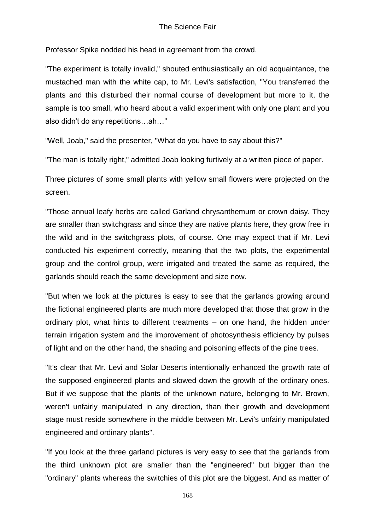Professor Spike nodded his head in agreement from the crowd.

"The experiment is totally invalid," shouted enthusiastically an old acquaintance, the mustached man with the white cap, to Mr. Levi's satisfaction, "You transferred the plants and this disturbed their normal course of development but more to it, the sample is too small, who heard about a valid experiment with only one plant and you also didn't do any repetitions…ah…"

"Well, Joab," said the presenter, "What do you have to say about this?"

"The man is totally right," admitted Joab looking furtively at a written piece of paper.

Three pictures of some small plants with yellow small flowers were projected on the screen.

"Those annual leafy herbs are called Garland chrysanthemum or crown daisy. They are smaller than switchgrass and since they are native plants here, they grow free in the wild and in the switchgrass plots, of course. One may expect that if Mr. Levi conducted his experiment correctly, meaning that the two plots, the experimental group and the control group, were irrigated and treated the same as required, the garlands should reach the same development and size now.

"But when we look at the pictures is easy to see that the garlands growing around the fictional engineered plants are much more developed that those that grow in the ordinary plot, what hints to different treatments – on one hand, the hidden under terrain irrigation system and the improvement of photosynthesis efficiency by pulses of light and on the other hand, the shading and poisoning effects of the pine trees.

"It's clear that Mr. Levi and Solar Deserts intentionally enhanced the growth rate of the supposed engineered plants and slowed down the growth of the ordinary ones. But if we suppose that the plants of the unknown nature, belonging to Mr. Brown, weren't unfairly manipulated in any direction, than their growth and development stage must reside somewhere in the middle between Mr. Levi's unfairly manipulated engineered and ordinary plants".

"If you look at the three garland pictures is very easy to see that the garlands from the third unknown plot are smaller than the "engineered" but bigger than the "ordinary" plants whereas the switchies of this plot are the biggest. And as matter of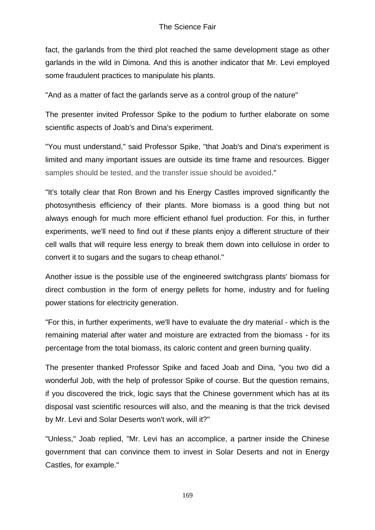fact, the garlands from the third plot reached the same development stage as other garlands in the wild in Dimona. And this is another indicator that Mr. Levi employed some fraudulent practices to manipulate his plants.

"And as a matter of fact the garlands serve as a control group of the nature"

The presenter invited Professor Spike to the podium to further elaborate on some scientific aspects of Joab's and Dina's experiment.

"You must understand," said Professor Spike, "that Joab's and Dina's experiment is limited and many important issues are outside its time frame and resources. Bigger samples should be tested, and the transfer issue should be avoided."

"It's totally clear that Ron Brown and his Energy Castles improved significantly the photosynthesis efficiency of their plants. More biomass is a good thing but not always enough for much more efficient ethanol fuel production. For this, in further experiments, we'll need to find out if these plants enjoy a different structure of their cell walls that will require less energy to break them down into cellulose in order to convert it to sugars and the sugars to cheap ethanol."

Another issue is the possible use of the engineered switchgrass plants' biomass for direct combustion in the form of energy pellets for home, industry and for fueling power stations for electricity generation.

"For this, in further experiments, we'll have to evaluate the dry material - which is the remaining material after water and moisture are extracted from the biomass - for its percentage from the total biomass, its caloric content and green burning quality.

The presenter thanked Professor Spike and faced Joab and Dina, "you two did a wonderful Job, with the help of professor Spike of course. But the question remains, if you discovered the trick, logic says that the Chinese government which has at its disposal vast scientific resources will also, and the meaning is that the trick devised by Mr. Levi and Solar Deserts won't work, will it?"

"Unless," Joab replied, "Mr. Levi has an accomplice, a partner inside the Chinese government that can convince them to invest in Solar Deserts and not in Energy Castles, for example."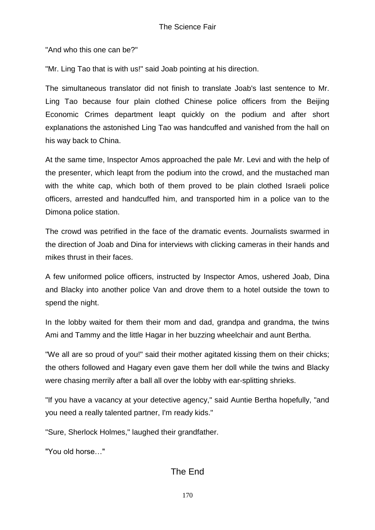"And who this one can be?"

"Mr. Ling Tao that is with us!" said Joab pointing at his direction.

The simultaneous translator did not finish to translate Joab's last sentence to Mr. Ling Tao because four plain clothed Chinese police officers from the Beijing Economic Crimes department leapt quickly on the podium and after short explanations the astonished Ling Tao was handcuffed and vanished from the hall on his way back to China.

At the same time, Inspector Amos approached the pale Mr. Levi and with the help of the presenter, which leapt from the podium into the crowd, and the mustached man with the white cap, which both of them proved to be plain clothed Israeli police officers, arrested and handcuffed him, and transported him in a police van to the Dimona police station.

The crowd was petrified in the face of the dramatic events. Journalists swarmed in the direction of Joab and Dina for interviews with clicking cameras in their hands and mikes thrust in their faces.

A few uniformed police officers, instructed by Inspector Amos, ushered Joab, Dina and Blacky into another police Van and drove them to a hotel outside the town to spend the night.

In the lobby waited for them their mom and dad, grandpa and grandma, the twins Ami and Tammy and the little Hagar in her buzzing wheelchair and aunt Bertha.

"We all are so proud of you!" said their mother agitated kissing them on their chicks; the others followed and Hagary even gave them her doll while the twins and Blacky were chasing merrily after a ball all over the lobby with ear-splitting shrieks.

"If you have a vacancy at your detective agency," said Auntie Bertha hopefully, "and you need a really talented partner, I'm ready kids."

"Sure, Sherlock Holmes," laughed their grandfather.

"You old horse…"

The End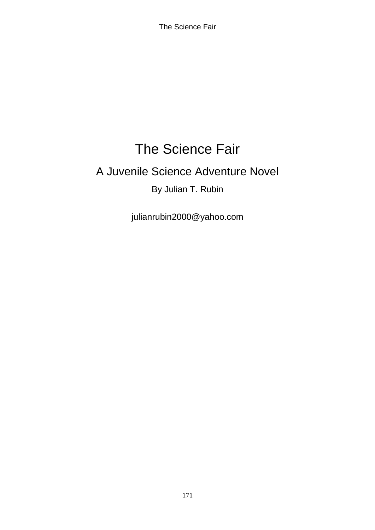# The Science Fair

# A Juvenile Science Adventure Novel

# By Julian T. Rubin

[julianrubin2000@yahoo.com](http://us.mg5.mail.yahoo.com/neo/launch)